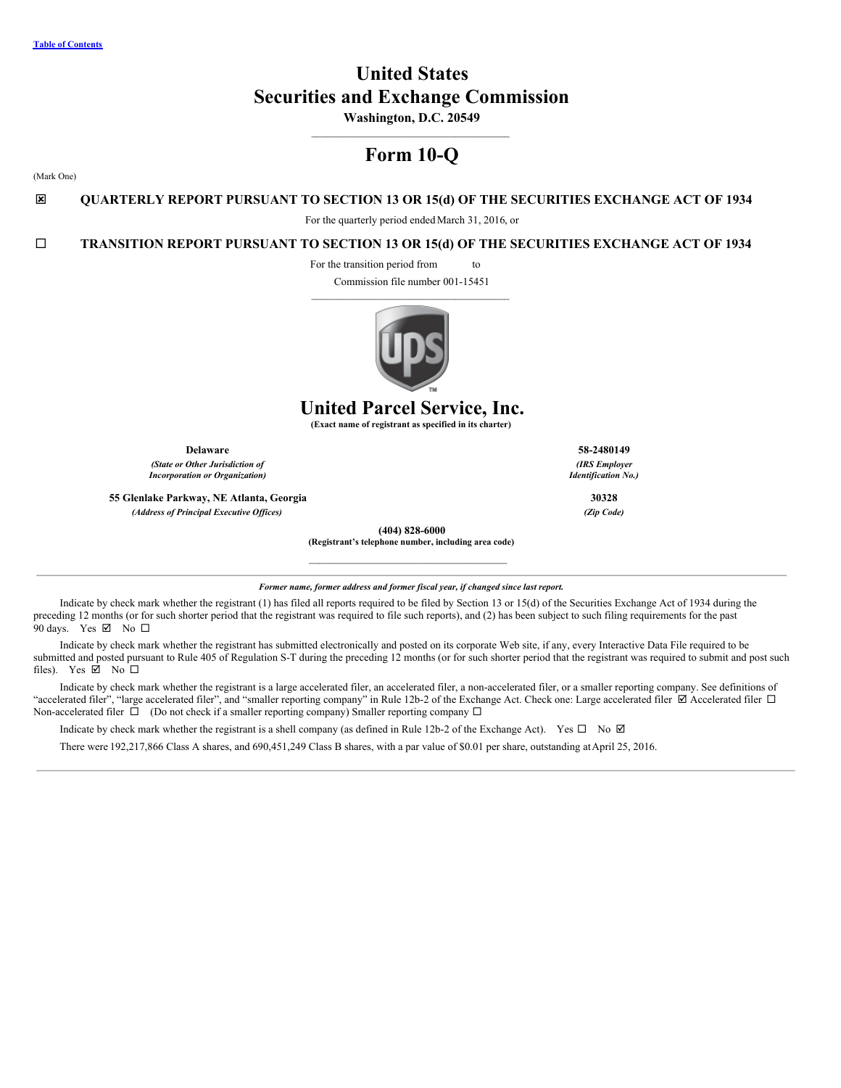# **United States Securities and Exchange Commission**

**Washington, D.C. 20549** \_\_\_\_\_\_\_\_\_\_\_\_\_\_\_\_\_\_\_\_\_\_\_\_\_\_\_\_\_\_\_\_\_\_\_\_\_

# **Form 10-Q**

(Mark One)

# ý **QUARTERLY REPORT PURSUANT TO SECTION 13 OR 15(d) OF THE SECURITIES EXCHANGE ACT OF 1934**

For the quarterly period ended March 31, 2016, or

# ¨ **TRANSITION REPORT PURSUANT TO SECTION 13 OR 15(d) OF THE SECURITIES EXCHANGE ACT OF 1934**

For the transition period from to

Commission file number 001-15451 \_\_\_\_\_\_\_\_\_\_\_\_\_\_\_\_\_\_\_\_\_\_\_\_\_\_\_\_\_\_\_\_\_\_\_\_\_



**United Parcel Service, Inc.**

**(Exact name of registrant as specified in its charter)**

**Delaware 58-2480149**

*(State or Other Jurisdiction of Incorporation or Organization)*

**55 Glenlake Parkway, NE Atlanta, Georgia 30328** *(Address of Principal Executive Of ices) (Zip Code)*

*(IRS Employer Identification No.)*

**(404) 828-6000 (Registrant's telephone number, including area code)**  $\mathcal{L}_\text{max}$  and  $\mathcal{L}_\text{max}$  and  $\mathcal{L}_\text{max}$  and  $\mathcal{L}_\text{max}$ 

*Former name, former address and former fiscal year, if changed since last report.*

Indicate by check mark whether the registrant (1) has filed all reports required to be filed by Section 13 or 15(d) of the Securities Exchange Act of 1934 during the preceding 12 months (or for such shorter period that the registrant was required to file such reports), and (2) has been subject to such filing requirements for the past 90 days. Yes  $\boxtimes$  No  $\square$ 

Indicate by check mark whether the registrant has submitted electronically and posted on its corporate Web site, if any, every Interactive Data File required to be submitted and posted pursuant to Rule 405 of Regulation S-T during the preceding 12 months (or for such shorter period that the registrant was required to submit and post such files). Yes  $\overline{\boxtimes}$  No  $\Box$ 

Indicate by check mark whether the registrant is a large accelerated filer, an accelerated filer, a non-accelerated filer, or a smaller reporting company. See definitions of "accelerated filer", "large accelerated filer", and "smaller reporting company" in Rule 12b-2 of the Exchange Act. Check one: Large accelerated filer  $\Box$  Accelerated filer  $\Box$ Non-accelerated filer  $\Box$  (Do not check if a smaller reporting company) Smaller reporting company  $\Box$ 

Indicate by check mark whether the registrant is a shell company (as defined in Rule 12b-2 of the Exchange Act). Yes  $\Box$  No  $\Box$ There were 192,217,866 Class A shares, and 690,451,249 Class B shares, with a par value of \$0.01 per share, outstanding atApril 25, 2016.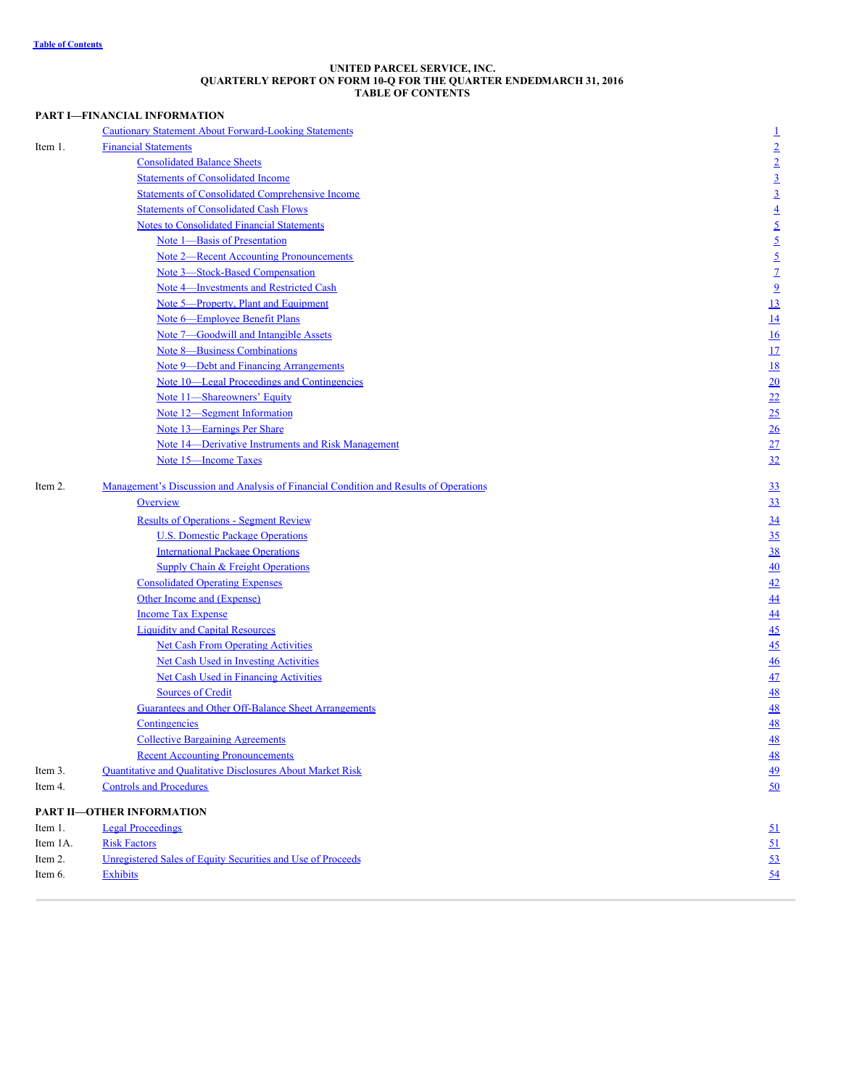### **UNITED PARCEL SERVICE, INC. QUARTERLY REPORT ON FORM 10-Q FOR THE QUARTER ENDEDMARCH 31, 2016 TABLE OF CONTENTS**

<span id="page-1-0"></span>

|                     | PART I—FINANCIAL INFORMATION                                                          |                                           |
|---------------------|---------------------------------------------------------------------------------------|-------------------------------------------|
|                     | <b>Cautionary Statement About Forward-Looking Statements</b>                          | T                                         |
| Item 1.             | <b>Financial Statements</b>                                                           |                                           |
|                     | <b>Consolidated Balance Sheets</b>                                                    |                                           |
|                     | <b>Statements of Consolidated Income</b>                                              | $\frac{2}{2}$                             |
|                     | <b>Statements of Consolidated Comprehensive Income</b>                                | $\overline{3}$                            |
|                     | <b>Statements of Consolidated Cash Flows</b>                                          |                                           |
|                     | <b>Notes to Consolidated Financial Statements</b>                                     | $\frac{4}{5}$ $\frac{5}{2}$ $\frac{5}{2}$ |
|                     | Note 1-Basis of Presentation                                                          |                                           |
|                     | <b>Note 2—Recent Accounting Pronouncements</b>                                        |                                           |
|                     | Note 3—Stock-Based Compensation                                                       |                                           |
|                     | Note 4-Investments and Restricted Cash                                                | $\overline{2}$                            |
|                     | Note 5—Property, Plant and Equipment                                                  | 13                                        |
|                     | Note 6—Employee Benefit Plans                                                         | 14                                        |
|                     | Note 7—Goodwill and Intangible Assets                                                 | 16                                        |
|                     | Note 8—Business Combinations                                                          | 17                                        |
|                     | Note 9—Debt and Financing Arrangements                                                | $\underline{18}$                          |
|                     | Note 10—Legal Proceedings and Contingencies                                           | $\overline{20}$                           |
|                     | Note 11-Shareowners' Equity                                                           | $\overline{22}$                           |
|                     | Note 12-Segment Information                                                           | $\overline{25}$                           |
|                     | Note 13—Earnings Per Share                                                            | $\frac{26}{5}$                            |
|                     | Note 14—Derivative Instruments and Risk Management                                    | 27                                        |
|                     | Note 15-Income Taxes                                                                  | 32                                        |
|                     |                                                                                       |                                           |
| Item 2.             | Management's Discussion and Analysis of Financial Condition and Results of Operations | <u>33</u>                                 |
|                     | Overview                                                                              | 33                                        |
|                     | <b>Results of Operations - Segment Review</b>                                         | 34                                        |
|                     | <b>U.S. Domestic Package Operations</b>                                               | 35                                        |
|                     | <b>International Package Operations</b>                                               | 38                                        |
|                     | <b>Supply Chain &amp; Freight Operations</b>                                          | $\underline{40}$                          |
|                     | <b>Consolidated Operating Expenses</b>                                                | 42                                        |
|                     | Other Income and (Expense)                                                            | $\overline{44}$                           |
|                     | <b>Income Tax Expense</b>                                                             | $\frac{44}{1}$                            |
|                     | <b>Liquidity and Capital Resources</b>                                                | 45                                        |
|                     | <b>Net Cash From Operating Activities</b>                                             | 45                                        |
|                     | <b>Net Cash Used in Investing Activities</b>                                          | $\frac{46}{5}$                            |
|                     | <b>Net Cash Used in Financing Activities</b>                                          | 47                                        |
|                     | <b>Sources of Credit</b>                                                              | $\overline{48}$                           |
|                     | Guarantees and Other Off-Balance Sheet Arrangements                                   | 48                                        |
|                     | Contingencies                                                                         | $\frac{48}{1}$                            |
|                     | <b>Collective Bargaining Agreements</b>                                               | $\underline{48}$                          |
|                     | <b>Recent Accounting Pronouncements</b>                                               | $\overline{48}$                           |
| Item 3.             | Quantitative and Qualitative Disclosures About Market Risk                            | 49                                        |
| Item 4.             | <b>Controls and Procedures</b>                                                        | 50                                        |
|                     |                                                                                       |                                           |
|                     | <b>PART II-OTHER INFORMATION</b>                                                      |                                           |
| Item 1.             | <b>Legal Proceedings</b>                                                              | <u>51</u>                                 |
| Item 1A.<br>Item 2. | <b>Risk Factors</b><br>Unregistered Sales of Equity Securities and Use of Proceeds    | 51                                        |
|                     |                                                                                       | 53<br>$\underline{54}$                    |
| Item 6.             | <b>Exhibits</b>                                                                       |                                           |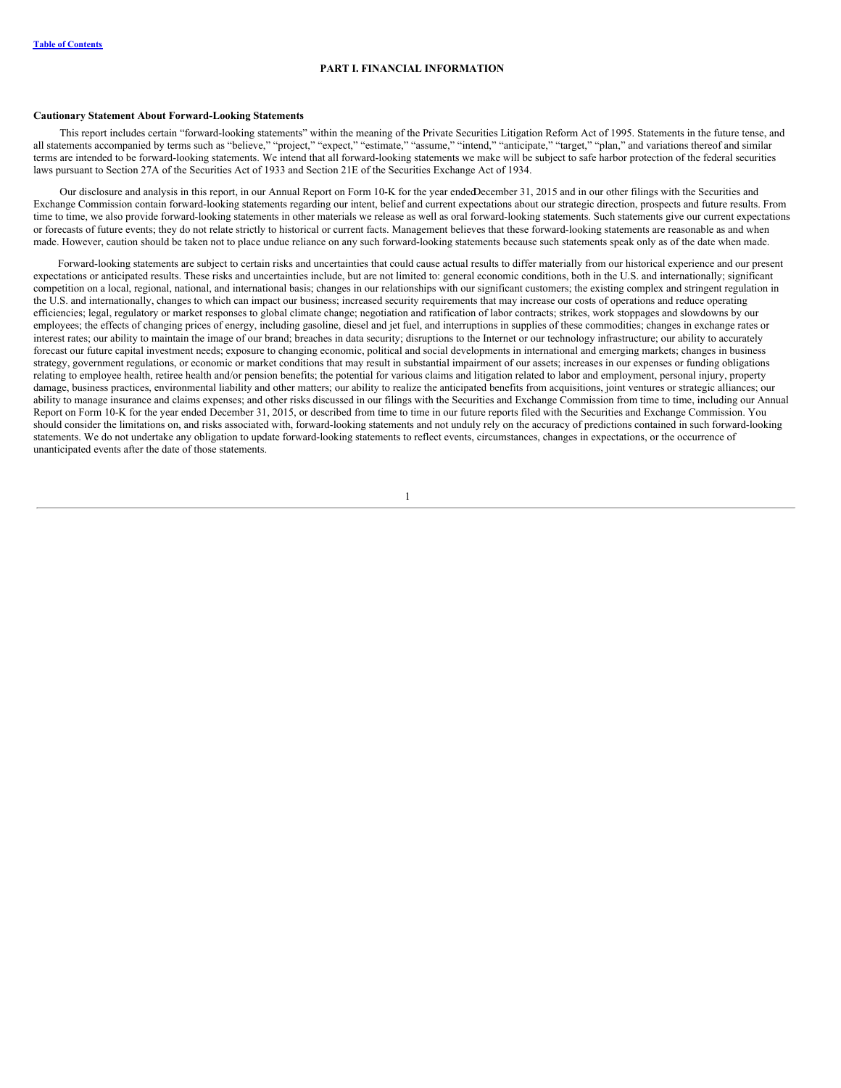# **PART I. FINANCIAL INFORMATION**

### <span id="page-2-0"></span>**Cautionary Statement About Forward-Looking Statements**

This report includes certain "forward-looking statements" within the meaning of the Private Securities Litigation Reform Act of 1995. Statements in the future tense, and all statements accompanied by terms such as "believe," "project," "expect," "estimate," "assume," "intend," "anticipate," "target," "plan," and variations thereof and similar terms are intended to be forward-looking statements. We intend that all forward-looking statements we make will be subject to safe harbor protection of the federal securities laws pursuant to Section 27A of the Securities Act of 1933 and Section 21E of the Securities Exchange Act of 1934.

Our disclosure and analysis in this report, in our Annual Report on Form 10-K for the year endedDecember 31, 2015 and in our other filings with the Securities and Exchange Commission contain forward-looking statements regarding our intent, belief and current expectations about our strategic direction, prospects and future results. From time to time, we also provide forward-looking statements in other materials we release as well as oral forward-looking statements. Such statements give our current expectations or forecasts of future events; they do not relate strictly to historical or current facts. Management believes that these forward-looking statements are reasonable as and when made. However, caution should be taken not to place undue reliance on any such forward-looking statements because such statements speak only as of the date when made.

Forward-looking statements are subject to certain risks and uncertainties that could cause actual results to differ materially from our historical experience and our present expectations or anticipated results. These risks and uncertainties include, but are not limited to: general economic conditions, both in the U.S. and internationally; significant competition on a local, regional, national, and international basis; changes in our relationships with our significant customers; the existing complex and stringent regulation in the U.S. and internationally, changes to which can impact our business; increased security requirements that may increase our costs of operations and reduce operating efficiencies; legal, regulatory or market responses to global climate change; negotiation and ratification of labor contracts; strikes, work stoppages and slowdowns by our employees; the effects of changing prices of energy, including gasoline, diesel and jet fuel, and interruptions in supplies of these commodities; changes in exchange rates or interest rates; our ability to maintain the image of our brand; breaches in data security; disruptions to the Internet or our technology infrastructure; our ability to accurately forecast our future capital investment needs; exposure to changing economic, political and social developments in international and emerging markets; changes in business strategy, government regulations, or economic or market conditions that may result in substantial impairment of our assets; increases in our expenses or funding obligations relating to employee health, retiree health and/or pension benefits; the potential for various claims and litigation related to labor and employment, personal injury, property damage, business practices, environmental liability and other matters; our ability to realize the anticipated benefits from acquisitions, joint ventures or strategic alliances; our ability to manage insurance and claims expenses; and other risks discussed in our filings with the Securities and Exchange Commission from time to time, including our Annual Report on Form 10-K for the year ended December 31, 2015, or described from time to time in our future reports filed with the Securities and Exchange Commission. You should consider the limitations on, and risks associated with, forward-looking statements and not unduly rely on the accuracy of predictions contained in such forward-looking statements. We do not undertake any obligation to update forward-looking statements to reflect events, circumstances, changes in expectations, or the occurrence of unanticipated events after the date of those statements.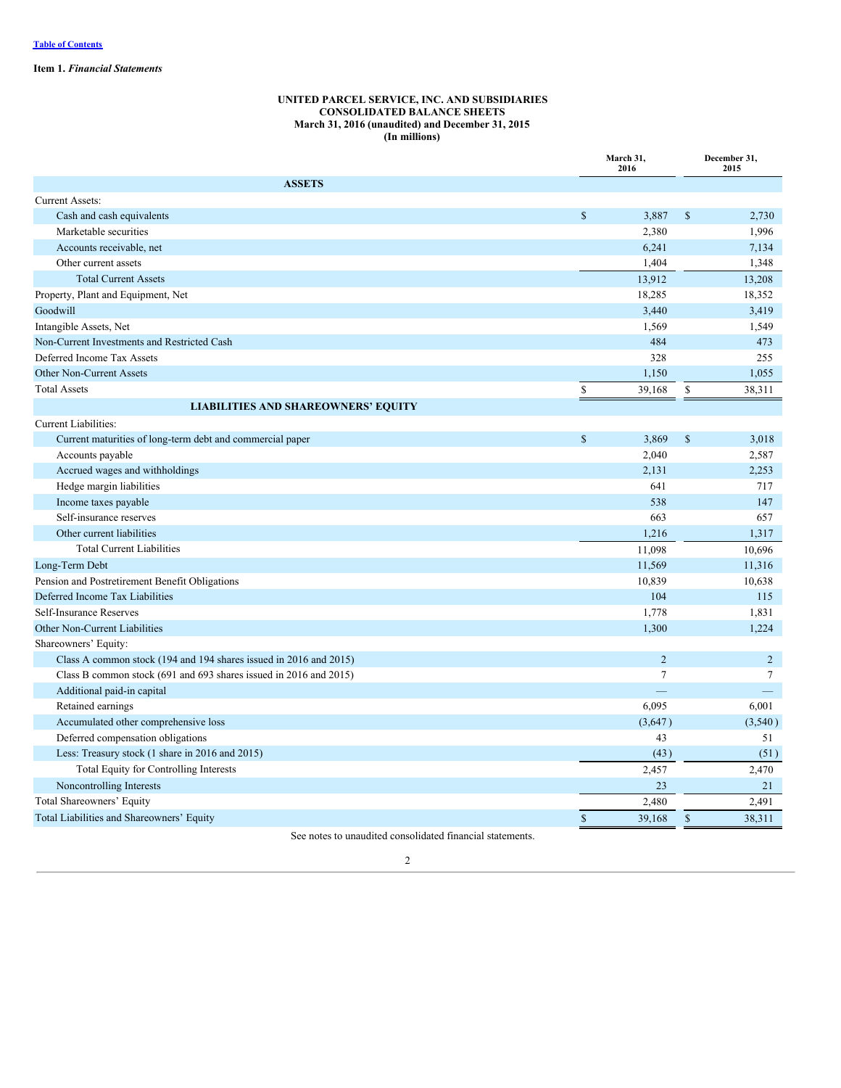<span id="page-3-1"></span><span id="page-3-0"></span>**Item 1.** *Financial Statements*

### **UNITED PARCEL SERVICE, INC. AND SUBSIDIARIES CONSOLIDATED BALANCE SHEETS March 31, 2016 (unaudited) and December 31, 2015 (In millions)**

|                                                                   |                                             | March 31,<br>2016 |               | December 31,<br>2015 |
|-------------------------------------------------------------------|---------------------------------------------|-------------------|---------------|----------------------|
| <b>ASSETS</b>                                                     |                                             |                   |               |                      |
| <b>Current Assets:</b>                                            |                                             |                   |               |                      |
| Cash and cash equivalents                                         | $\mathbb{S}$                                | 3,887             | $\mathsf{\$}$ | 2,730                |
| Marketable securities                                             |                                             | 2,380             |               | 1,996                |
| Accounts receivable, net                                          |                                             | 6,241             |               | 7,134                |
| Other current assets                                              |                                             | 1,404             |               | 1,348                |
| <b>Total Current Assets</b>                                       |                                             | 13,912            |               | 13,208               |
| Property, Plant and Equipment, Net                                |                                             | 18,285            |               | 18,352               |
| Goodwill                                                          |                                             | 3,440             |               | 3,419                |
| Intangible Assets, Net                                            |                                             | 1,569             |               | 1,549                |
| Non-Current Investments and Restricted Cash                       |                                             | 484               |               | 473                  |
| Deferred Income Tax Assets                                        |                                             | 328               |               | 255                  |
| <b>Other Non-Current Assets</b>                                   |                                             | 1,150             |               | 1,055                |
| <b>Total Assets</b>                                               | $\mathbb{S}% _{n}^{X\rightarrow\mathbb{R}}$ | 39,168            | $\mathbb{S}$  | 38,311               |
| <b>LIABILITIES AND SHAREOWNERS' EQUITY</b>                        |                                             |                   |               |                      |
| <b>Current Liabilities:</b>                                       |                                             |                   |               |                      |
| Current maturities of long-term debt and commercial paper         | $\mathbb{S}$                                | 3,869             | $\mathsf{\$}$ | 3,018                |
| Accounts payable                                                  |                                             | 2,040             |               | 2,587                |
| Accrued wages and withholdings                                    |                                             | 2,131             |               | 2,253                |
| Hedge margin liabilities                                          |                                             | 641               |               | 717                  |
| Income taxes payable                                              |                                             | 538               |               | 147                  |
| Self-insurance reserves                                           |                                             | 663               |               | 657                  |
| Other current liabilities                                         |                                             | 1,216             |               | 1,317                |
| <b>Total Current Liabilities</b>                                  |                                             | 11,098            |               | 10,696               |
| Long-Term Debt                                                    |                                             | 11,569            |               | 11,316               |
| Pension and Postretirement Benefit Obligations                    |                                             | 10,839            |               | 10,638               |
| Deferred Income Tax Liabilities                                   |                                             | 104               |               | 115                  |
| <b>Self-Insurance Reserves</b>                                    |                                             | 1,778             |               | 1,831                |
| Other Non-Current Liabilities                                     |                                             | 1,300             |               | 1,224                |
| Shareowners' Equity:                                              |                                             |                   |               |                      |
| Class A common stock (194 and 194 shares issued in 2016 and 2015) |                                             | $\overline{2}$    |               | $\overline{2}$       |
| Class B common stock (691 and 693 shares issued in 2016 and 2015) |                                             | $\overline{7}$    |               | $\tau$               |
| Additional paid-in capital                                        |                                             |                   |               |                      |
| Retained earnings                                                 |                                             | 6,095             |               | 6,001                |
| Accumulated other comprehensive loss                              |                                             | (3,647)           |               | (3,540)              |
| Deferred compensation obligations                                 |                                             | 43                |               | 51                   |
| Less: Treasury stock (1 share in 2016 and 2015)                   |                                             | (43)              |               | (51)                 |
| Total Equity for Controlling Interests                            |                                             | 2,457             |               | 2,470                |
| Noncontrolling Interests                                          |                                             | 23                |               | 21                   |
| Total Shareowners' Equity                                         |                                             | 2,480             |               | 2,491                |
| Total Liabilities and Shareowners' Equity                         | $\$$                                        | 39,168            | $\mathbb{S}$  | 38,311               |
|                                                                   |                                             |                   |               |                      |

See notes to unaudited consolidated financial statements.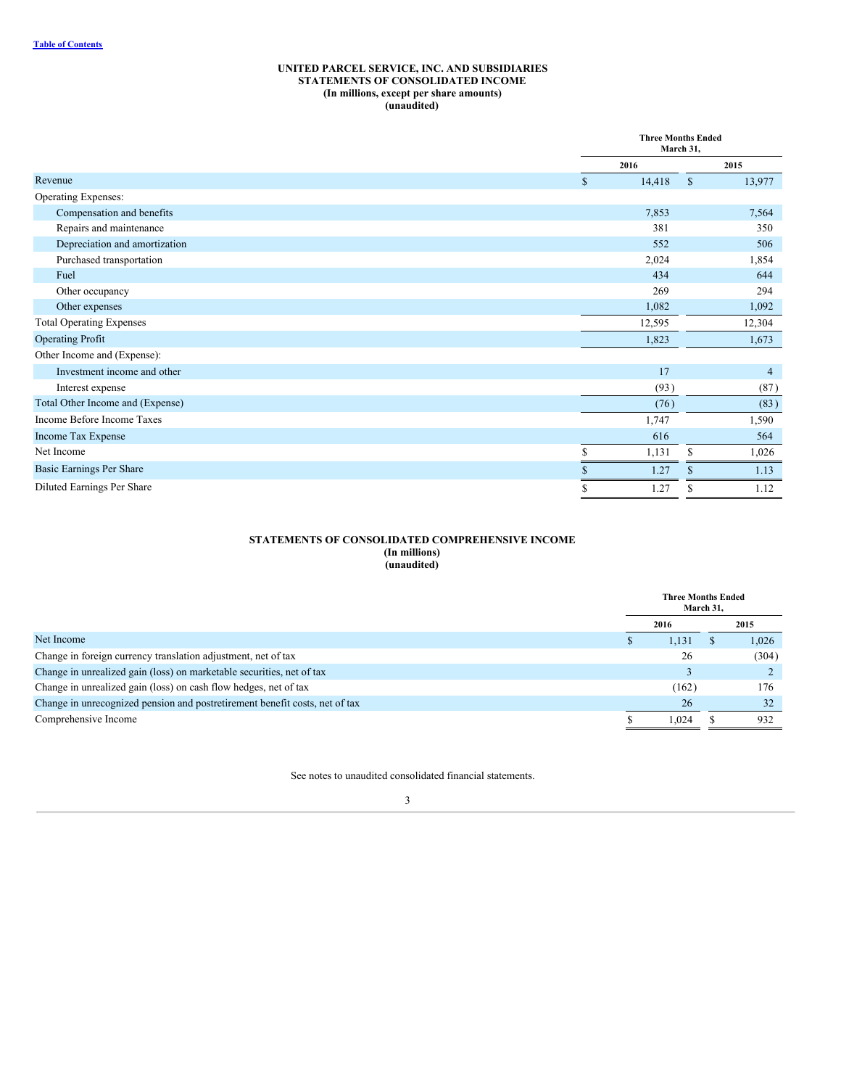# **UNITED PARCEL SERVICE, INC. AND SUBSIDIARIES STATEMENTS OF CONSOLIDATED INCOME (In millions, except per share amounts) (unaudited)**

<span id="page-4-0"></span>

|                                  |              | <b>Three Months Ended</b><br>March 31, |                |  |
|----------------------------------|--------------|----------------------------------------|----------------|--|
|                                  | 2016         |                                        | 2015           |  |
| Revenue                          | \$<br>14,418 | $\mathbb{S}$                           | 13,977         |  |
| <b>Operating Expenses:</b>       |              |                                        |                |  |
| Compensation and benefits        | 7,853        |                                        | 7,564          |  |
| Repairs and maintenance          | 381          |                                        | 350            |  |
| Depreciation and amortization    | 552          |                                        | 506            |  |
| Purchased transportation         | 2,024        |                                        | 1,854          |  |
| Fuel                             | 434          |                                        | 644            |  |
| Other occupancy                  | 269          |                                        | 294            |  |
| Other expenses                   | 1,082        |                                        | 1,092          |  |
| <b>Total Operating Expenses</b>  | 12,595       |                                        | 12,304         |  |
| <b>Operating Profit</b>          | 1,823        |                                        | 1,673          |  |
| Other Income and (Expense):      |              |                                        |                |  |
| Investment income and other      | 17           |                                        | $\overline{4}$ |  |
| Interest expense                 | (93)         |                                        | (87)           |  |
| Total Other Income and (Expense) | (76)         |                                        | (83)           |  |
| Income Before Income Taxes       | 1,747        |                                        | 1,590          |  |
| Income Tax Expense               | 616          |                                        | 564            |  |
| Net Income                       | \$<br>1,131  | S                                      | 1,026          |  |
| Basic Earnings Per Share         | 1.27         | S                                      | 1.13           |  |
| Diluted Earnings Per Share       | 1.27<br>S    | S                                      | 1.12           |  |

# **STATEMENTS OF CONSOLIDATED COMPREHENSIVE INCOME (In millions) (unaudited)**

<span id="page-4-1"></span>

|                                                                             | <b>Three Months Ended</b><br>March 31, |       |  |       |
|-----------------------------------------------------------------------------|----------------------------------------|-------|--|-------|
|                                                                             |                                        | 2016  |  | 2015  |
| Net Income                                                                  |                                        | 1,131 |  | 1,026 |
| Change in foreign currency translation adjustment, net of tax               |                                        | 26    |  | (304) |
| Change in unrealized gain (loss) on marketable securities, net of tax       |                                        |       |  |       |
| Change in unrealized gain (loss) on cash flow hedges, net of tax            |                                        | (162) |  | 176   |
| Change in unrecognized pension and postretirement benefit costs, net of tax |                                        | 26    |  | 32    |
| Comprehensive Income                                                        |                                        | 1.024 |  | 932   |

See notes to unaudited consolidated financial statements.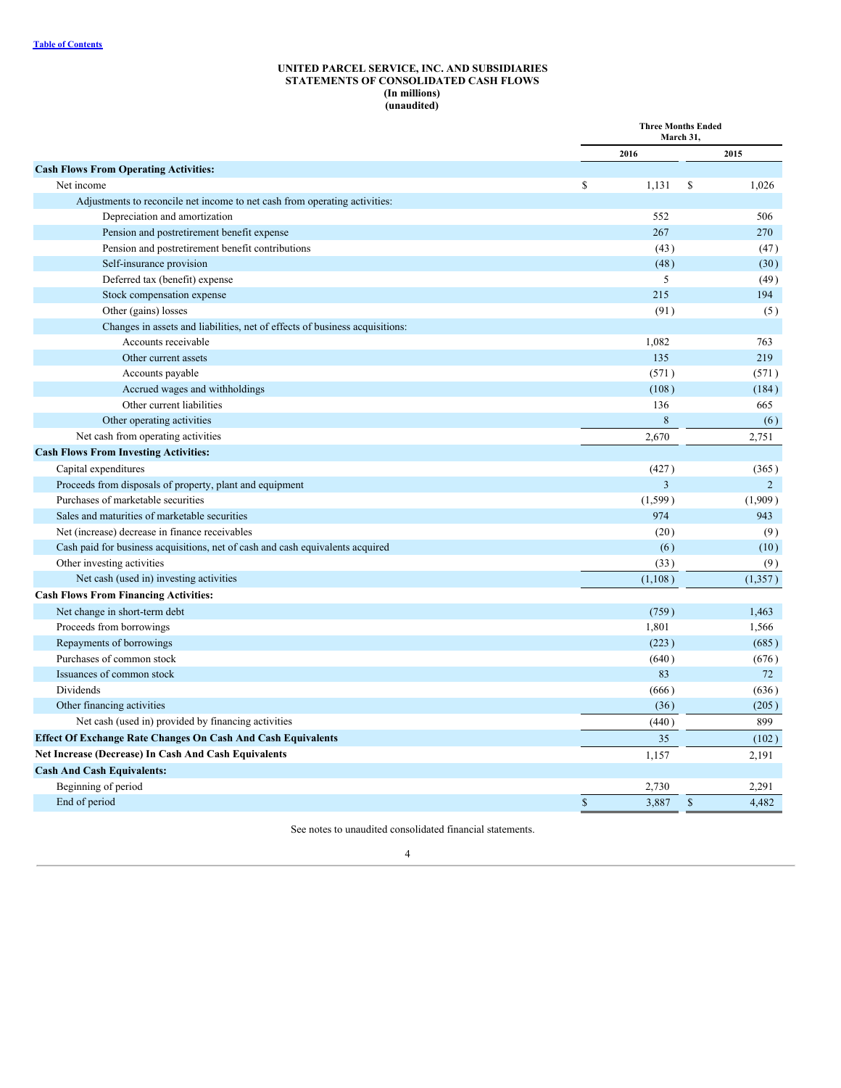### **UNITED PARCEL SERVICE, INC. AND SUBSIDIARIES STATEMENTS OF CONSOLIDATED CASH FLOWS (In millions) (unaudited)**

<span id="page-5-0"></span>

|                                                                                |      | <b>Three Months Ended</b><br>March 31, |                |  |
|--------------------------------------------------------------------------------|------|----------------------------------------|----------------|--|
|                                                                                | 2016 |                                        | 2015           |  |
| <b>Cash Flows From Operating Activities:</b>                                   |      |                                        |                |  |
| Net income                                                                     | \$   | 1,131<br>\$                            | 1,026          |  |
| Adjustments to reconcile net income to net cash from operating activities:     |      |                                        |                |  |
| Depreciation and amortization                                                  |      | 552                                    | 506            |  |
| Pension and postretirement benefit expense                                     |      | 267                                    | 270            |  |
| Pension and postretirement benefit contributions                               |      | (43)                                   | (47)           |  |
| Self-insurance provision                                                       |      | (48)                                   | (30)           |  |
| Deferred tax (benefit) expense                                                 |      | 5                                      | (49)           |  |
| Stock compensation expense                                                     |      | 215                                    | 194            |  |
| Other (gains) losses                                                           |      | (91)                                   | (5)            |  |
| Changes in assets and liabilities, net of effects of business acquisitions:    |      |                                        |                |  |
| Accounts receivable                                                            |      | 1,082                                  | 763            |  |
| Other current assets                                                           |      | 135                                    | 219            |  |
| Accounts payable                                                               |      | (571)                                  | (571)          |  |
| Accrued wages and withholdings                                                 |      | (108)                                  | (184)          |  |
| Other current liabilities                                                      |      | 136                                    | 665            |  |
| Other operating activities                                                     |      | 8                                      | (6)            |  |
| Net cash from operating activities                                             |      | 2,670                                  | 2,751          |  |
| <b>Cash Flows From Investing Activities:</b>                                   |      |                                        |                |  |
| Capital expenditures                                                           |      | (427)                                  | (365)          |  |
| Proceeds from disposals of property, plant and equipment                       |      | 3                                      | $\overline{2}$ |  |
| Purchases of marketable securities                                             |      | (1, 599)                               | (1,909)        |  |
| Sales and maturities of marketable securities                                  |      | 974                                    | 943            |  |
| Net (increase) decrease in finance receivables                                 |      | (20)                                   | (9)            |  |
| Cash paid for business acquisitions, net of cash and cash equivalents acquired |      | (6)                                    | (10)           |  |
| Other investing activities                                                     |      | (33)                                   | (9)            |  |
| Net cash (used in) investing activities                                        |      | (1, 108)                               | (1, 357)       |  |
| <b>Cash Flows From Financing Activities:</b>                                   |      |                                        |                |  |
| Net change in short-term debt                                                  |      | (759)                                  | 1,463          |  |
| Proceeds from borrowings                                                       |      | 1,801                                  | 1,566          |  |
| Repayments of borrowings                                                       |      | (223)                                  | (685)          |  |
| Purchases of common stock                                                      |      | (640)                                  | (676)          |  |
| Issuances of common stock                                                      |      | 83                                     | 72             |  |
| Dividends                                                                      |      | (666)                                  | (636)          |  |
| Other financing activities                                                     |      | (36)                                   | (205)          |  |
| Net cash (used in) provided by financing activities                            |      | (440)                                  | 899            |  |
| <b>Effect Of Exchange Rate Changes On Cash And Cash Equivalents</b>            |      | 35                                     | (102)          |  |
| Net Increase (Decrease) In Cash And Cash Equivalents                           |      | 1,157                                  | 2,191          |  |
| <b>Cash And Cash Equivalents:</b>                                              |      |                                        |                |  |
| Beginning of period                                                            |      | 2,730                                  | 2,291          |  |
| End of period                                                                  | \$   | $\mathbb{S}$<br>3,887                  | 4,482          |  |
|                                                                                |      |                                        |                |  |

See notes to unaudited consolidated financial statements.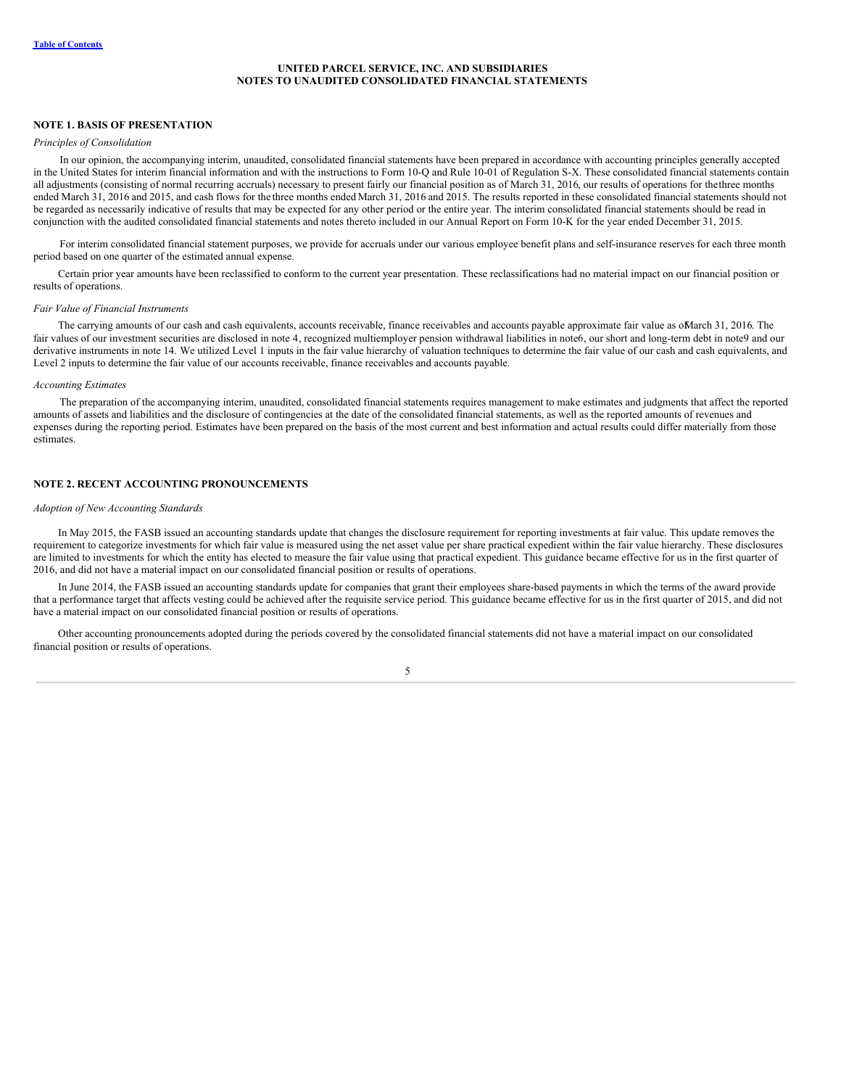# <span id="page-6-1"></span><span id="page-6-0"></span>**NOTE 1. BASIS OF PRESENTATION**

### *Principles of Consolidation*

In our opinion, the accompanying interim, unaudited, consolidated financial statements have been prepared in accordance with accounting principles generally accepted in the United States for interim financial information and with the instructions to Form 10-Q and Rule 10-01 of Regulation S-X. These consolidated financial statements contain all adjustments (consisting of normal recurring accruals) necessary to present fairly our financial position as of March 31, 2016, our results of operations for thethree months ended March 31, 2016 and 2015, and cash flows for the three months ended March 31, 2016 and 2015. The results reported in these consolidated financial statements should not be regarded as necessarily indicative of results that may be expected for any other period or the entire year. The interim consolidated financial statements should be read in conjunction with the audited consolidated financial statements and notes thereto included in our Annual Report on Form 10-K for the year ended December 31, 2015.

For interim consolidated financial statement purposes, we provide for accruals under our various employee benefit plans and self-insurance reserves for each three month period based on one quarter of the estimated annual expense.

Certain prior year amounts have been reclassified to conform to the current year presentation. These reclassifications had no material impact on our financial position or results of operations.

#### *Fair Value of Financial Instruments*

The carrying amounts of our cash and cash equivalents, accounts receivable, finance receivables and accounts payable approximate fair value as ofMarch 31, 2016. The fair values of our investment securities are disclosed in note 4, recognized multiemployer pension withdrawal liabilities in note6, our short and long-term debt in note9 and our derivative instruments in note 14. We utilized Level 1 inputs in the fair value hierarchy of valuation techniques to determine the fair value of our cash and cash equivalents, and Level 2 inputs to determine the fair value of our accounts receivable, finance receivables and accounts payable.

#### *Accounting Estimates*

The preparation of the accompanying interim, unaudited, consolidated financial statements requires management to make estimates and judgments that affect the reported amounts of assets and liabilities and the disclosure of contingencies at the date of the consolidated financial statements, as well as the reported amounts of revenues and expenses during the reporting period. Estimates have been prepared on the basis of the most current and best information and actual results could differ materially from those estimates.

# <span id="page-6-2"></span>**NOTE 2. RECENT ACCOUNTING PRONOUNCEMENTS**

#### *Adoption of New Accounting Standards*

In May 2015, the FASB issued an accounting standards update that changes the disclosure requirement for reporting investments at fair value. This update removes the requirement to categorize investments for which fair value is measured using the net asset value per share practical expedient within the fair value hierarchy. These disclosures are limited to investments for which the entity has elected to measure the fair value using that practical expedient. This guidance became effective for us in the first quarter of 2016, and did not have a material impact on our consolidated financial position or results of operations.

In June 2014, the FASB issued an accounting standards update for companies that grant their employees share-based payments in which the terms of the award provide that a performance target that affects vesting could be achieved after the requisite service period. This guidance became effective for us in the first quarter of 2015, and did not have a material impact on our consolidated financial position or results of operations.

Other accounting pronouncements adopted during the periods covered by the consolidated financial statements did not have a material impact on our consolidated financial position or results of operations.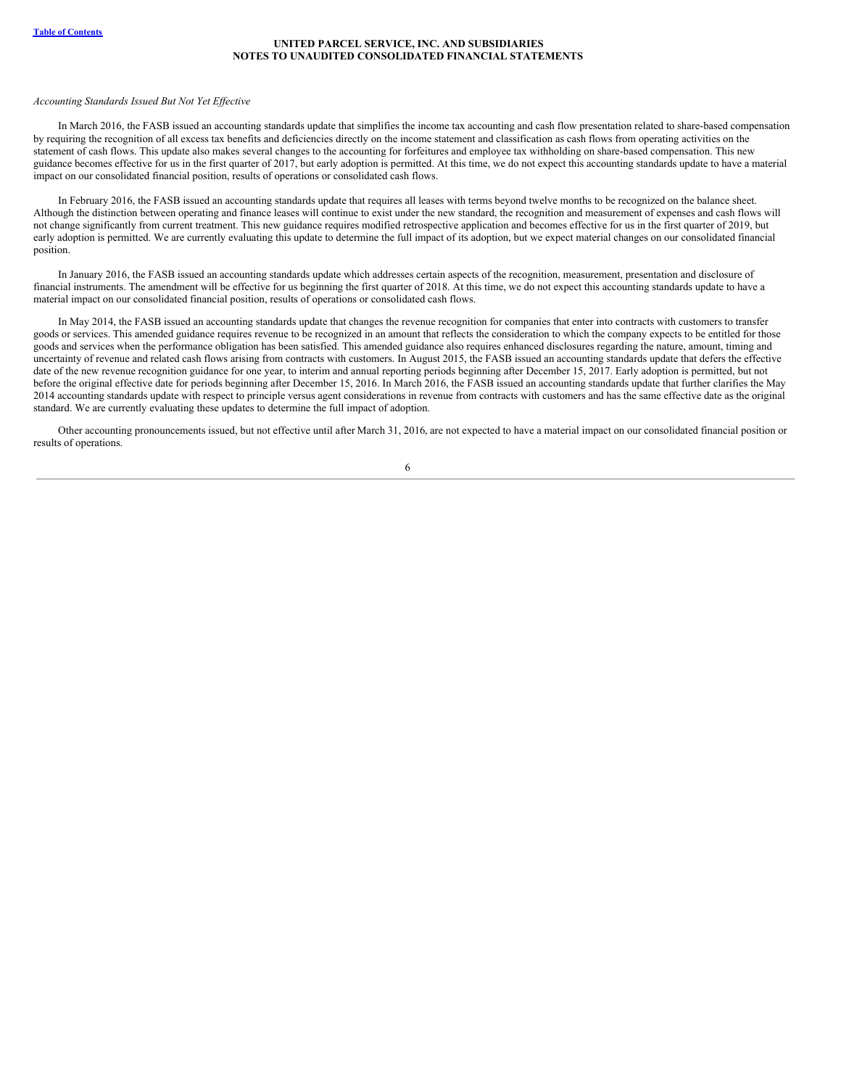#### *Accounting Standards Issued But Not Yet Ef ective*

In March 2016, the FASB issued an accounting standards update that simplifies the income tax accounting and cash flow presentation related to share-based compensation by requiring the recognition of all excess tax benefits and deficiencies directly on the income statement and classification as cash flows from operating activities on the statement of cash flows. This update also makes several changes to the accounting for forfeitures and employee tax withholding on share-based compensation. This new guidance becomes effective for us in the first quarter of 2017, but early adoption is permitted. At this time, we do not expect this accounting standards update to have a material impact on our consolidated financial position, results of operations or consolidated cash flows.

In February 2016, the FASB issued an accounting standards update that requires all leases with terms beyond twelve months to be recognized on the balance sheet. Although the distinction between operating and finance leases will continue to exist under the new standard, the recognition and measurement of expenses and cash flows will not change significantly from current treatment. This new guidance requires modified retrospective application and becomes effective for us in the first quarter of 2019, but early adoption is permitted. We are currently evaluating this update to determine the full impact of its adoption, but we expect material changes on our consolidated financial position.

In January 2016, the FASB issued an accounting standards update which addresses certain aspects of the recognition, measurement, presentation and disclosure of financial instruments. The amendment will be effective for us beginning the first quarter of 2018. At this time, we do not expect this accounting standards update to have a material impact on our consolidated financial position, results of operations or consolidated cash flows.

In May 2014, the FASB issued an accounting standards update that changes the revenue recognition for companies that enter into contracts with customers to transfer goods or services. This amended guidance requires revenue to be recognized in an amount that reflects the consideration to which the company expects to be entitled for those goods and services when the performance obligation has been satisfied. This amended guidance also requires enhanced disclosures regarding the nature, amount, timing and uncertainty of revenue and related cash flows arising from contracts with customers. In August 2015, the FASB issued an accounting standards update that defers the effective date of the new revenue recognition guidance for one year, to interim and annual reporting periods beginning after December 15, 2017. Early adoption is permitted, but not before the original effective date for periods beginning after December 15, 2016. In March 2016, the FASB issued an accounting standards update that further clarifies the May 2014 accounting standards update with respect to principle versus agent considerations in revenue from contracts with customers and has the same effective date as the original standard. We are currently evaluating these updates to determine the full impact of adoption.

Other accounting pronouncements issued, but not effective until after March 31, 2016, are not expected to have a material impact on our consolidated financial position or results of operations.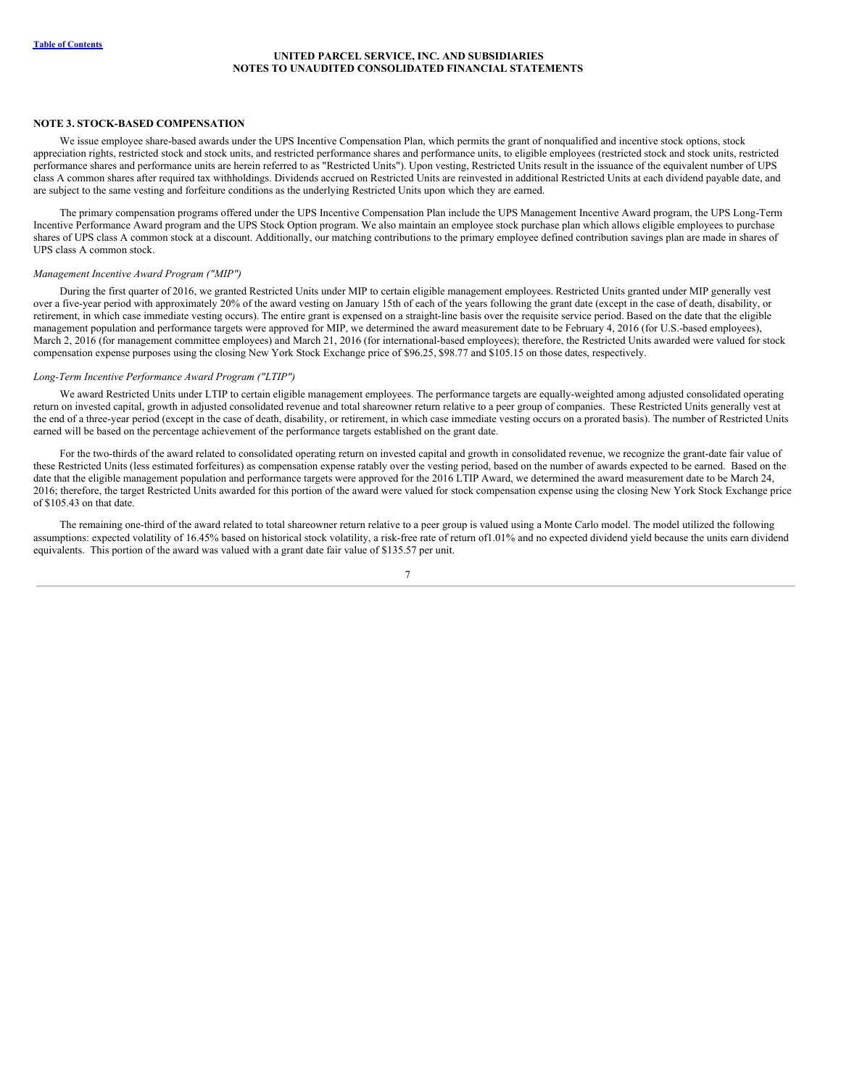### <span id="page-8-0"></span>**NOTE 3. STOCK-BASED COMPENSATION**

We issue employee share-based awards under the UPS Incentive Compensation Plan, which permits the grant of nonqualified and incentive stock options, stock appreciation rights, restricted stock and stock units, and restricted performance shares and performance units, to eligible employees (restricted stock and stock units, restricted performance shares and performance units are herein referred to as "Restricted Units"). Upon vesting, Restricted Units result in the issuance of the equivalent number of UPS class A common shares after required tax withholdings. Dividends accrued on Restricted Units are reinvested in additional Restricted Units at each dividend payable date, and are subject to the same vesting and forfeiture conditions as the underlying Restricted Units upon which they are earned.

The primary compensation programs offered under the UPS Incentive Compensation Plan include the UPS Management Incentive Award program, the UPS Long-Term Incentive Performance Award program and the UPS Stock Option program. We also maintain an employee stock purchase plan which allows eligible employees to purchase shares of UPS class A common stock at a discount. Additionally, our matching contributions to the primary employee defined contribution savings plan are made in shares of UPS class A common stock.

#### *Management Incentive Award Program ("MIP")*

During the first quarter of 2016, we granted Restricted Units under MIP to certain eligible management employees. Restricted Units granted under MIP generally vest over a five-year period with approximately 20% of the award vesting on January 15th of each of the years following the grant date (except in the case of death, disability, or retirement, in which case immediate vesting occurs). The entire grant is expensed on a straight-line basis over the requisite service period. Based on the date that the eligible management population and performance targets were approved for MIP, we determined the award measurement date to be February 4, 2016 (for U.S.-based employees), March 2, 2016 (for management committee employees) and March 21, 2016 (for international-based employees); therefore, the Restricted Units awarded were valued for stock compensation expense purposes using the closing New York Stock Exchange price of \$96.25, \$98.77 and \$105.15 on those dates, respectively.

### *Long-Term Incentive Performance Award Program ("LTIP")*

We award Restricted Units under LTIP to certain eligible management employees. The performance targets are equally-weighted among adjusted consolidated operating return on invested capital, growth in adjusted consolidated revenue and total shareowner return relative to a peer group of companies. These Restricted Units generally vest at the end of a three-year period (except in the case of death, disability, or retirement, in which case immediate vesting occurs on a prorated basis). The number of Restricted Units earned will be based on the percentage achievement of the performance targets established on the grant date.

For the two-thirds of the award related to consolidated operating return on invested capital and growth in consolidated revenue, we recognize the grant-date fair value of these Restricted Units (less estimated forfeitures) as compensation expense ratably over the vesting period, based on the number of awards expected to be earned. Based on the date that the eligible management population and performance targets were approved for the 2016 LTIP Award, we determined the award measurement date to be March 24, 2016; therefore, the target Restricted Units awarded for this portion of the award were valued for stock compensation expense using the closing New York Stock Exchange price of \$105.43 on that date.

The remaining one-third of the award related to total shareowner return relative to a peer group is valued using a Monte Carlo model. The model utilized the following assumptions: expected volatility of 16.45% based on historical stock volatility, a risk-free rate of return of1.01% and no expected dividend yield because the units earn dividend equivalents. This portion of the award was valued with a grant date fair value of \$135.57 per unit.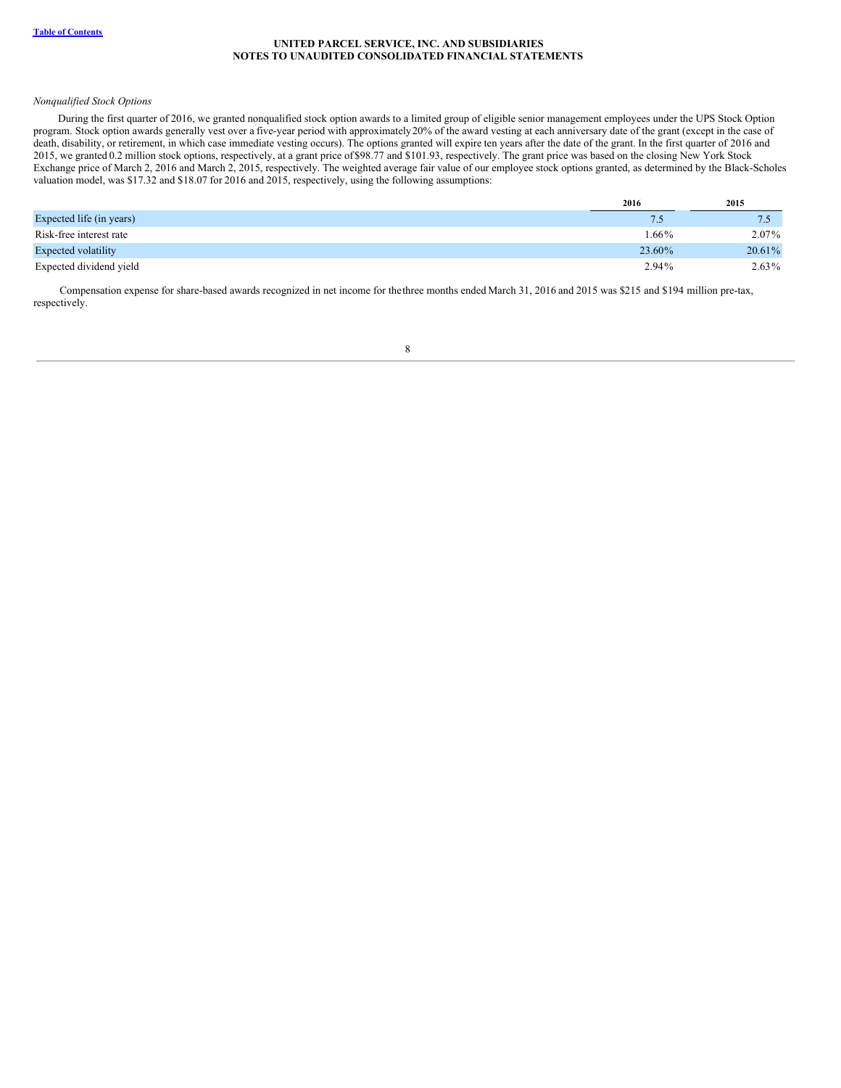### *Nonqualified Stock Options*

During the first quarter of 2016, we granted nonqualified stock option awards to a limited group of eligible senior management employees under the UPS Stock Option program. Stock option awards generally vest over a five-year period with approximately20% of the award vesting at each anniversary date of the grant (except in the case of death, disability, or retirement, in which case immediate vesting occurs). The options granted will expire ten years after the date of the grant. In the first quarter of 2016 and 2015, we granted 0.2 million stock options, respectively, at a grant price of \$98.77 and \$101.93, respectively. The grant price was based on the closing New York Stock Exchange price of March 2, 2016 and March 2, 2015, respectively. The weighted average fair value of our employee stock options granted, as determined by the Black-Scholes valuation model, was \$17.32 and \$18.07 for 2016 and 2015, respectively, using the following assumptions:

|                            | 2016     | 2015     |
|----------------------------|----------|----------|
| Expected life (in years)   | 7.5      | 7.5      |
| Risk-free interest rate    | $1.66\%$ | 2.07%    |
| <b>Expected volatility</b> | 23.60%   | 20.61%   |
| Expected dividend yield    | 2.94%    | $2.63\%$ |

Compensation expense for share-based awards recognized in net income for thethree months ended March 31, 2016 and 2015 was \$215 and \$194 million pre-tax, respectively.

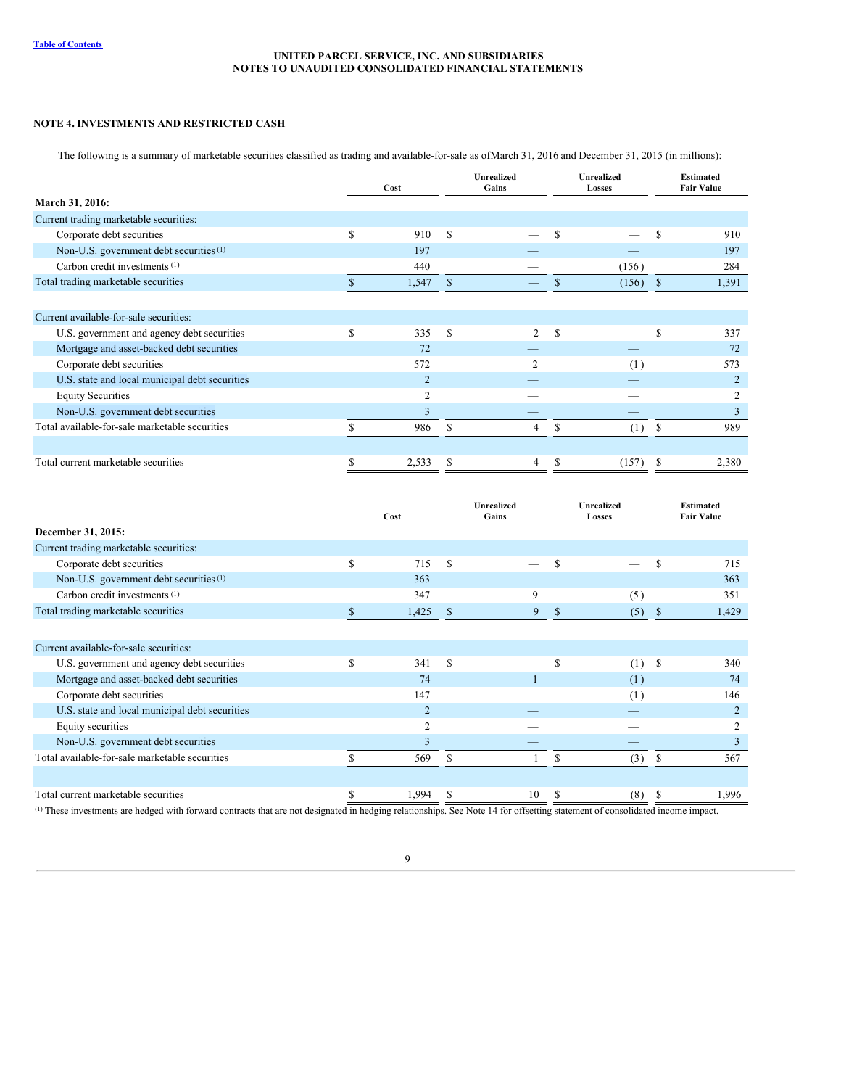# <span id="page-10-0"></span>**NOTE 4. INVESTMENTS AND RESTRICTED CASH**

The following is a summary of marketable securities classified as trading and available-for-sale as ofMarch 31, 2016 and December 31, 2015 (in millions):

|                                                |    | Cost           | Unrealized<br>Gains |                | Unrealized<br><b>Losses</b> |       |               | <b>Estimated</b><br><b>Fair Value</b> |
|------------------------------------------------|----|----------------|---------------------|----------------|-----------------------------|-------|---------------|---------------------------------------|
| March 31, 2016:                                |    |                |                     |                |                             |       |               |                                       |
| Current trading marketable securities:         |    |                |                     |                |                             |       |               |                                       |
| Corporate debt securities                      | S  | 910            | S                   |                | -S                          |       | S             | 910                                   |
| Non-U.S. government debt securities (1)        |    | 197            |                     |                |                             |       |               | 197                                   |
| Carbon credit investments <sup>(1)</sup>       |    | 440            |                     |                |                             | (156) |               | 284                                   |
| Total trading marketable securities            | \$ | 1,547          | $\mathbb{S}$        |                |                             | (156) | $\mathbb{S}$  | 1,391                                 |
|                                                |    |                |                     |                |                             |       |               |                                       |
| Current available-for-sale securities:         |    |                |                     |                |                             |       |               |                                       |
| U.S. government and agency debt securities     | \$ | 335            | S                   | 2              | <b>S</b>                    |       | S             | 337                                   |
| Mortgage and asset-backed debt securities      |    | 72             |                     |                |                             |       |               | 72                                    |
| Corporate debt securities                      |    | 572            |                     | $\overline{2}$ |                             | (1)   |               | 573                                   |
| U.S. state and local municipal debt securities |    | $\overline{2}$ |                     |                |                             |       |               | 2                                     |
| <b>Equity Securities</b>                       |    | $\overline{2}$ |                     |                |                             |       |               | 2                                     |
| Non-U.S. government debt securities            |    | 3              |                     |                |                             |       |               | 3                                     |
| Total available-for-sale marketable securities |    | 986            | S                   | 4              | S                           | (1)   | S             | 989                                   |
|                                                |    |                |                     |                |                             |       |               |                                       |
| Total current marketable securities            | S  | 2,533          | S                   | 4              | <sup>\$</sup>               | (157) | <sup>\$</sup> | 2,380                                 |

|                                                    |              | Cost           |             | <b>Unrealized</b><br>Gains |              | <b>Unrealized</b><br>Losses |              | <b>Estimated</b><br><b>Fair Value</b> |
|----------------------------------------------------|--------------|----------------|-------------|----------------------------|--------------|-----------------------------|--------------|---------------------------------------|
| December 31, 2015:                                 |              |                |             |                            |              |                             |              |                                       |
| Current trading marketable securities:             |              |                |             |                            |              |                             |              |                                       |
| Corporate debt securities                          | \$           | 715            | S           |                            |              |                             | S            | 715                                   |
| Non-U.S. government debt securities <sup>(1)</sup> |              | 363            |             |                            |              |                             |              | 363                                   |
| Carbon credit investments (1)                      |              | 347            |             | 9                          |              | (5)                         |              | 351                                   |
| Total trading marketable securities                | $\mathbf{s}$ | 1,425          | $\mathbf S$ | 9                          | $\mathbb{S}$ | (5)                         | $\mathbb{S}$ | 1,429                                 |
|                                                    |              |                |             |                            |              |                             |              |                                       |
| Current available-for-sale securities:             |              |                |             |                            |              |                             |              |                                       |
| U.S. government and agency debt securities         | S            | 341            | S           |                            | \$.          | (1)                         | \$           | 340                                   |
| Mortgage and asset-backed debt securities          |              | 74             |             |                            |              | (1)                         |              | 74                                    |
| Corporate debt securities                          |              | 147            |             |                            |              | (1)                         |              | 146                                   |
| U.S. state and local municipal debt securities     |              | $\overline{2}$ |             |                            |              |                             |              | $\overline{2}$                        |
| Equity securities                                  |              | $\overline{2}$ |             |                            |              |                             |              | $\overline{c}$                        |
| Non-U.S. government debt securities                |              | 3              |             |                            |              |                             |              | 3                                     |
| Total available-for-sale marketable securities     |              | 569            | S           |                            |              | (3)                         | S            | 567                                   |
|                                                    |              |                |             |                            |              |                             |              |                                       |
| Total current marketable securities                |              | 1,994          | S           | 10                         |              | (8)                         |              | 1,996                                 |

(1) These investments are hedged with forward contracts that are not designated in hedging relationships. See Note 14 for offsetting statement of consolidated income impact.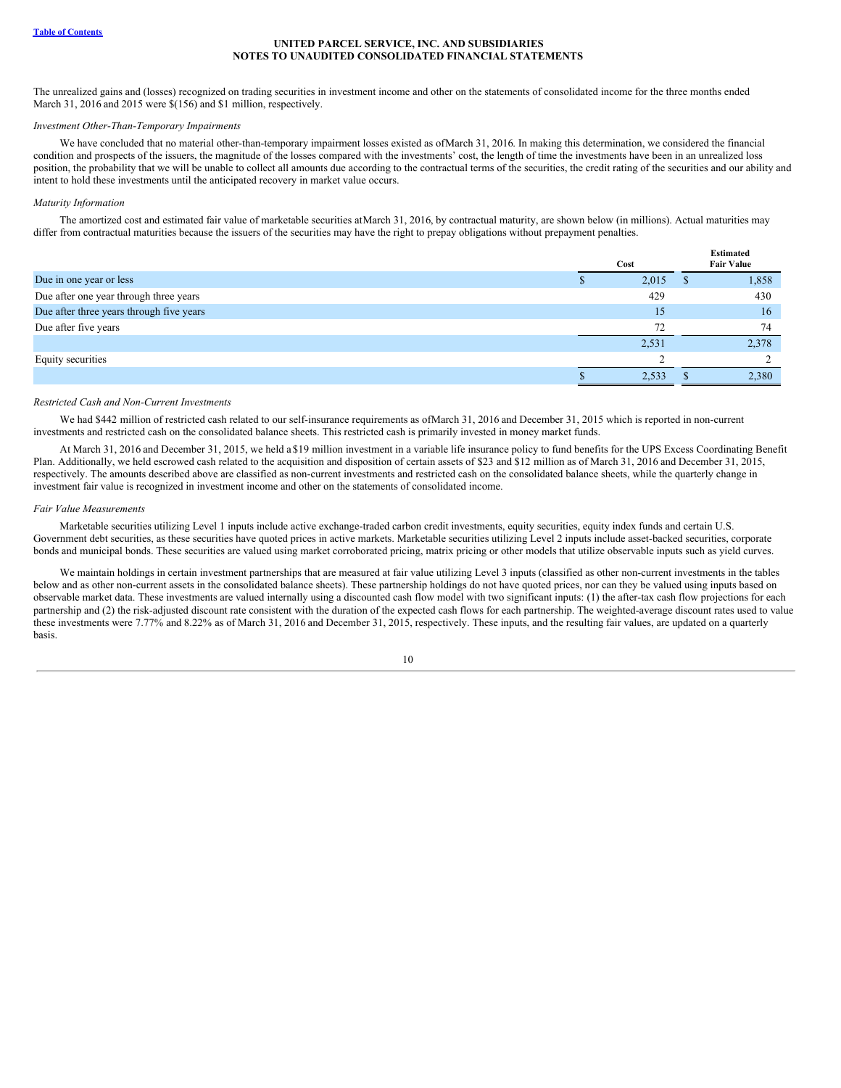The unrealized gains and (losses) recognized on trading securities in investment income and other on the statements of consolidated income for the three months ended March 31, 2016 and 2015 were \$(156) and \$1 million, respectively.

# *Investment Other-Than-Temporary Impairments*

We have concluded that no material other-than-temporary impairment losses existed as ofMarch 31, 2016. In making this determination, we considered the financial condition and prospects of the issuers, the magnitude of the losses compared with the investments' cost, the length of time the investments have been in an unrealized loss position, the probability that we will be unable to collect all amounts due according to the contractual terms of the securities, the credit rating of the securities and our ability and intent to hold these investments until the anticipated recovery in market value occurs.

### *Maturity Information*

The amortized cost and estimated fair value of marketable securities atMarch 31, 2016, by contractual maturity, are shown below (in millions). Actual maturities may differ from contractual maturities because the issuers of the securities may have the right to prepay obligations without prepayment penalties.

|                                          | Cost  | <b>Estimated</b><br><b>Fair Value</b> |
|------------------------------------------|-------|---------------------------------------|
| Due in one year or less                  | 2,015 | 1,858                                 |
| Due after one year through three years   | 429   | 430                                   |
| Due after three years through five years | 15    | 16                                    |
| Due after five years                     | 72    | 74                                    |
|                                          | 2,531 | 2,378                                 |
| Equity securities                        |       |                                       |
|                                          | 2,533 | 2,380                                 |

### *Restricted Cash and Non-Current Investments*

We had \$442 million of restricted cash related to our self-insurance requirements as ofMarch 31, 2016 and December 31, 2015 which is reported in non-current investments and restricted cash on the consolidated balance sheets. This restricted cash is primarily invested in money market funds.

At March 31, 2016 and December 31, 2015, we held a \$19 million investment in a variable life insurance policy to fund benefits for the UPS Excess Coordinating Benefit Plan. Additionally, we held escrowed cash related to the acquisition and disposition of certain assets of \$23 and \$12 million as of March 31, 2016 and December 31, 2015, respectively. The amounts described above are classified as non-current investments and restricted cash on the consolidated balance sheets, while the quarterly change in investment fair value is recognized in investment income and other on the statements of consolidated income.

### *Fair Value Measurements*

Marketable securities utilizing Level 1 inputs include active exchange-traded carbon credit investments, equity securities, equity index funds and certain U.S. Government debt securities, as these securities have quoted prices in active markets. Marketable securities utilizing Level 2 inputs include asset-backed securities, corporate bonds and municipal bonds. These securities are valued using market corroborated pricing, matrix pricing or other models that utilize observable inputs such as yield curves.

We maintain holdings in certain investment partnerships that are measured at fair value utilizing Level 3 inputs (classified as other non-current investments in the tables below and as other non-current assets in the consolidated balance sheets). These partnership holdings do not have quoted prices, nor can they be valued using inputs based on observable market data. These investments are valued internally using a discounted cash flow model with two significant inputs: (1) the after-tax cash flow projections for each partnership and (2) the risk-adjusted discount rate consistent with the duration of the expected cash flows for each partnership. The weighted-average discount rates used to value these investments were 7.77% and 8.22% as of March 31, 2016 and December 31, 2015, respectively. These inputs, and the resulting fair values, are updated on a quarterly basis.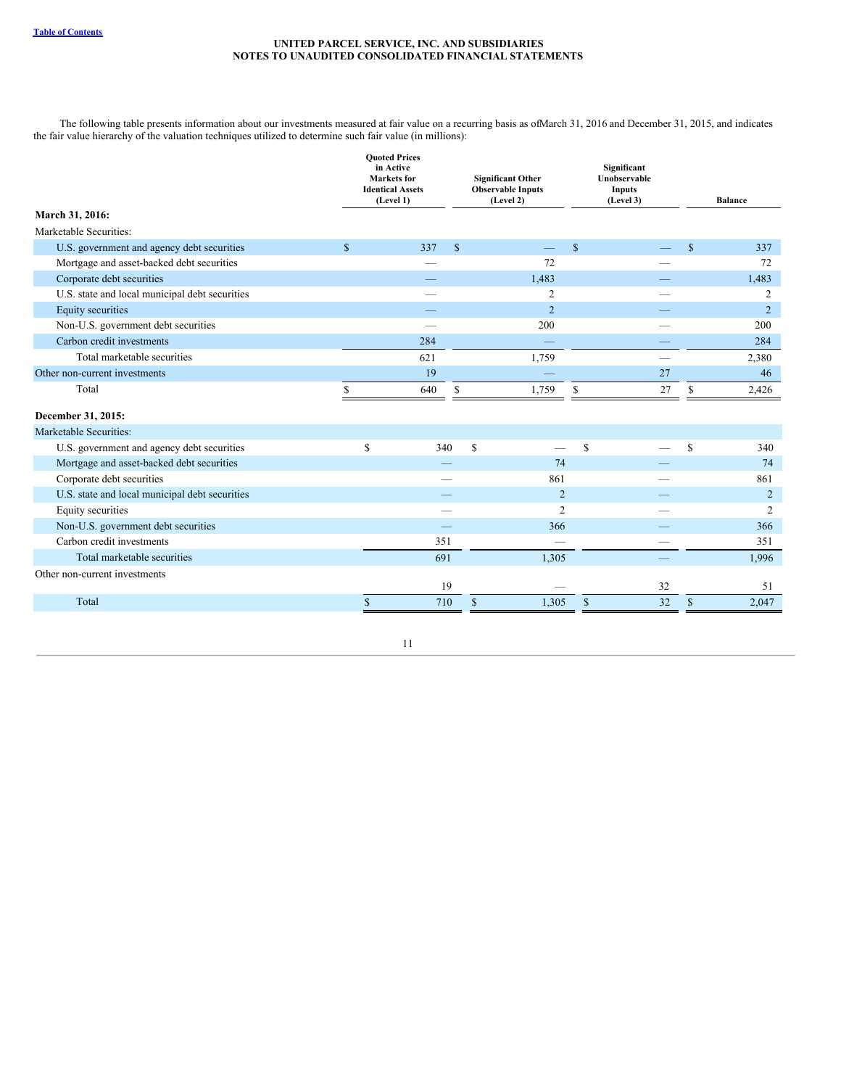The following table presents information about our investments measured at fair value on a recurring basis as ofMarch 31, 2016 and December 31, 2015, and indicates the fair value hierarchy of the valuation techniques utilized to determine such fair value (in millions):

|                                                |              | <b>Quoted Prices</b><br>in Active<br><b>Markets</b> for<br><b>Identical Assets</b><br>(Level 1) |               | <b>Significant Other</b><br><b>Observable Inputs</b><br>(Level 2) |               | Significant<br>Unobservable<br><b>Inputs</b><br>(Level 3) |              | <b>Balance</b> |
|------------------------------------------------|--------------|-------------------------------------------------------------------------------------------------|---------------|-------------------------------------------------------------------|---------------|-----------------------------------------------------------|--------------|----------------|
| March 31, 2016:                                |              |                                                                                                 |               |                                                                   |               |                                                           |              |                |
| Marketable Securities:                         |              |                                                                                                 |               |                                                                   |               |                                                           |              |                |
| U.S. government and agency debt securities     | $\mathbb{S}$ | 337                                                                                             | $\mathcal{S}$ |                                                                   | $\mathsf{\$}$ |                                                           | $\mathbb{S}$ | 337            |
| Mortgage and asset-backed debt securities      |              |                                                                                                 |               | 72                                                                |               |                                                           |              | 72             |
| Corporate debt securities                      |              |                                                                                                 |               | 1,483                                                             |               |                                                           |              | 1,483          |
| U.S. state and local municipal debt securities |              |                                                                                                 |               | $\overline{2}$                                                    |               |                                                           |              | 2              |
| Equity securities                              |              |                                                                                                 |               | $\overline{2}$                                                    |               |                                                           |              | $\overline{2}$ |
| Non-U.S. government debt securities            |              |                                                                                                 |               | 200                                                               |               |                                                           |              | 200            |
| Carbon credit investments                      |              | 284                                                                                             |               |                                                                   |               |                                                           |              | 284            |
| Total marketable securities                    |              | 621                                                                                             |               | 1,759                                                             |               |                                                           |              | 2,380          |
| Other non-current investments                  |              | 19                                                                                              |               |                                                                   |               | 27                                                        |              | 46             |
| Total                                          | S            | 640                                                                                             | \$            | 1,759                                                             | \$            | 27                                                        | \$           | 2,426          |
| December 31, 2015:                             |              |                                                                                                 |               |                                                                   |               |                                                           |              |                |
| Marketable Securities:                         |              |                                                                                                 |               |                                                                   |               |                                                           |              |                |
| U.S. government and agency debt securities     |              | \$<br>340                                                                                       |               | \$                                                                | \$            |                                                           | $\mathbf S$  | 340            |
| Mortgage and asset-backed debt securities      |              |                                                                                                 |               | 74                                                                |               |                                                           |              | 74             |
| Corporate debt securities                      |              |                                                                                                 |               | 861                                                               |               |                                                           |              | 861            |
| U.S. state and local municipal debt securities |              |                                                                                                 |               | $\overline{2}$                                                    |               |                                                           |              | 2              |
| Equity securities                              |              |                                                                                                 |               | $\overline{2}$                                                    |               |                                                           |              | $\overline{2}$ |
| Non-U.S. government debt securities            |              |                                                                                                 |               | 366                                                               |               |                                                           |              | 366            |
| Carbon credit investments                      |              | 351                                                                                             |               |                                                                   |               |                                                           |              | 351            |
| Total marketable securities                    |              | 691                                                                                             |               | 1,305                                                             |               |                                                           |              | 1,996          |
| Other non-current investments                  |              | 19                                                                                              |               |                                                                   |               | 32                                                        |              | 51             |
| Total                                          |              | $\mathbb{S}$<br>710                                                                             |               | $\mathbb{S}$<br>1,305                                             | \$            | 32                                                        | $\mathbb{S}$ | 2,047          |
|                                                |              |                                                                                                 |               |                                                                   |               |                                                           |              |                |

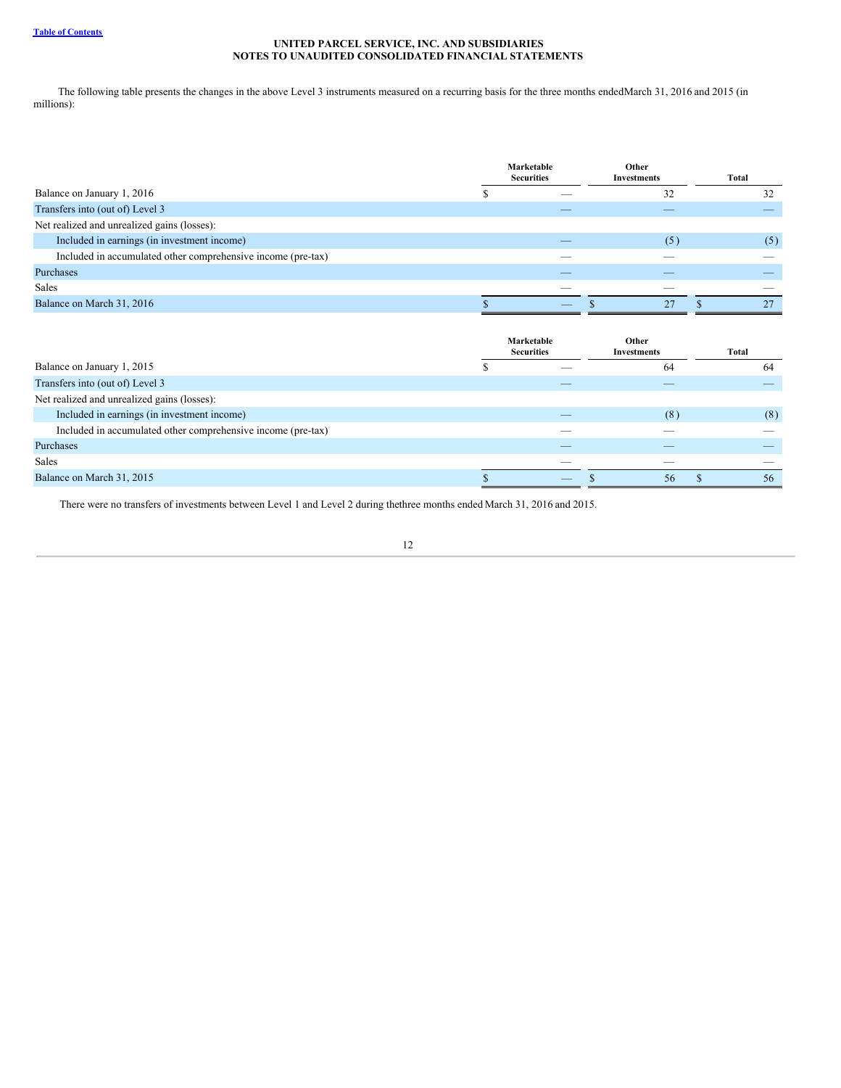The following table presents the changes in the above Level 3 instruments measured on a recurring basis for the three months endedMarch 31, 2016 and 2015 (in millions):

|                                                              | Marketable<br><b>Securities</b> |     | Other<br>Investments | Total |
|--------------------------------------------------------------|---------------------------------|-----|----------------------|-------|
| Balance on January 1, 2016                                   |                                 |     | 32                   | 32    |
| Transfers into (out of) Level 3                              |                                 |     |                      |       |
| Net realized and unrealized gains (losses):                  |                                 |     |                      |       |
| Included in earnings (in investment income)                  |                                 |     | (5)                  | (5)   |
| Included in accumulated other comprehensive income (pre-tax) |                                 |     |                      |       |
| Purchases                                                    |                                 |     |                      |       |
| Sales                                                        |                                 | $-$ | __                   | _     |
| Balance on March 31, 2016                                    |                                 | _   |                      | 27    |

|                                                              | Marketable<br><b>Securities</b> | Other<br>Investments | Total |
|--------------------------------------------------------------|---------------------------------|----------------------|-------|
| Balance on January 1, 2015                                   |                                 | 64                   | 64    |
| Transfers into (out of) Level 3                              |                                 |                      |       |
| Net realized and unrealized gains (losses):                  |                                 |                      |       |
| Included in earnings (in investment income)                  |                                 | (8)                  | (8)   |
| Included in accumulated other comprehensive income (pre-tax) |                                 |                      |       |
| Purchases                                                    |                                 |                      |       |
| Sales                                                        |                                 |                      |       |
| Balance on March 31, 2015                                    | $-$                             | 56                   | 56    |
|                                                              |                                 |                      |       |

There were no transfers of investments between Level 1 and Level 2 during thethree months ended March 31, 2016 and 2015.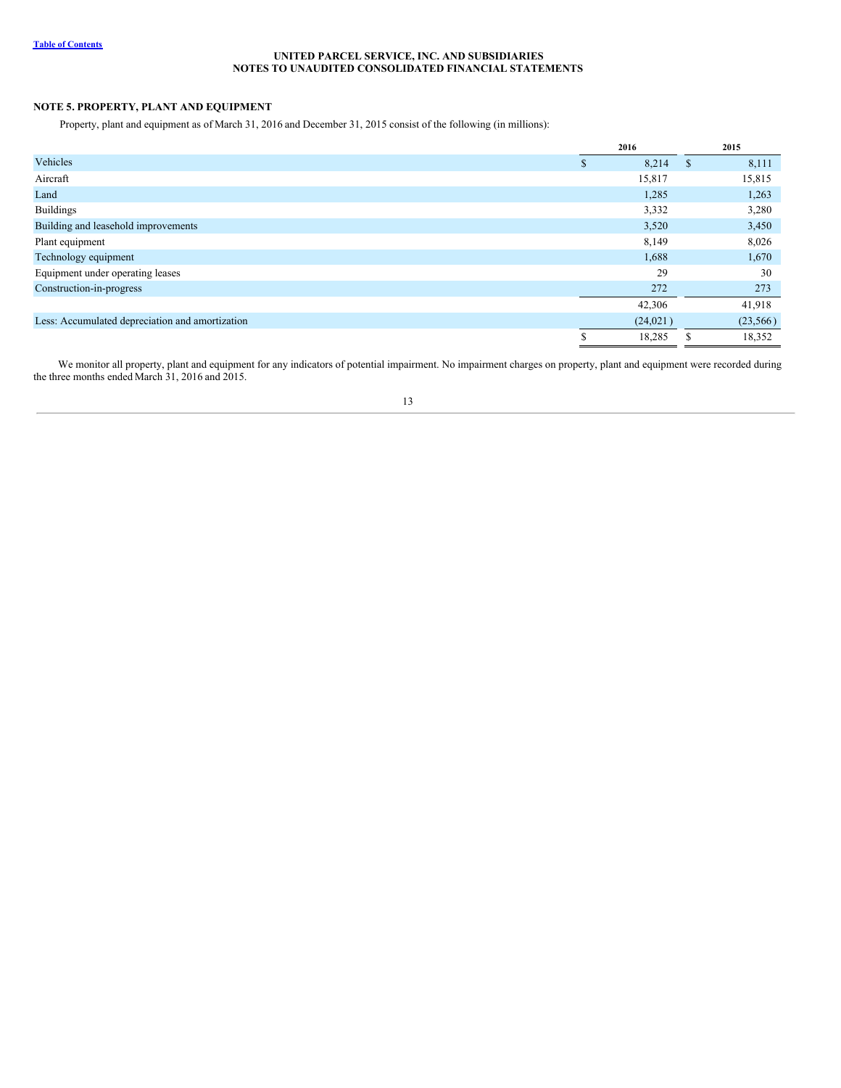# <span id="page-14-0"></span>**NOTE 5. PROPERTY, PLANT AND EQUIPMENT**

Property, plant and equipment as of March 31, 2016 and December 31, 2015 consist of the following (in millions):

|                                                 | 2016 |           |   | 2015      |
|-------------------------------------------------|------|-----------|---|-----------|
| Vehicles                                        | Ъ.   | 8,214     | S | 8,111     |
| Aircraft                                        |      | 15,817    |   | 15,815    |
| Land                                            |      | 1,285     |   | 1,263     |
| <b>Buildings</b>                                |      | 3,332     |   | 3,280     |
| Building and leasehold improvements             |      | 3,520     |   | 3,450     |
| Plant equipment                                 |      | 8,149     |   | 8,026     |
| Technology equipment                            |      | 1,688     |   | 1,670     |
| Equipment under operating leases                |      | 29        |   | 30        |
| Construction-in-progress                        |      | 272       |   | 273       |
|                                                 |      | 42,306    |   | 41,918    |
| Less: Accumulated depreciation and amortization |      | (24, 021) |   | (23, 566) |
|                                                 | J.   | 18,285    | S | 18,352    |

We monitor all property, plant and equipment for any indicators of potential impairment. No impairment charges on property, plant and equipment were recorded during the three months ended March 31, 2016 and 2015.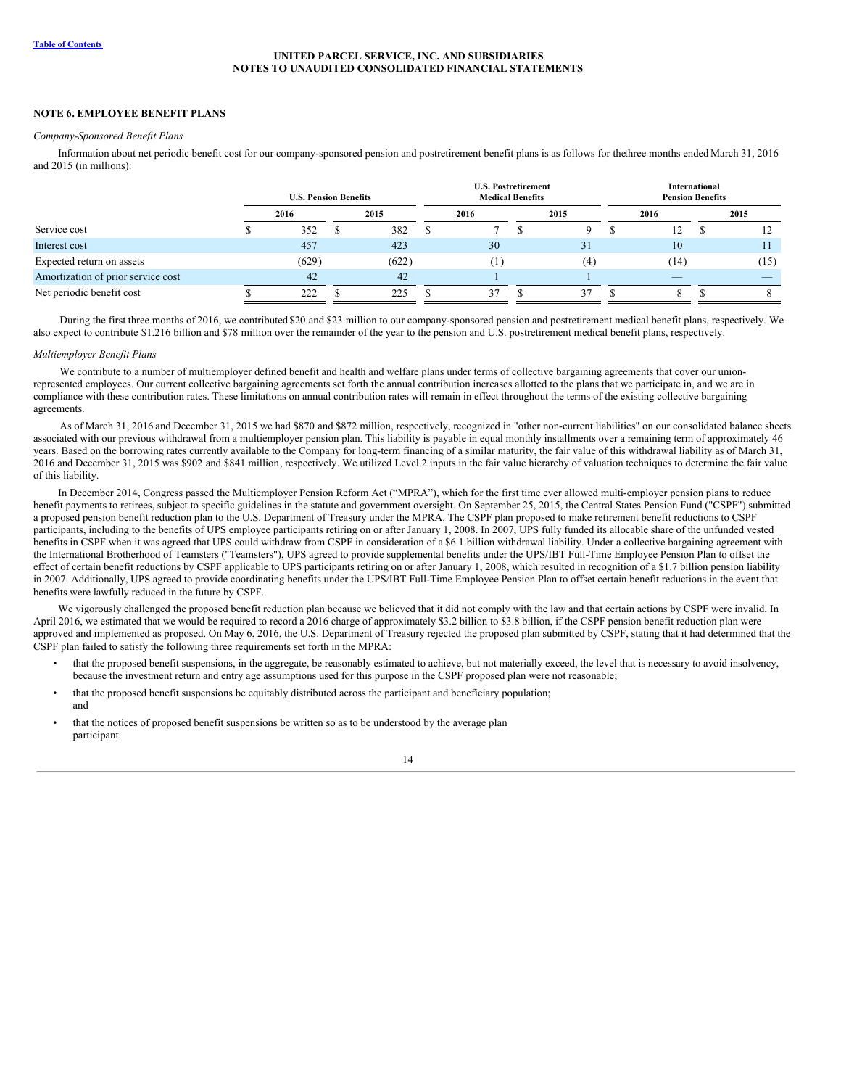# <span id="page-15-0"></span>**NOTE 6. EMPLOYEE BENEFIT PLANS**

### *Company-Sponsored Benefit Plans*

Information about net periodic benefit cost for our company-sponsored pension and postretirement benefit plans is as follows for thethree months ended March 31, 2016 and 2015 (in millions):

|                                    | <b>U.S. Pension Benefits</b> | <b>U.S. Postretirement</b><br><b>Medical Benefits</b> |  |                  |  | International<br><b>Pension Benefits</b> |  |                          |  |      |
|------------------------------------|------------------------------|-------------------------------------------------------|--|------------------|--|------------------------------------------|--|--------------------------|--|------|
|                                    | 2016                         | 2015                                                  |  | 2016             |  | 2015                                     |  | 2016                     |  | 2015 |
| Service cost                       | 352                          | 382                                                   |  |                  |  |                                          |  | 12                       |  | 12   |
| Interest cost                      | 457                          | 423                                                   |  | 30               |  | 31                                       |  | 10                       |  | 11   |
| Expected return on assets          | (629)                        | (622)                                                 |  | $\left(1\right)$ |  | (4)                                      |  | (14)                     |  | (15) |
| Amortization of prior service cost | 42                           | 42                                                    |  |                  |  |                                          |  | $\overline{\phantom{a}}$ |  |      |
| Net periodic benefit cost          | 222                          | 225                                                   |  | 37               |  | 37                                       |  | $\circ$                  |  |      |

During the first three months of 2016, we contributed \$20 and \$23 million to our company-sponsored pension and postretirement medical benefit plans, respectively. We also expect to contribute \$1.216 billion and \$78 million over the remainder of the year to the pension and U.S. postretirement medical benefit plans, respectively.

#### *Multiemployer Benefit Plans*

We contribute to a number of multiemployer defined benefit and health and welfare plans under terms of collective bargaining agreements that cover our unionrepresented employees. Our current collective bargaining agreements set forth the annual contribution increases allotted to the plans that we participate in, and we are in compliance with these contribution rates. These limitations on annual contribution rates will remain in effect throughout the terms of the existing collective bargaining agreements.

As of March 31, 2016 and December 31, 2015 we had \$870 and \$872 million, respectively, recognized in "other non-current liabilities" on our consolidated balance sheets associated with our previous withdrawal from a multiemployer pension plan. This liability is payable in equal monthly installments over a remaining term of approximately 46 years. Based on the borrowing rates currently available to the Company for long-term financing of a similar maturity, the fair value of this withdrawal liability as of March 31, 2016 and December 31, 2015 was \$902 and \$841 million, respectively. We utilized Level 2 inputs in the fair value hierarchy of valuation techniques to determine the fair value of this liability.

In December 2014, Congress passed the Multiemployer Pension Reform Act ("MPRA"), which for the first time ever allowed multi-employer pension plans to reduce benefit payments to retirees, subject to specific guidelines in the statute and government oversight. On September 25, 2015, the Central States Pension Fund ("CSPF") submitted a proposed pension benefit reduction plan to the U.S. Department of Treasury under the MPRA. The CSPF plan proposed to make retirement benefit reductions to CSPF participants, including to the benefits of UPS employee participants retiring on or after January 1, 2008. In 2007, UPS fully funded its allocable share of the unfunded vested benefits in CSPF when it was agreed that UPS could withdraw from CSPF in consideration of a \$6.1 billion withdrawal liability. Under a collective bargaining agreement with the International Brotherhood of Teamsters ("Teamsters"), UPS agreed to provide supplemental benefits under the UPS/IBT Full-Time Employee Pension Plan to offset the effect of certain benefit reductions by CSPF applicable to UPS participants retiring on or after January 1, 2008, which resulted in recognition of a \$1.7 billion pension liability in 2007. Additionally, UPS agreed to provide coordinating benefits under the UPS/IBT Full-Time Employee Pension Plan to offset certain benefit reductions in the event that benefits were lawfully reduced in the future by CSPF.

We vigorously challenged the proposed benefit reduction plan because we believed that it did not comply with the law and that certain actions by CSPF were invalid. In April 2016, we estimated that we would be required to record a 2016 charge of approximately \$3.2 billion to \$3.8 billion, if the CSPF pension benefit reduction plan were approved and implemented as proposed. On May 6, 2016, the U.S. Department of Treasury rejected the proposed plan submitted by CSPF, stating that it had determined that the CSPF plan failed to satisfy the following three requirements set forth in the MPRA:

- that the proposed benefit suspensions, in the aggregate, be reasonably estimated to achieve, but not materially exceed, the level that is necessary to avoid insolvency, because the investment return and entry age assumptions used for this purpose in the CSPF proposed plan were not reasonable;
- that the proposed benefit suspensions be equitably distributed across the participant and beneficiary population; and

• that the notices of proposed benefit suspensions be written so as to be understood by the average plan participant.

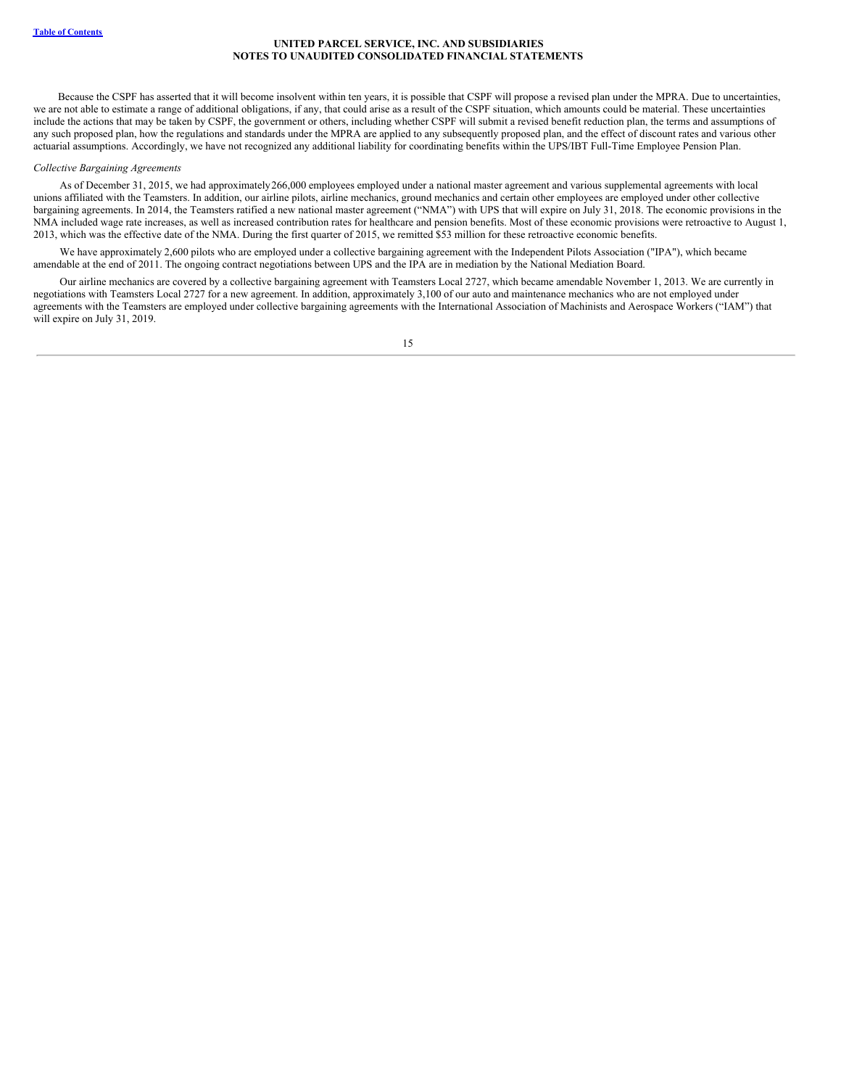Because the CSPF has asserted that it will become insolvent within ten years, it is possible that CSPF will propose a revised plan under the MPRA. Due to uncertainties, we are not able to estimate a range of additional obligations, if any, that could arise as a result of the CSPF situation, which amounts could be material. These uncertainties include the actions that may be taken by CSPF, the government or others, including whether CSPF will submit a revised benefit reduction plan, the terms and assumptions of any such proposed plan, how the regulations and standards under the MPRA are applied to any subsequently proposed plan, and the effect of discount rates and various other actuarial assumptions. Accordingly, we have not recognized any additional liability for coordinating benefits within the UPS/IBT Full-Time Employee Pension Plan.

# *Collective Bargaining Agreements*

As of December 31, 2015, we had approximately266,000 employees employed under a national master agreement and various supplemental agreements with local unions affiliated with the Teamsters. In addition, our airline pilots, airline mechanics, ground mechanics and certain other employees are employed under other collective bargaining agreements. In 2014, the Teamsters ratified a new national master agreement ("NMA") with UPS that will expire on July 31, 2018. The economic provisions in the NMA included wage rate increases, as well as increased contribution rates for healthcare and pension benefits. Most of these economic provisions were retroactive to August 1, 2013, which was the effective date of the NMA. During the first quarter of 2015, we remitted \$53 million for these retroactive economic benefits.

We have approximately 2,600 pilots who are employed under a collective bargaining agreement with the Independent Pilots Association ("IPA"), which became amendable at the end of 2011. The ongoing contract negotiations between UPS and the IPA are in mediation by the National Mediation Board.

Our airline mechanics are covered by a collective bargaining agreement with Teamsters Local 2727, which became amendable November 1, 2013. We are currently in negotiations with Teamsters Local 2727 for a new agreement. In addition, approximately 3,100 of our auto and maintenance mechanics who are not employed under agreements with the Teamsters are employed under collective bargaining agreements with the International Association of Machinists and Aerospace Workers ("IAM") that will expire on July 31, 2019.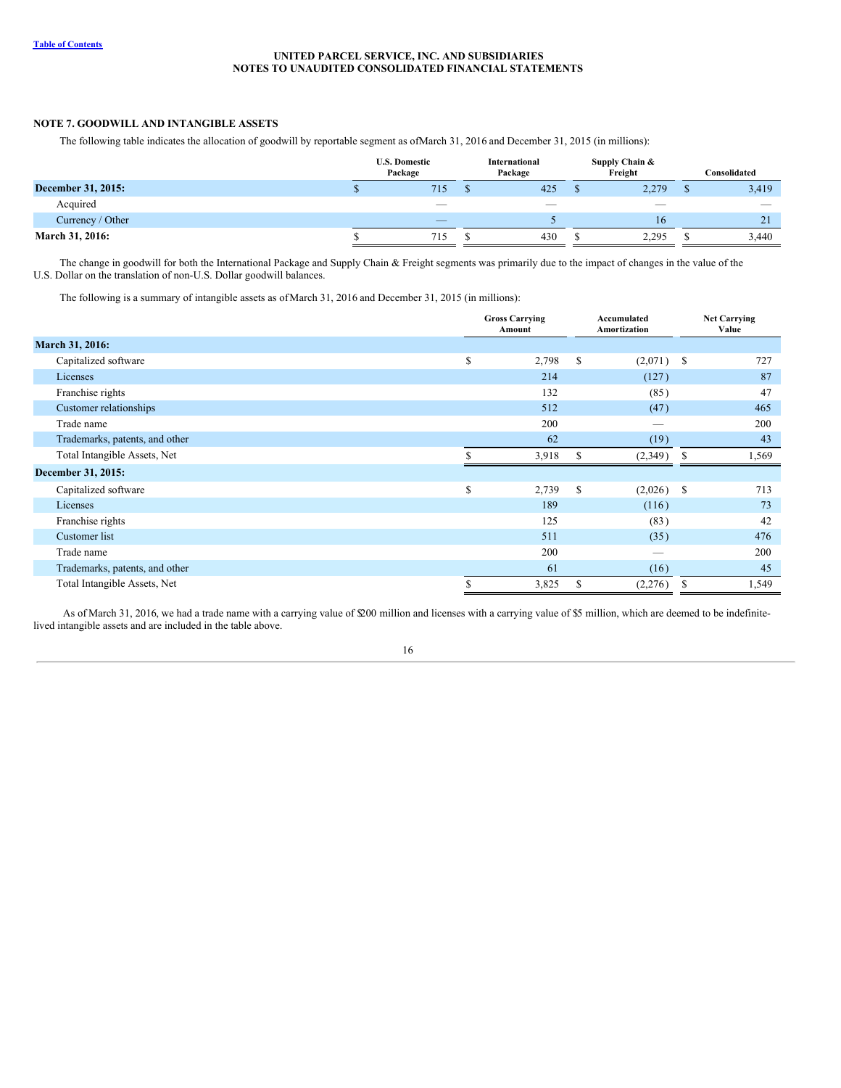# <span id="page-17-0"></span>**NOTE 7. GOODWILL AND INTANGIBLE ASSETS**

The following table indicates the allocation of goodwill by reportable segment as ofMarch 31, 2016 and December 31, 2015 (in millions):

|                           | <b>U.S. Domestic</b><br>International<br>Package<br>Package |                          | Supply Chain &<br>Freight |  |        | Consolidated |                          |
|---------------------------|-------------------------------------------------------------|--------------------------|---------------------------|--|--------|--------------|--------------------------|
| <b>December 31, 2015:</b> |                                                             | 715                      | 425                       |  | 2,279  | ιD           | 3,419                    |
| Acquired                  |                                                             | $\overline{\phantom{a}}$ | $\qquad \qquad$           |  | $\sim$ |              | $\overline{\phantom{a}}$ |
| Currency / Other          |                                                             | $\overline{\phantom{a}}$ |                           |  | 16.    |              | 21                       |
| March 31, 2016:           |                                                             | 715                      | 430                       |  | 2,295  |              | 3,440                    |

The change in goodwill for both the International Package and Supply Chain & Freight segments was primarily due to the impact of changes in the value of the U.S. Dollar on the translation of non-U.S. Dollar goodwill balances.

The following is a summary of intangible assets as ofMarch 31, 2016 and December 31, 2015 (in millions):

|                                |             | <b>Gross Carrying</b><br>Amount |   | Accumulated<br>Amortization |    |       | <b>Net Carrying</b><br>Value |
|--------------------------------|-------------|---------------------------------|---|-----------------------------|----|-------|------------------------------|
| March 31, 2016:                |             |                                 |   |                             |    |       |                              |
| Capitalized software           | $\mathbf S$ | 2,798                           | S | (2,071)                     | S  | 727   |                              |
| Licenses                       |             | 214                             |   | (127)                       |    | 87    |                              |
| Franchise rights               |             | 132                             |   | (85)                        |    | 47    |                              |
| Customer relationships         |             | 512                             |   | (47)                        |    | 465   |                              |
| Trade name                     |             | 200                             |   | $\hspace{0.05cm}$           |    | 200   |                              |
| Trademarks, patents, and other |             | 62                              |   | (19)                        |    | 43    |                              |
| Total Intangible Assets, Net   |             | 3,918                           | S | (2,349)                     | S  | 1,569 |                              |
| December 31, 2015:             |             |                                 |   |                             |    |       |                              |
| Capitalized software           | $\mathbf S$ | 2,739                           | S | (2,026)                     | S. | 713   |                              |
| Licenses                       |             | 189                             |   | (116)                       |    | 73    |                              |
| Franchise rights               |             | 125                             |   | (83)                        |    | 42    |                              |
| Customer list                  |             | 511                             |   | (35)                        |    | 476   |                              |
| Trade name                     |             | 200                             |   | $\hspace{0.05cm}$           |    | 200   |                              |
| Trademarks, patents, and other |             | 61                              |   | (16)                        |    | 45    |                              |
| Total Intangible Assets, Net   | \$          | 3,825                           | S | (2,276)                     | S  | 1,549 |                              |

As of March 31, 2016, we had a trade name with a carrying value of \$200 million and licenses with a carrying value of \$5 million, which are deemed to be indefinitelived intangible assets and are included in the table above.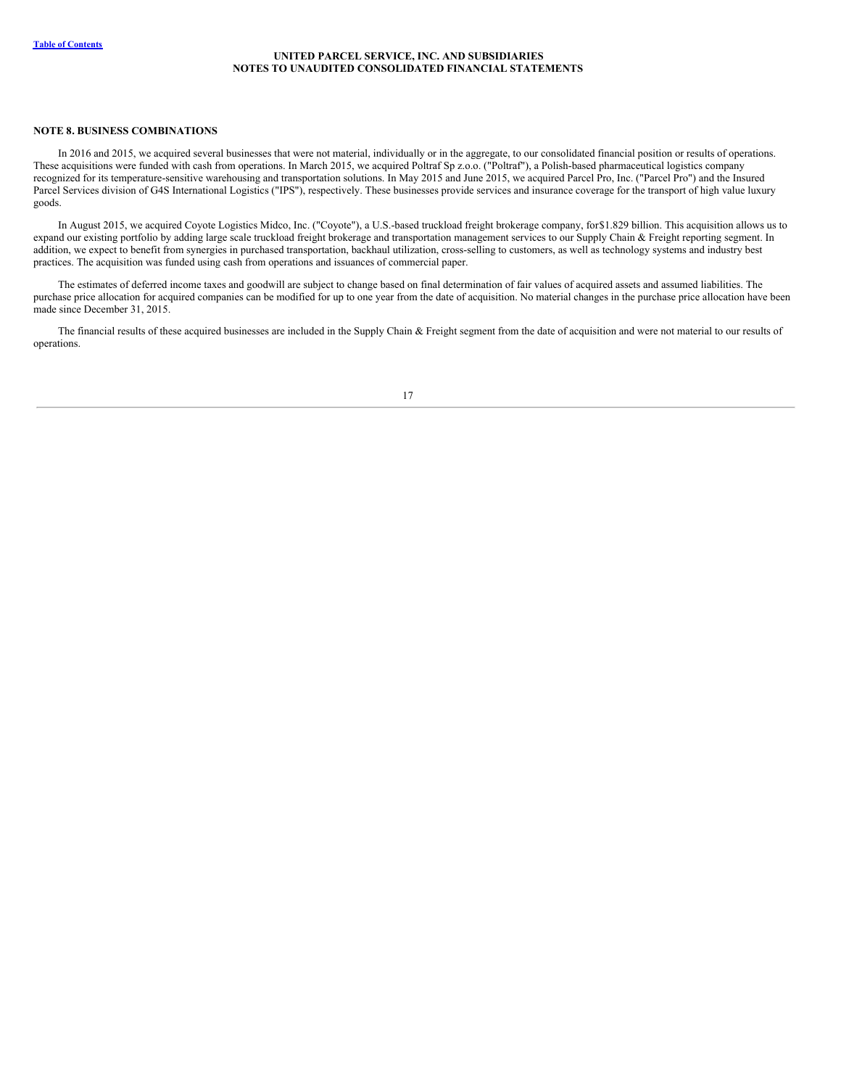# <span id="page-18-0"></span>**NOTE 8. BUSINESS COMBINATIONS**

In 2016 and 2015, we acquired several businesses that were not material, individually or in the aggregate, to our consolidated financial position or results of operations. These acquisitions were funded with cash from operations. In March 2015, we acquired Poltraf Sp z.o.o. ("Poltraf"), a Polish-based pharmaceutical logistics company recognized for its temperature-sensitive warehousing and transportation solutions. In May 2015 and June 2015, we acquired Parcel Pro, Inc. ("Parcel Pro") and the Insured Parcel Services division of G4S International Logistics ("IPS"), respectively. These businesses provide services and insurance coverage for the transport of high value luxury goods.

In August 2015, we acquired Coyote Logistics Midco, Inc. ("Coyote"), a U.S.-based truckload freight brokerage company, for\$1.829 billion. This acquisition allows us to expand our existing portfolio by adding large scale truckload freight brokerage and transportation management services to our Supply Chain & Freight reporting segment. In addition, we expect to benefit from synergies in purchased transportation, backhaul utilization, cross-selling to customers, as well as technology systems and industry best practices. The acquisition was funded using cash from operations and issuances of commercial paper.

The estimates of deferred income taxes and goodwill are subject to change based on final determination of fair values of acquired assets and assumed liabilities. The purchase price allocation for acquired companies can be modified for up to one year from the date of acquisition. No material changes in the purchase price allocation have been made since December 31, 2015.

The financial results of these acquired businesses are included in the Supply Chain & Freight segment from the date of acquisition and were not material to our results of operations.

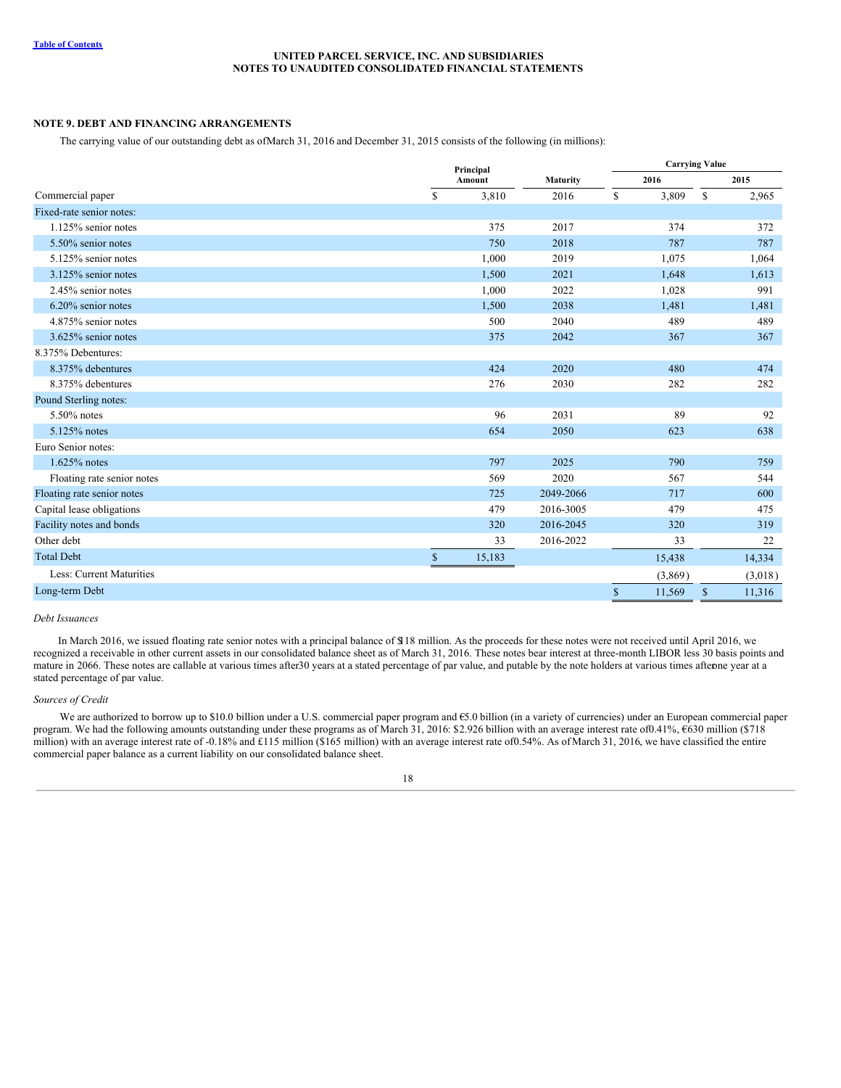# <span id="page-19-0"></span>**NOTE 9. DEBT AND FINANCING ARRANGEMENTS**

The carrying value of our outstanding debt as ofMarch 31, 2016 and December 31, 2015 consists of the following (in millions):

|                            |              | Principal |           |              | <b>Carrying Value</b> |              |         |
|----------------------------|--------------|-----------|-----------|--------------|-----------------------|--------------|---------|
|                            |              | Amount    | Maturity  |              | 2016                  |              | 2015    |
| Commercial paper           |              | 3,810     | 2016      | \$           | 3,809                 | $\mathbb{S}$ | 2,965   |
| Fixed-rate senior notes:   |              |           |           |              |                       |              |         |
| 1.125% senior notes        |              | 375       | 2017      |              | 374                   |              | 372     |
| 5.50% senior notes         |              | 750       | 2018      |              | 787                   |              | 787     |
| 5.125% senior notes        |              | 1,000     | 2019      |              | 1,075                 |              | 1,064   |
| 3.125% senior notes        |              | 1,500     | 2021      |              | 1,648                 |              | 1,613   |
| 2.45% senior notes         |              | 1,000     | 2022      |              | 1,028                 |              | 991     |
| 6.20% senior notes         |              | 1,500     | 2038      |              | 1,481                 |              | 1,481   |
| 4.875% senior notes        |              | 500       | 2040      |              | 489                   |              | 489     |
| 3.625% senior notes        |              | 375       | 2042      |              | 367                   |              | 367     |
| 8.375% Debentures:         |              |           |           |              |                       |              |         |
| 8.375% debentures          |              | 424       | 2020      |              | 480                   |              | 474     |
| 8.375% debentures          |              | 276       | 2030      |              | 282                   |              | 282     |
| Pound Sterling notes:      |              |           |           |              |                       |              |         |
| $5.50\%$ notes             |              | 96        | 2031      |              | 89                    |              | 92      |
| 5.125% notes               |              | 654       | 2050      |              | 623                   |              | 638     |
| Euro Senior notes:         |              |           |           |              |                       |              |         |
| $1.625\%$ notes            |              | 797       | 2025      |              | 790                   |              | 759     |
| Floating rate senior notes |              | 569       | 2020      |              | 567                   |              | 544     |
| Floating rate senior notes |              | 725       | 2049-2066 |              | 717                   |              | 600     |
| Capital lease obligations  |              | 479       | 2016-3005 |              | 479                   |              | 475     |
| Facility notes and bonds   |              | 320       | 2016-2045 |              | 320                   |              | 319     |
| Other debt                 |              | 33        | 2016-2022 |              | 33                    |              | 22      |
| <b>Total Debt</b>          | $\mathbb{S}$ | 15,183    |           |              | 15,438                |              | 14,334  |
| Less: Current Maturities   |              |           |           |              | (3,869)               |              | (3,018) |
| Long-term Debt             |              |           |           | $\mathbb{S}$ | 11,569                | $\mathbb{S}$ | 11,316  |

#### *Debt Issuances*

In March 2016, we issued floating rate senior notes with a principal balance of \$118 million. As the proceeds for these notes were not received until April 2016, we recognized a receivable in other current assets in our consolidated balance sheet as of March 31, 2016. These notes bear interest at three-month LIBOR less 30 basis points and mature in 2066. These notes are callable at various times after30 years at a stated percentage of par value, and putable by the note holders at various times afterone year at a stated percentage of par value.

# *Sources of Credit*

We are authorized to borrow up to \$10.0 billion under a U.S. commercial paper program and €5.0 billion (in a variety of currencies) under an European commercial paper program. We had the following amounts outstanding under these programs as of March 31, 2016: \$2.926 billion with an average interest rate of0.41%,  $6530$  million (\$718 million) with an average interest rate of -0.18% and £115 million (\$165 million) with an average interest rate of0.54%. As of March 31, 2016, we have classified the entire commercial paper balance as a current liability on our consolidated balance sheet.

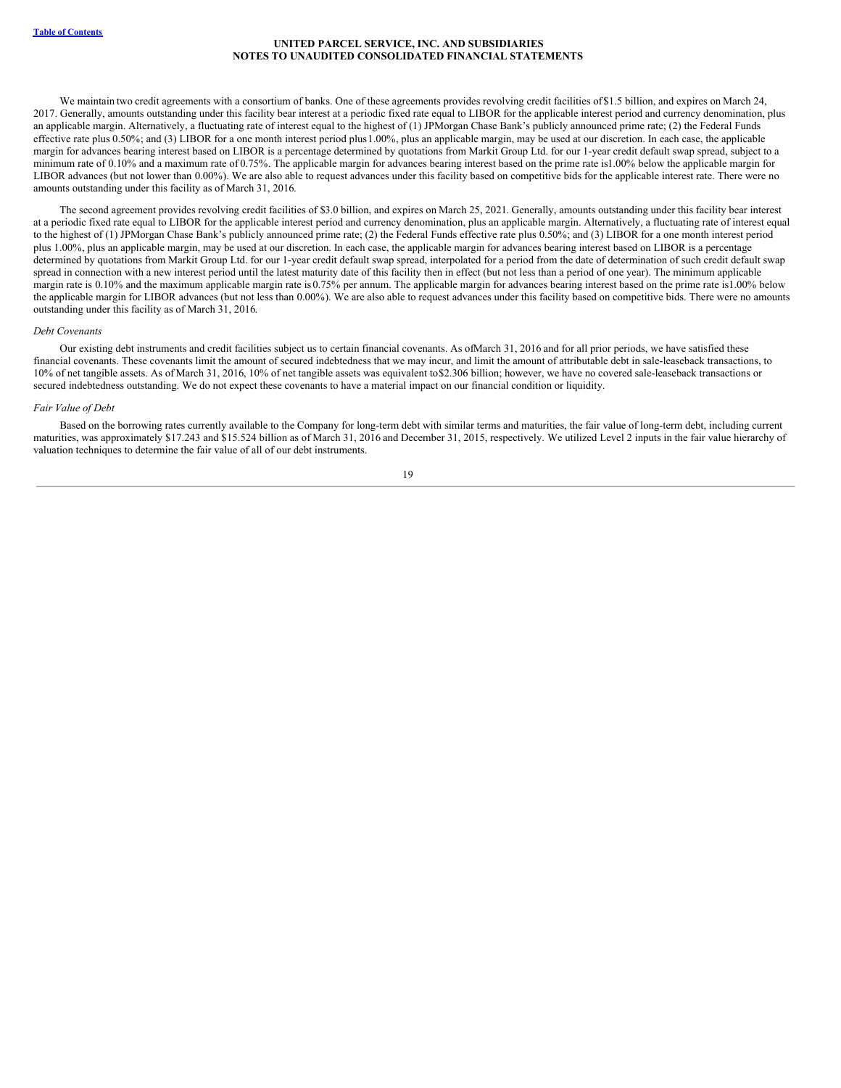We maintain two credit agreements with a consortium of banks. One of these agreements provides revolving credit facilities of \$1.5 billion, and expires on March 24, 2017. Generally, amounts outstanding under this facility bear interest at a periodic fixed rate equal to LIBOR for the applicable interest period and currency denomination, plus an applicable margin. Alternatively, a fluctuating rate of interest equal to the highest of (1) JPMorgan Chase Bank's publicly announced prime rate; (2) the Federal Funds effective rate plus 0.50%; and (3) LIBOR for a one month interest period plus1.00%, plus an applicable margin, may be used at our discretion. In each case, the applicable margin for advances bearing interest based on LIBOR is a percentage determined by quotations from Markit Group Ltd. for our 1-year credit default swap spread, subject to a minimum rate of 0.10% and a maximum rate of 0.75%. The applicable margin for advances bearing interest based on the prime rate is1.00% below the applicable margin for LIBOR advances (but not lower than 0.00%). We are also able to request advances under this facility based on competitive bids for the applicable interest rate. There were no amounts outstanding under this facility as of March 31, 2016.

The second agreement provides revolving credit facilities of \$3.0 billion, and expires on March 25, 2021. Generally, amounts outstanding under this facility bear interest at a periodic fixed rate equal to LIBOR for the applicable interest period and currency denomination, plus an applicable margin. Alternatively, a fluctuating rate of interest equal to the highest of (1) JPMorgan Chase Bank's publicly announced prime rate; (2) the Federal Funds effective rate plus 0.50%; and (3) LIBOR for a one month interest period plus 1.00%, plus an applicable margin, may be used at our discretion. In each case, the applicable margin for advances bearing interest based on LIBOR is a percentage determined by quotations from Markit Group Ltd. for our 1-year credit default swap spread, interpolated for a period from the date of determination of such credit default swap spread in connection with a new interest period until the latest maturity date of this facility then in effect (but not less than a period of one year). The minimum applicable margin rate is 0.10% and the maximum applicable margin rate is0.75% per annum. The applicable margin for advances bearing interest based on the prime rate is1.00% below the applicable margin for LIBOR advances (but not less than 0.00%). We are also able to request advances under this facility based on competitive bids. There were no amounts outstanding under this facility as of March 31, 2016.

### *Debt Covenants*

Our existing debt instruments and credit facilities subject us to certain financial covenants. As ofMarch 31, 2016 and for all prior periods, we have satisfied these financial covenants. These covenants limit the amount of secured indebtedness that we may incur, and limit the amount of attributable debt in sale-leaseback transactions, to 10% of net tangible assets. As of March 31, 2016, 10% of net tangible assets was equivalent to\$2.306 billion; however, we have no covered sale-leaseback transactions or secured indebtedness outstanding. We do not expect these covenants to have a material impact on our financial condition or liquidity.

#### *Fair Value of Debt*

Based on the borrowing rates currently available to the Company for long-term debt with similar terms and maturities, the fair value of long-term debt, including current maturities, was approximately \$17.243 and \$15.524 billion as of March 31, 2016 and December 31, 2015, respectively. We utilized Level 2 inputs in the fair value hierarchy of valuation techniques to determine the fair value of all of our debt instruments.

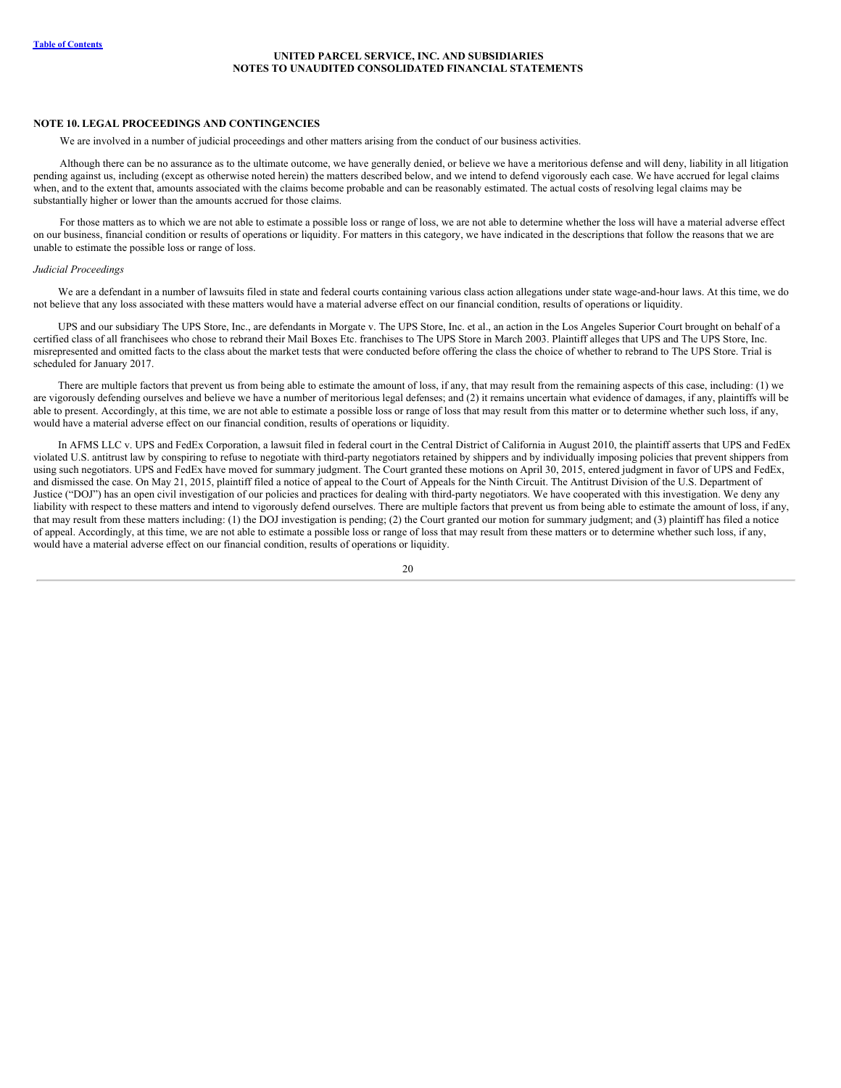### <span id="page-21-0"></span>**NOTE 10. LEGAL PROCEEDINGS AND CONTINGENCIES**

We are involved in a number of judicial proceedings and other matters arising from the conduct of our business activities.

Although there can be no assurance as to the ultimate outcome, we have generally denied, or believe we have a meritorious defense and will deny, liability in all litigation pending against us, including (except as otherwise noted herein) the matters described below, and we intend to defend vigorously each case. We have accrued for legal claims when, and to the extent that, amounts associated with the claims become probable and can be reasonably estimated. The actual costs of resolving legal claims may be substantially higher or lower than the amounts accrued for those claims.

For those matters as to which we are not able to estimate a possible loss or range of loss, we are not able to determine whether the loss will have a material adverse effect on our business, financial condition or results of operations or liquidity. For matters in this category, we have indicated in the descriptions that follow the reasons that we are unable to estimate the possible loss or range of loss.

### *Judicial Proceedings*

We are a defendant in a number of lawsuits filed in state and federal courts containing various class action allegations under state wage-and-hour laws. At this time, we do not believe that any loss associated with these matters would have a material adverse effect on our financial condition, results of operations or liquidity.

UPS and our subsidiary The UPS Store, Inc., are defendants in Morgate v. The UPS Store, Inc. et al., an action in the Los Angeles Superior Court brought on behalf of a certified class of all franchisees who chose to rebrand their Mail Boxes Etc. franchises to The UPS Store in March 2003. Plaintiff alleges that UPS and The UPS Store, Inc. misrepresented and omitted facts to the class about the market tests that were conducted before offering the class the choice of whether to rebrand to The UPS Store. Trial is scheduled for January 2017.

There are multiple factors that prevent us from being able to estimate the amount of loss, if any, that may result from the remaining aspects of this case, including: (1) we are vigorously defending ourselves and believe we have a number of meritorious legal defenses; and (2) it remains uncertain what evidence of damages, if any, plaintiffs will be able to present. Accordingly, at this time, we are not able to estimate a possible loss or range of loss that may result from this matter or to determine whether such loss, if any, would have a material adverse effect on our financial condition, results of operations or liquidity.

In AFMS LLC v. UPS and FedEx Corporation, a lawsuit filed in federal court in the Central District of California in August 2010, the plaintiff asserts that UPS and FedEx violated U.S. antitrust law by conspiring to refuse to negotiate with third-party negotiators retained by shippers and by individually imposing policies that prevent shippers from using such negotiators. UPS and FedEx have moved for summary judgment. The Court granted these motions on April 30, 2015, entered judgment in favor of UPS and FedEx, and dismissed the case. On May 21, 2015, plaintiff filed a notice of appeal to the Court of Appeals for the Ninth Circuit. The Antitrust Division of the U.S. Department of Justice ("DOJ") has an open civil investigation of our policies and practices for dealing with third-party negotiators. We have cooperated with this investigation. We deny any liability with respect to these matters and intend to vigorously defend ourselves. There are multiple factors that prevent us from being able to estimate the amount of loss, if any, that may result from these matters including: (1) the DOJ investigation is pending; (2) the Court granted our motion for summary judgment; and (3) plaintiff has filed a notice of appeal. Accordingly, at this time, we are not able to estimate a possible loss or range of loss that may result from these matters or to determine whether such loss, if any, would have a material adverse effect on our financial condition, results of operations or liquidity.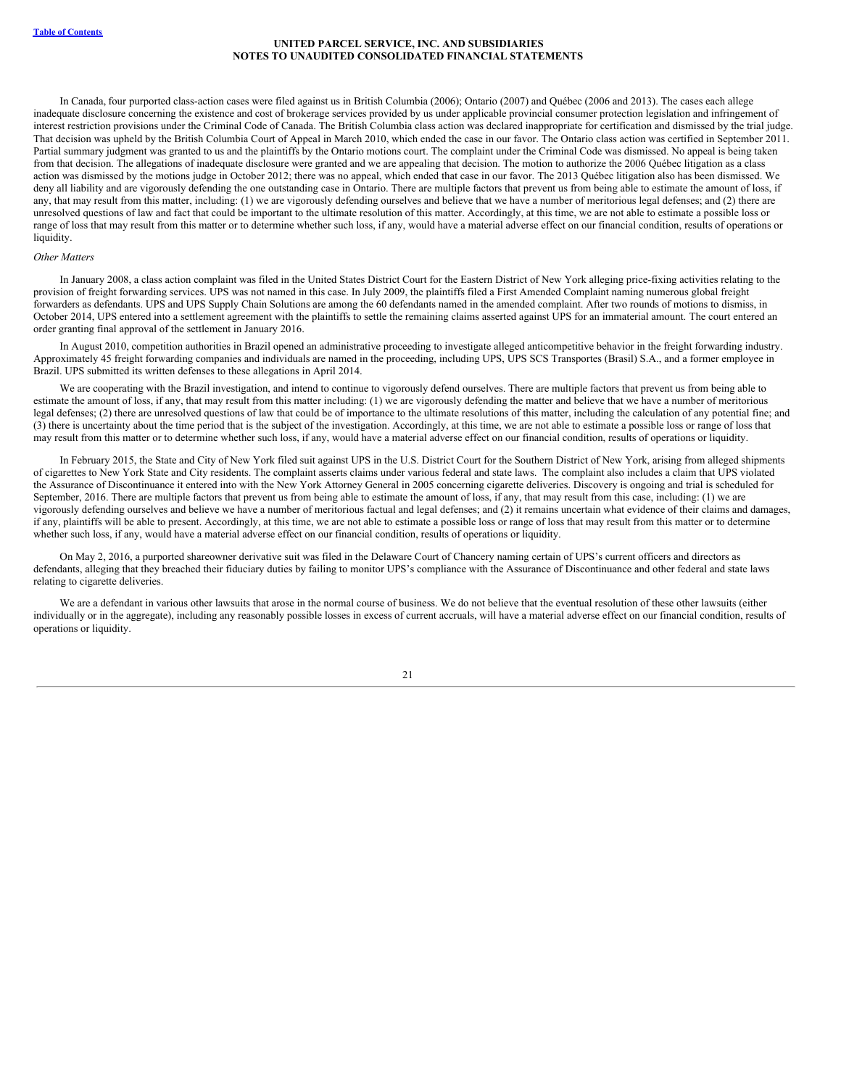In Canada, four purported class-action cases were filed against us in British Columbia (2006); Ontario (2007) and Québec (2006 and 2013). The cases each allege inadequate disclosure concerning the existence and cost of brokerage services provided by us under applicable provincial consumer protection legislation and infringement of interest restriction provisions under the Criminal Code of Canada. The British Columbia class action was declared inappropriate for certification and dismissed by the trial judge. That decision was upheld by the British Columbia Court of Appeal in March 2010, which ended the case in our favor. The Ontario class action was certified in September 2011. Partial summary judgment was granted to us and the plaintiffs by the Ontario motions court. The complaint under the Criminal Code was dismissed. No appeal is being taken from that decision. The allegations of inadequate disclosure were granted and we are appealing that decision. The motion to authorize the 2006 Québec litigation as a class action was dismissed by the motions judge in October 2012; there was no appeal, which ended that case in our favor. The 2013 Québec litigation also has been dismissed. We deny all liability and are vigorously defending the one outstanding case in Ontario. There are multiple factors that prevent us from being able to estimate the amount of loss, if any, that may result from this matter, including: (1) we are vigorously defending ourselves and believe that we have a number of meritorious legal defenses; and (2) there are unresolved questions of law and fact that could be important to the ultimate resolution of this matter. Accordingly, at this time, we are not able to estimate a possible loss or range of loss that may result from this matter or to determine whether such loss, if any, would have a material adverse effect on our financial condition, results of operations or liquidity.

### *Other Matters*

In January 2008, a class action complaint was filed in the United States District Court for the Eastern District of New York alleging price-fixing activities relating to the provision of freight forwarding services. UPS was not named in this case. In July 2009, the plaintiffs filed a First Amended Complaint naming numerous global freight forwarders as defendants. UPS and UPS Supply Chain Solutions are among the 60 defendants named in the amended complaint. After two rounds of motions to dismiss, in October 2014, UPS entered into a settlement agreement with the plaintiffs to settle the remaining claims asserted against UPS for an immaterial amount. The court entered an order granting final approval of the settlement in January 2016.

In August 2010, competition authorities in Brazil opened an administrative proceeding to investigate alleged anticompetitive behavior in the freight forwarding industry. Approximately 45 freight forwarding companies and individuals are named in the proceeding, including UPS, UPS SCS Transportes (Brasil) S.A., and a former employee in Brazil. UPS submitted its written defenses to these allegations in April 2014.

We are cooperating with the Brazil investigation, and intend to continue to vigorously defend ourselves. There are multiple factors that prevent us from being able to estimate the amount of loss, if any, that may result from this matter including: (1) we are vigorously defending the matter and believe that we have a number of meritorious legal defenses; (2) there are unresolved questions of law that could be of importance to the ultimate resolutions of this matter, including the calculation of any potential fine; and (3) there is uncertainty about the time period that is the subject of the investigation. Accordingly, at this time, we are not able to estimate a possible loss or range of loss that may result from this matter or to determine whether such loss, if any, would have a material adverse effect on our financial condition, results of operations or liquidity.

In February 2015, the State and City of New York filed suit against UPS in the U.S. District Court for the Southern District of New York, arising from alleged shipments of cigarettes to New York State and City residents. The complaint asserts claims under various federal and state laws. The complaint also includes a claim that UPS violated the Assurance of Discontinuance it entered into with the New York Attorney General in 2005 concerning cigarette deliveries. Discovery is ongoing and trial is scheduled for September, 2016. There are multiple factors that prevent us from being able to estimate the amount of loss, if any, that may result from this case, including: (1) we are vigorously defending ourselves and believe we have a number of meritorious factual and legal defenses; and (2) it remains uncertain what evidence of their claims and damages, if any, plaintiffs will be able to present. Accordingly, at this time, we are not able to estimate a possible loss or range of loss that may result from this matter or to determine whether such loss, if any, would have a material adverse effect on our financial condition, results of operations or liquidity.

On May 2, 2016, a purported shareowner derivative suit was filed in the Delaware Court of Chancery naming certain of UPS's current officers and directors as defendants, alleging that they breached their fiduciary duties by failing to monitor UPS's compliance with the Assurance of Discontinuance and other federal and state laws relating to cigarette deliveries.

We are a defendant in various other lawsuits that arose in the normal course of business. We do not believe that the eventual resolution of these other lawsuits (either individually or in the aggregate), including any reasonably possible losses in excess of current accruals, will have a material adverse effect on our financial condition, results of operations or liquidity.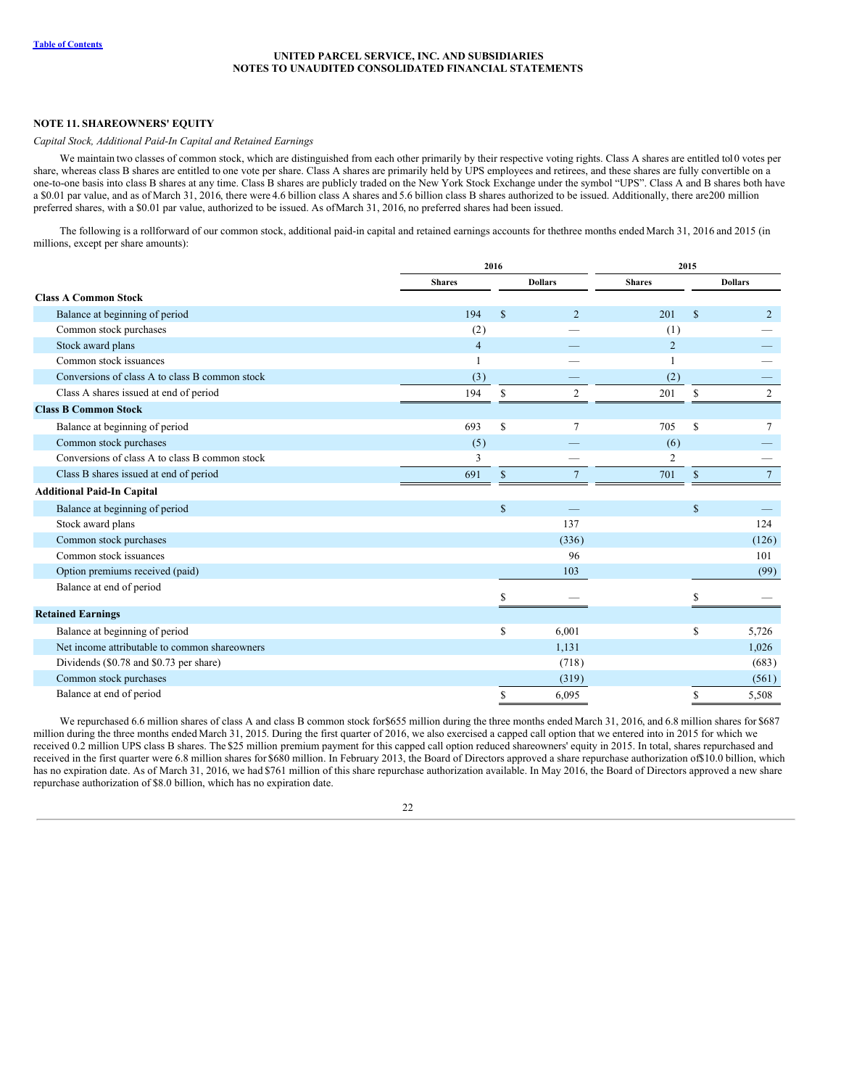# <span id="page-23-0"></span>**NOTE 11. SHAREOWNERS' EQUITY**

# *Capital Stock, Additional Paid-In Capital and Retained Earnings*

We maintain two classes of common stock, which are distinguished from each other primarily by their respective voting rights. Class A shares are entitled to10 votes per share, whereas class B shares are entitled to one vote per share. Class A shares are primarily held by UPS employees and retirees, and these shares are fully convertible on a one-to-one basis into class B shares at any time. Class B shares are publicly traded on the New York Stock Exchange under the symbol "UPS". Class A and B shares both have a \$0.01 par value, and as of March 31, 2016, there were 4.6 billion class A shares and 5.6 billion class B shares authorized to be issued. Additionally, there are 200 million preferred shares, with a \$0.01 par value, authorized to be issued. As ofMarch 31, 2016, no preferred shares had been issued.

The following is a rollforward of our common stock, additional paid-in capital and retained earnings accounts for thethree months ended March 31, 2016 and 2015 (in millions, except per share amounts):

|                                                |                | 2016         |                 |                | 2015          |                |  |  |
|------------------------------------------------|----------------|--------------|-----------------|----------------|---------------|----------------|--|--|
|                                                | <b>Shares</b>  |              | <b>Dollars</b>  | <b>Shares</b>  |               | <b>Dollars</b> |  |  |
| <b>Class A Common Stock</b>                    |                |              |                 |                |               |                |  |  |
| Balance at beginning of period                 | 194            | $\mathbb{S}$ | $\overline{2}$  | 201            | $\mathbf S$   | 2              |  |  |
| Common stock purchases                         | (2)            |              |                 | (1)            |               |                |  |  |
| Stock award plans                              | $\overline{4}$ |              |                 | $\overline{2}$ |               |                |  |  |
| Common stock issuances                         | $\mathbf{1}$   |              |                 |                |               |                |  |  |
| Conversions of class A to class B common stock | (3)            |              |                 | (2)            |               |                |  |  |
| Class A shares issued at end of period         | 194            | S            | $\overline{2}$  | 201            | <sup>\$</sup> | 2              |  |  |
| <b>Class B Common Stock</b>                    |                |              |                 |                |               |                |  |  |
| Balance at beginning of period                 | 693            | \$           | 7               | 705            | <sup>\$</sup> | 7              |  |  |
| Common stock purchases                         | (5)            |              |                 | (6)            |               |                |  |  |
| Conversions of class A to class B common stock | 3              |              |                 | $\overline{c}$ |               |                |  |  |
| Class B shares issued at end of period         | 691            | S            | $7\phantom{.0}$ | 701            | $\mathbb{S}$  | $\tau$         |  |  |
| <b>Additional Paid-In Capital</b>              |                |              |                 |                |               |                |  |  |
| Balance at beginning of period                 |                | \$           |                 |                | \$            |                |  |  |
| Stock award plans                              |                |              | 137             |                |               | 124            |  |  |
| Common stock purchases                         |                |              | (336)           |                |               | (126)          |  |  |
| Common stock issuances                         |                |              | 96              |                |               | 101            |  |  |
| Option premiums received (paid)                |                |              | 103             |                |               | (99)           |  |  |
| Balance at end of period                       |                |              |                 |                |               |                |  |  |
|                                                |                | S            |                 |                |               |                |  |  |
| <b>Retained Earnings</b>                       |                |              |                 |                |               |                |  |  |
| Balance at beginning of period                 |                | S            | 6,001           |                | \$            | 5,726          |  |  |
| Net income attributable to common shareowners  |                |              | 1,131           |                |               | 1,026          |  |  |
| Dividends (\$0.78 and \$0.73 per share)        |                |              | (718)           |                |               | (683)          |  |  |
| Common stock purchases                         |                |              | (319)           |                |               | (561)          |  |  |
| Balance at end of period                       |                | \$           | 6.095           |                | \$            | 5,508          |  |  |

We repurchased 6.6 million shares of class A and class B common stock for \$655 million during the three months ended March 31, 2016, and 6.8 million shares for \$687 million during the three months ended March 31, 2015. During the first quarter of 2016, we also exercised a capped call option that we entered into in 2015 for which we received 0.2 million UPS class B shares. The \$25 million premium payment for this capped call option reduced shareowners' equity in 2015. In total, shares repurchased and received in the first quarter were 6.8 million shares for \$680 million. In February 2013, the Board of Directors approved a share repurchase authorization of \$10.0 billion, which has no expiration date. As of March 31, 2016, we had \$761 million of this share repurchase authorization available. In May 2016, the Board of Directors approved a new share repurchase authorization of \$8.0 billion, which has no expiration date.

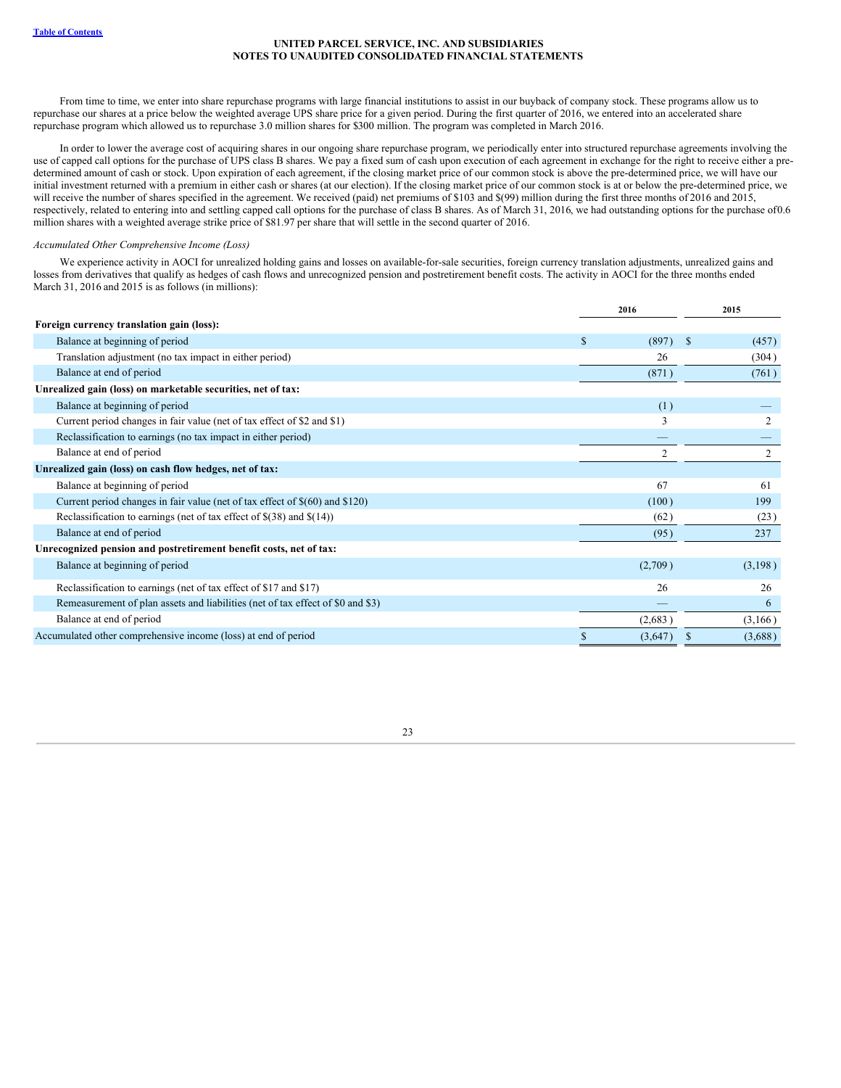From time to time, we enter into share repurchase programs with large financial institutions to assist in our buyback of company stock. These programs allow us to repurchase our shares at a price below the weighted average UPS share price for a given period. During the first quarter of 2016, we entered into an accelerated share repurchase program which allowed us to repurchase 3.0 million shares for \$300 million. The program was completed in March 2016.

In order to lower the average cost of acquiring shares in our ongoing share repurchase program, we periodically enter into structured repurchase agreements involving the use of capped call options for the purchase of UPS class B shares. We pay a fixed sum of cash upon execution of each agreement in exchange for the right to receive either a predetermined amount of cash or stock. Upon expiration of each agreement, if the closing market price of our common stock is above the pre-determined price, we will have our initial investment returned with a premium in either cash or shares (at our election). If the closing market price of our common stock is at or below the pre-determined price, we will receive the number of shares specified in the agreement. We received (paid) net premiums of \$103 and \$(99) million during the first three months of 2016 and 2015, respectively, related to entering into and settling capped call options for the purchase of class B shares. As of March 31, 2016, we had outstanding options for the purchase of0.6 million shares with a weighted average strike price of \$81.97 per share that will settle in the second quarter of 2016.

### *Accumulated Other Comprehensive Income (Loss)*

We experience activity in AOCI for unrealized holding gains and losses on available-for-sale securities, foreign currency translation adjustments, unrealized gains and losses from derivatives that qualify as hedges of cash flows and unrecognized pension and postretirement benefit costs. The activity in AOCI for the three months ended March 31, 2016 and 2015 is as follows (in millions):

|                                                                                 | 2016 |                |    | 2015    |
|---------------------------------------------------------------------------------|------|----------------|----|---------|
| Foreign currency translation gain (loss):                                       |      |                |    |         |
| Balance at beginning of period                                                  | \$   | (897)          | -S | (457)   |
| Translation adjustment (no tax impact in either period)                         |      | 26             |    | (304)   |
| Balance at end of period                                                        |      | (871)          |    | (761)   |
| Unrealized gain (loss) on marketable securities, net of tax:                    |      |                |    |         |
| Balance at beginning of period                                                  |      | (1)            |    |         |
| Current period changes in fair value (net of tax effect of \$2 and \$1)         |      | 3              |    |         |
| Reclassification to earnings (no tax impact in either period)                   |      |                |    |         |
| Balance at end of period                                                        |      | $\overline{2}$ |    | 2       |
| Unrealized gain (loss) on cash flow hedges, net of tax:                         |      |                |    |         |
| Balance at beginning of period                                                  |      | 67             |    | -61     |
| Current period changes in fair value (net of tax effect of \$(60) and \$120)    |      | (100)          |    | 199     |
| Reclassification to earnings (net of tax effect of $\S(38)$ ) and $\S(14)$ )    |      | (62)           |    | (23)    |
| Balance at end of period                                                        |      | (95)           |    | 237     |
| Unrecognized pension and postretirement benefit costs, net of tax:              |      |                |    |         |
| Balance at beginning of period                                                  |      | (2,709)        |    | (3,198) |
| Reclassification to earnings (net of tax effect of \$17 and \$17)               |      | 26             |    | 26      |
| Remeasurement of plan assets and liabilities (net of tax effect of \$0 and \$3) |      |                |    | 6       |
| Balance at end of period                                                        |      | (2,683)        |    | (3,166) |
| Accumulated other comprehensive income (loss) at end of period                  |      | (3,647)        |    | (3,688) |

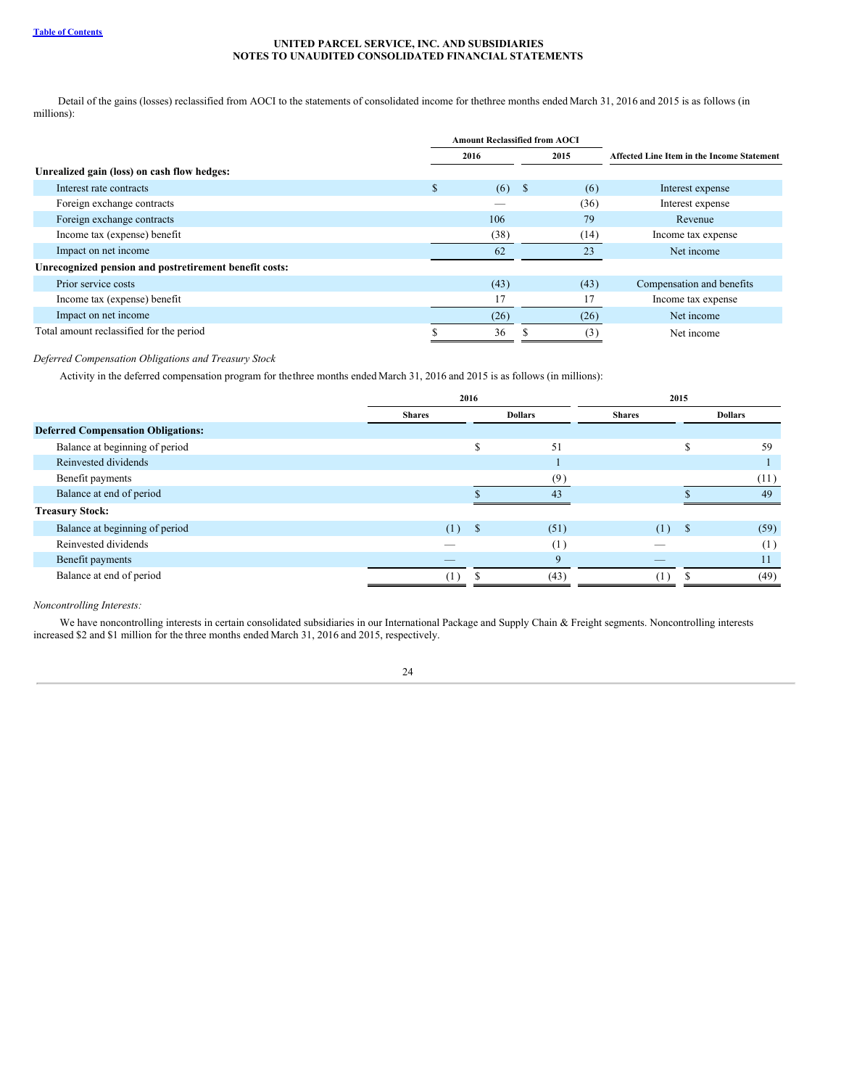Detail of the gains (losses) reclassified from AOCI to the statements of consolidated income for thethree months ended March 31, 2016 and 2015 is as follows (in millions):

|                                                        |   |      | <b>Amount Reclassified from AOCI</b> |                                                   |
|--------------------------------------------------------|---|------|--------------------------------------|---------------------------------------------------|
|                                                        |   | 2016 | 2015                                 | <b>Affected Line Item in the Income Statement</b> |
| Unrealized gain (loss) on cash flow hedges:            |   |      |                                      |                                                   |
| Interest rate contracts                                | S | (6)  | $\mathbf{s}$<br>(6)                  | Interest expense                                  |
| Foreign exchange contracts                             |   |      | (36)                                 | Interest expense                                  |
| Foreign exchange contracts                             |   | 106  | 79                                   | Revenue                                           |
| Income tax (expense) benefit                           |   | (38) | (14)                                 | Income tax expense                                |
| Impact on net income                                   |   | 62   | 23                                   | Net income                                        |
| Unrecognized pension and postretirement benefit costs: |   |      |                                      |                                                   |
| Prior service costs                                    |   | (43) | (43)                                 | Compensation and benefits                         |
| Income tax (expense) benefit                           |   | 17   | 17                                   | Income tax expense                                |
| Impact on net income                                   |   | (26) | (26)                                 | Net income                                        |
| Total amount reclassified for the period               |   | 36   | (3)                                  | Net income                                        |

# *Deferred Compensation Obligations and Treasury Stock*

Activity in the deferred compensation program for thethree months ended March 31, 2016 and 2015 is as follows (in millions):

|                                           | 2016          |               |                | 2015          |               |                |  |
|-------------------------------------------|---------------|---------------|----------------|---------------|---------------|----------------|--|
|                                           | <b>Shares</b> |               | <b>Dollars</b> | <b>Shares</b> |               | <b>Dollars</b> |  |
| <b>Deferred Compensation Obligations:</b> |               |               |                |               |               |                |  |
| Balance at beginning of period            |               | ¢<br>J.       | 51             |               |               | 59             |  |
| Reinvested dividends                      |               |               |                |               |               |                |  |
| Benefit payments                          |               |               | (9)            |               |               | (11)           |  |
| Balance at end of period                  |               |               | 43             |               |               | 49             |  |
| <b>Treasury Stock:</b>                    |               |               |                |               |               |                |  |
| Balance at beginning of period            | (1)           | <sup>\$</sup> | (51)           | (1)           | <sup>\$</sup> | (59)           |  |
| Reinvested dividends                      |               |               | (1)            |               |               | (1)            |  |
| Benefit payments                          |               |               | 9              |               |               | 11             |  |
| Balance at end of period                  |               |               | (43)           |               |               | (49)           |  |

# *Noncontrolling Interests:*

We have noncontrolling interests in certain consolidated subsidiaries in our International Package and Supply Chain & Freight segments. Noncontrolling interests increased \$2 and \$1 million for the three months ended March 31, 2016 and 2015, respectively.

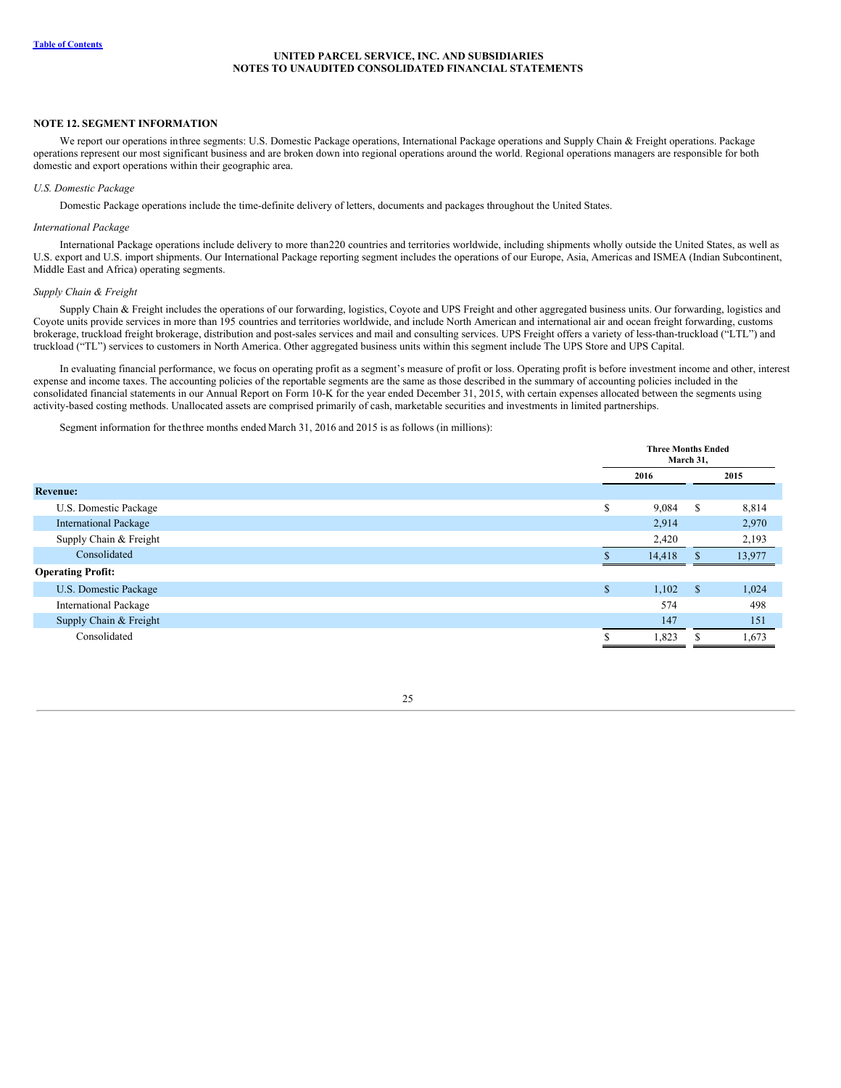### <span id="page-26-0"></span>**NOTE 12. SEGMENT INFORMATION**

We report our operations in three segments: U.S. Domestic Package operations, International Package operations and Supply Chain & Freight operations. Package operations represent our most significant business and are broken down into regional operations around the world. Regional operations managers are responsible for both domestic and export operations within their geographic area.

### *U.S. Domestic Package*

Domestic Package operations include the time-definite delivery of letters, documents and packages throughout the United States.

#### *International Package*

International Package operations include delivery to more than220 countries and territories worldwide, including shipments wholly outside the United States, as well as U.S. export and U.S. import shipments. Our International Package reporting segment includes the operations of our Europe, Asia, Americas and ISMEA (Indian Subcontinent, Middle East and Africa) operating segments.

### *Supply Chain & Freight*

Supply Chain & Freight includes the operations of our forwarding, logistics, Coyote and UPS Freight and other aggregated business units. Our forwarding, logistics and Coyote units provide services in more than 195 countries and territories worldwide, and include North American and international air and ocean freight forwarding, customs brokerage, truckload freight brokerage, distribution and post-sales services and mail and consulting services. UPS Freight offers a variety of less-than-truckload ("LTL") and truckload ("TL") services to customers in North America. Other aggregated business units within this segment include The UPS Store and UPS Capital.

In evaluating financial performance, we focus on operating profit as a segment's measure of profit or loss. Operating profit is before investment income and other, interest expense and income taxes. The accounting policies of the reportable segments are the same as those described in the summary of accounting policies included in the consolidated financial statements in our Annual Report on Form 10-K for the year ended December 31, 2015, with certain expenses allocated between the segments using activity-based costing methods. Unallocated assets are comprised primarily of cash, marketable securities and investments in limited partnerships.

Segment information for the three months ended March 31, 2016 and 2015 is as follows (in millions):

|                              | <b>Three Months Ended</b><br>March 31, |        |              |        |
|------------------------------|----------------------------------------|--------|--------------|--------|
|                              | 2016                                   |        |              | 2015   |
| <b>Revenue:</b>              |                                        |        |              |        |
| U.S. Domestic Package        | \$                                     | 9,084  | \$           | 8,814  |
| <b>International Package</b> |                                        | 2,914  |              | 2,970  |
| Supply Chain & Freight       |                                        | 2,420  |              | 2,193  |
| Consolidated                 |                                        | 14,418 | <b>S</b>     | 13,977 |
| <b>Operating Profit:</b>     |                                        |        |              |        |
| U.S. Domestic Package        | $\mathbb{S}$                           | 1,102  | $\mathbb{S}$ | 1,024  |
| <b>International Package</b> |                                        | 574    |              | 498    |
| Supply Chain & Freight       |                                        | 147    |              | 151    |
| Consolidated                 |                                        | 1,823  | S.           | 1,673  |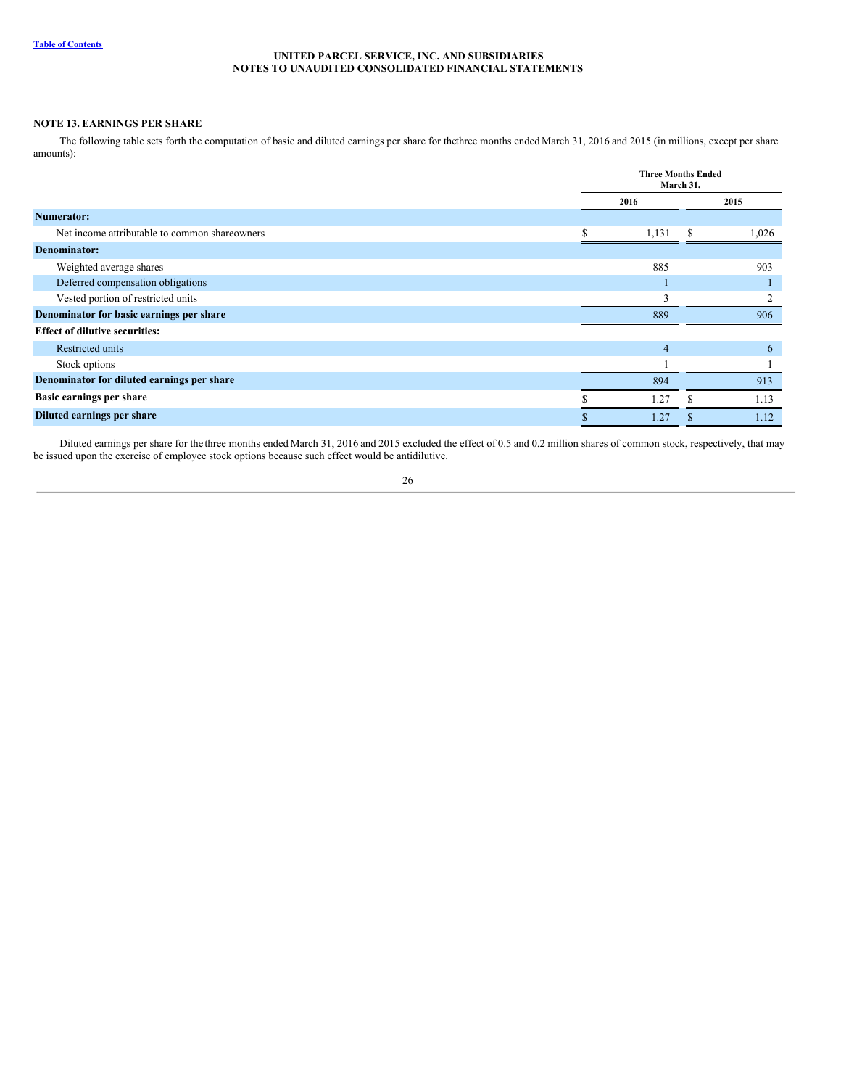# <span id="page-27-0"></span>**NOTE 13. EARNINGS PER SHARE**

The following table sets forth the computation of basic and diluted earnings per share for thethree months ended March 31, 2016 and 2015 (in millions, except per share amounts):

|                                               | <b>Three Months Ended</b><br>March 31, |     |       |  |
|-----------------------------------------------|----------------------------------------|-----|-------|--|
|                                               | 2016                                   |     | 2015  |  |
| <b>Numerator:</b>                             |                                        |     |       |  |
| Net income attributable to common shareowners | \$<br>1,131                            | \$. | 1,026 |  |
| <b>Denominator:</b>                           |                                        |     |       |  |
| Weighted average shares                       | 885                                    |     | 903   |  |
| Deferred compensation obligations             |                                        |     |       |  |
| Vested portion of restricted units            | 3                                      |     | 2     |  |
| Denominator for basic earnings per share      | 889                                    |     | 906   |  |
| <b>Effect of dilutive securities:</b>         |                                        |     |       |  |
| Restricted units                              | $\overline{4}$                         |     | 6     |  |
| Stock options                                 |                                        |     |       |  |
| Denominator for diluted earnings per share    | 894                                    |     | 913   |  |
| Basic earnings per share                      | 1.27                                   |     | 1.13  |  |
| <b>Diluted earnings per share</b>             | 1.27                                   |     | 1.12  |  |

Diluted earnings per share for the three months ended March 31, 2016 and 2015 excluded the effect of 0.5 and 0.2 million shares of common stock, respectively, that may be issued upon the exercise of employee stock options because such effect would be antidilutive.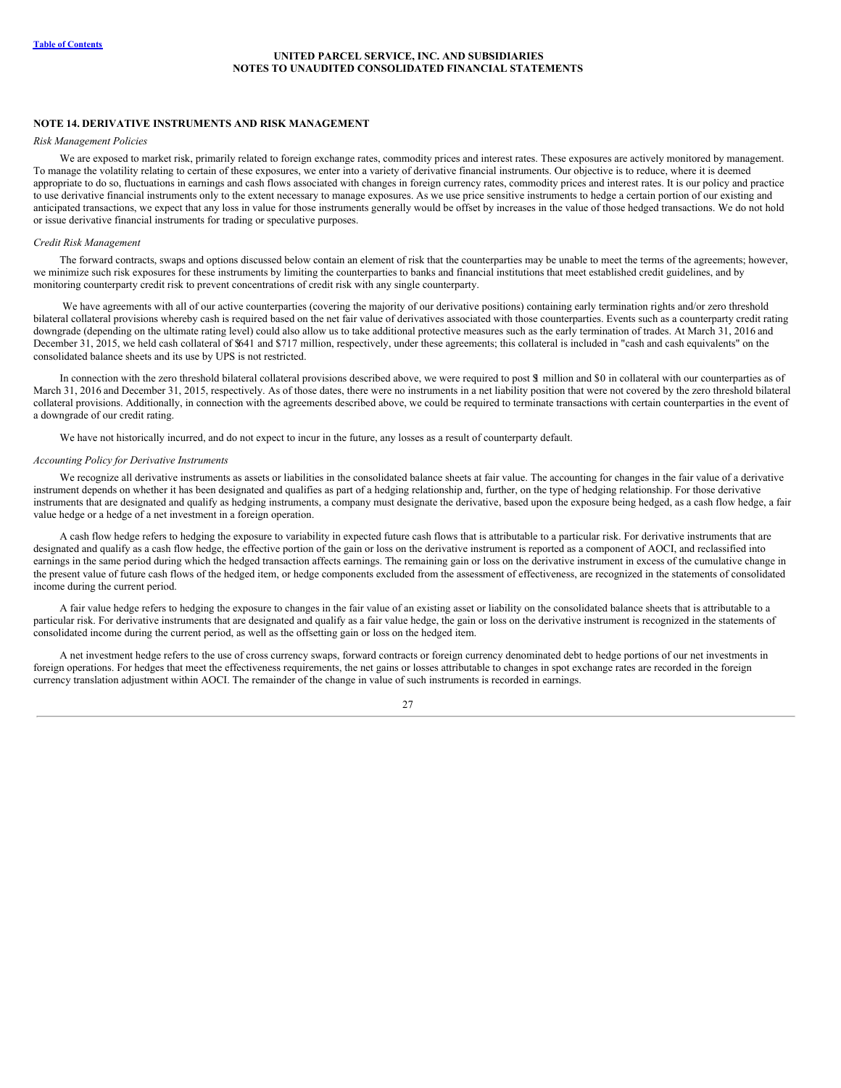### <span id="page-28-0"></span>**NOTE 14. DERIVATIVE INSTRUMENTS AND RISK MANAGEMENT**

#### *Risk Management Policies*

We are exposed to market risk, primarily related to foreign exchange rates, commodity prices and interest rates. These exposures are actively monitored by management. To manage the volatility relating to certain of these exposures, we enter into a variety of derivative financial instruments. Our objective is to reduce, where it is deemed appropriate to do so, fluctuations in earnings and cash flows associated with changes in foreign currency rates, commodity prices and interest rates. It is our policy and practice to use derivative financial instruments only to the extent necessary to manage exposures. As we use price sensitive instruments to hedge a certain portion of our existing and anticipated transactions, we expect that any loss in value for those instruments generally would be offset by increases in the value of those hedged transactions. We do not hold or issue derivative financial instruments for trading or speculative purposes.

#### *Credit Risk Management*

The forward contracts, swaps and options discussed below contain an element of risk that the counterparties may be unable to meet the terms of the agreements; however, we minimize such risk exposures for these instruments by limiting the counterparties to banks and financial institutions that meet established credit guidelines, and by monitoring counterparty credit risk to prevent concentrations of credit risk with any single counterparty.

We have agreements with all of our active counterparties (covering the majority of our derivative positions) containing early termination rights and/or zero threshold bilateral collateral provisions whereby cash is required based on the net fair value of derivatives associated with those counterparties. Events such as a counterparty credit rating downgrade (depending on the ultimate rating level) could also allow us to take additional protective measures such as the early termination of trades. At March 31, 2016 and December 31, 2015, we held cash collateral of \$641 and \$717 million, respectively, under these agreements; this collateral is included in "cash and cash equivalents" on the consolidated balance sheets and its use by UPS is not restricted.

In connection with the zero threshold bilateral collateral provisions described above, we were required to post \$1 million and \$0 in collateral with our counterparties as of March 31, 2016 and December 31, 2015, respectively. As of those dates, there were no instruments in a net liability position that were not covered by the zero threshold bilateral collateral provisions. Additionally, in connection with the agreements described above, we could be required to terminate transactions with certain counterparties in the event of a downgrade of our credit rating.

We have not historically incurred, and do not expect to incur in the future, any losses as a result of counterparty default.

#### *Accounting Policy for Derivative Instruments*

We recognize all derivative instruments as assets or liabilities in the consolidated balance sheets at fair value. The accounting for changes in the fair value of a derivative instrument depends on whether it has been designated and qualifies as part of a hedging relationship and, further, on the type of hedging relationship. For those derivative instruments that are designated and qualify as hedging instruments, a company must designate the derivative, based upon the exposure being hedged, as a cash flow hedge, a fair value hedge or a hedge of a net investment in a foreign operation.

A cash flow hedge refers to hedging the exposure to variability in expected future cash flows that is attributable to a particular risk. For derivative instruments that are designated and qualify as a cash flow hedge, the effective portion of the gain or loss on the derivative instrument is reported as a component of AOCI, and reclassified into earnings in the same period during which the hedged transaction affects earnings. The remaining gain or loss on the derivative instrument in excess of the cumulative change in the present value of future cash flows of the hedged item, or hedge components excluded from the assessment of effectiveness, are recognized in the statements of consolidated income during the current period.

A fair value hedge refers to hedging the exposure to changes in the fair value of an existing asset or liability on the consolidated balance sheets that is attributable to a particular risk. For derivative instruments that are designated and qualify as a fair value hedge, the gain or loss on the derivative instrument is recognized in the statements of consolidated income during the current period, as well as the offsetting gain or loss on the hedged item.

A net investment hedge refers to the use of cross currency swaps, forward contracts or foreign currency denominated debt to hedge portions of our net investments in foreign operations. For hedges that meet the effectiveness requirements, the net gains or losses attributable to changes in spot exchange rates are recorded in the foreign currency translation adjustment within AOCI. The remainder of the change in value of such instruments is recorded in earnings.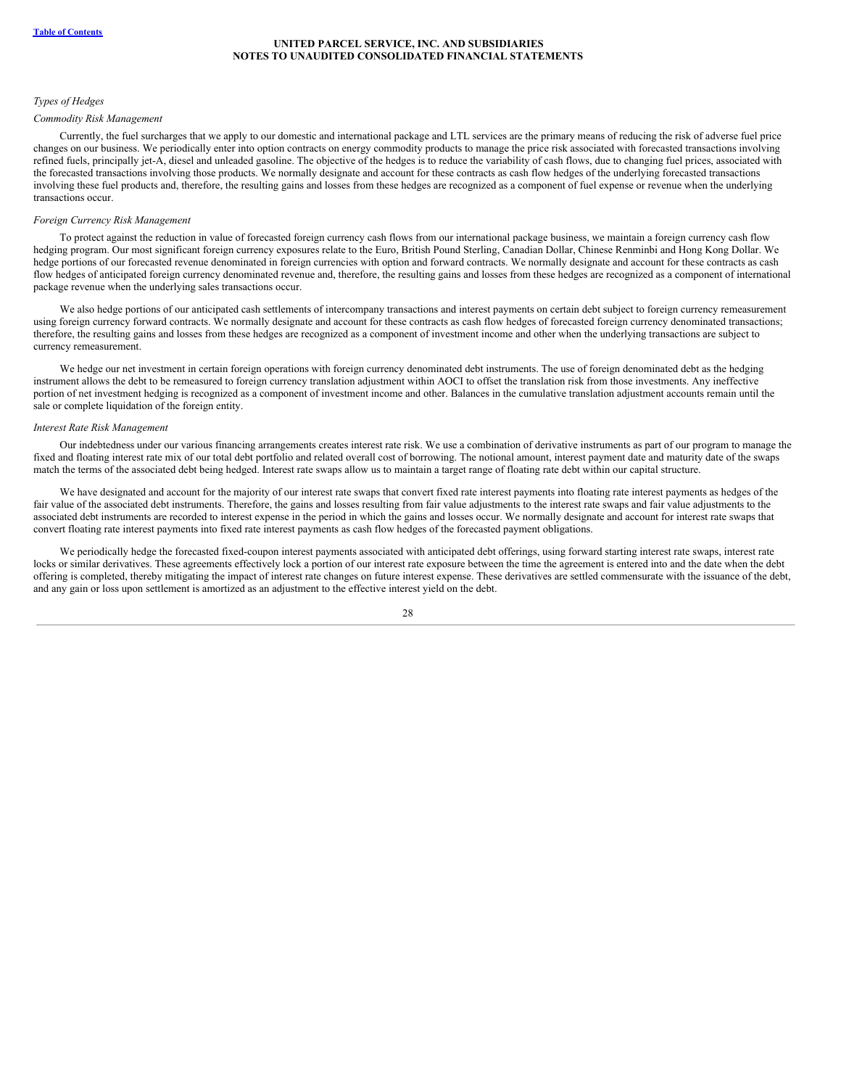### *Types of Hedges*

### *Commodity Risk Management*

Currently, the fuel surcharges that we apply to our domestic and international package and LTL services are the primary means of reducing the risk of adverse fuel price changes on our business. We periodically enter into option contracts on energy commodity products to manage the price risk associated with forecasted transactions involving refined fuels, principally jet-A, diesel and unleaded gasoline. The objective of the hedges is to reduce the variability of cash flows, due to changing fuel prices, associated with the forecasted transactions involving those products. We normally designate and account for these contracts as cash flow hedges of the underlying forecasted transactions involving these fuel products and, therefore, the resulting gains and losses from these hedges are recognized as a component of fuel expense or revenue when the underlying transactions occur.

### *Foreign Currency Risk Management*

To protect against the reduction in value of forecasted foreign currency cash flows from our international package business, we maintain a foreign currency cash flow hedging program. Our most significant foreign currency exposures relate to the Euro, British Pound Sterling, Canadian Dollar, Chinese Renminbi and Hong Kong Dollar. We hedge portions of our forecasted revenue denominated in foreign currencies with option and forward contracts. We normally designate and account for these contracts as cash flow hedges of anticipated foreign currency denominated revenue and, therefore, the resulting gains and losses from these hedges are recognized as a component of international package revenue when the underlying sales transactions occur.

We also hedge portions of our anticipated cash settlements of intercompany transactions and interest payments on certain debt subject to foreign currency remeasurement using foreign currency forward contracts. We normally designate and account for these contracts as cash flow hedges of forecasted foreign currency denominated transactions; therefore, the resulting gains and losses from these hedges are recognized as a component of investment income and other when the underlying transactions are subject to currency remeasurement.

We hedge our net investment in certain foreign operations with foreign currency denominated debt instruments. The use of foreign denominated debt as the hedging instrument allows the debt to be remeasured to foreign currency translation adjustment within AOCI to offset the translation risk from those investments. Any ineffective portion of net investment hedging is recognized as a component of investment income and other. Balances in the cumulative translation adjustment accounts remain until the sale or complete liquidation of the foreign entity.

### *Interest Rate Risk Management*

Our indebtedness under our various financing arrangements creates interest rate risk. We use a combination of derivative instruments as part of our program to manage the fixed and floating interest rate mix of our total debt portfolio and related overall cost of borrowing. The notional amount, interest payment date and maturity date of the swaps match the terms of the associated debt being hedged. Interest rate swaps allow us to maintain a target range of floating rate debt within our capital structure.

We have designated and account for the majority of our interest rate swaps that convert fixed rate interest payments into floating rate interest payments as hedges of the fair value of the associated debt instruments. Therefore, the gains and losses resulting from fair value adjustments to the interest rate swaps and fair value adjustments to the associated debt instruments are recorded to interest expense in the period in which the gains and losses occur. We normally designate and account for interest rate swaps that convert floating rate interest payments into fixed rate interest payments as cash flow hedges of the forecasted payment obligations.

We periodically hedge the forecasted fixed-coupon interest payments associated with anticipated debt offerings, using forward starting interest rate swaps, interest rate locks or similar derivatives. These agreements effectively lock a portion of our interest rate exposure between the time the agreement is entered into and the date when the debt offering is completed, thereby mitigating the impact of interest rate changes on future interest expense. These derivatives are settled commensurate with the issuance of the debt, and any gain or loss upon settlement is amortized as an adjustment to the effective interest yield on the debt.

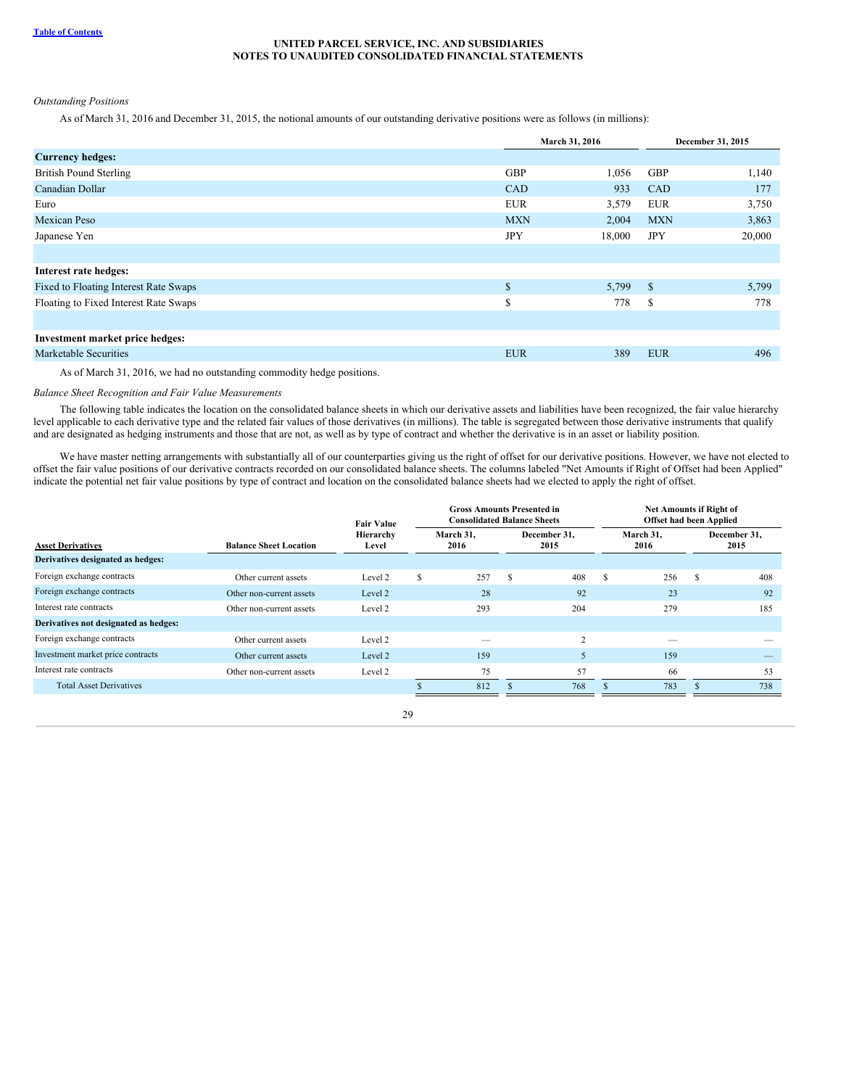### *Outstanding Positions*

As of March 31, 2016 and December 31, 2015, the notional amounts of our outstanding derivative positions were as follows (in millions):

|                                       |               | March 31, 2016 |               | December 31, 2015 |
|---------------------------------------|---------------|----------------|---------------|-------------------|
| <b>Currency hedges:</b>               |               |                |               |                   |
| <b>British Pound Sterling</b>         | <b>GBP</b>    | 1,056          | <b>GBP</b>    | 1,140             |
| Canadian Dollar                       | CAD           | 933            | CAD           | 177               |
| Euro                                  | <b>EUR</b>    | 3,579          | <b>EUR</b>    | 3,750             |
| <b>Mexican Peso</b>                   | <b>MXN</b>    | 2,004          | <b>MXN</b>    | 3,863             |
| Japanese Yen                          | <b>JPY</b>    | 18,000         | <b>JPY</b>    | 20,000            |
|                                       |               |                |               |                   |
| Interest rate hedges:                 |               |                |               |                   |
| Fixed to Floating Interest Rate Swaps | $\mathbf{\$}$ | 5,799          | <sup>\$</sup> | 5,799             |
| Floating to Fixed Interest Rate Swaps | S             | 778            | <sup>\$</sup> | 778               |
|                                       |               |                |               |                   |
| Investment market price hedges:       |               |                |               |                   |
| Marketable Securities                 | <b>EUR</b>    | 389            | <b>EUR</b>    | 496               |
|                                       |               |                |               |                   |

As of March 31, 2016, we had no outstanding commodity hedge positions.

# *Balance Sheet Recognition and Fair Value Measurements*

The following table indicates the location on the consolidated balance sheets in which our derivative assets and liabilities have been recognized, the fair value hierarchy level applicable to each derivative type and the related fair values of those derivatives (in millions). The table is segregated between those derivative instruments that qualify and are designated as hedging instruments and those that are not, as well as by type of contract and whether the derivative is in an asset or liability position.

We have master netting arrangements with substantially all of our counterparties giving us the right of offset for our derivative positions. However, we have not elected to offset the fair value positions of our derivative contracts recorded on our consolidated balance sheets. The columns labeled "Net Amounts if Right of Offset had been Applied" indicate the potential net fair value positions by type of contract and location on the consolidated balance sheets had we elected to apply the right of offset.

|                               | <b>Fair Value</b>  |          | <b>Gross Amounts Presented in</b><br><b>Consolidated Balance Sheets</b> |               |                      |   | <b>Net Amounts if Right of</b><br><b>Offset had been Applied</b> |     |                      |  |
|-------------------------------|--------------------|----------|-------------------------------------------------------------------------|---------------|----------------------|---|------------------------------------------------------------------|-----|----------------------|--|
| <b>Balance Sheet Location</b> | Hierarchy<br>Level |          | March 31,<br>2016                                                       |               | December 31,<br>2015 |   | March 31,<br>2016                                                |     | December 31,<br>2015 |  |
|                               |                    |          |                                                                         |               |                      |   |                                                                  |     |                      |  |
| Other current assets          | Level 2            | <b>S</b> | 257                                                                     | <sup>\$</sup> | 408                  | S | 256                                                              | \$. | 408                  |  |
| Other non-current assets      | Level 2            |          | 28                                                                      |               | 92                   |   | 23                                                               |     | 92                   |  |
| Other non-current assets      | Level 2            |          | 293                                                                     |               | 204                  |   | 279                                                              |     | 185                  |  |
|                               |                    |          |                                                                         |               |                      |   |                                                                  |     |                      |  |
| Other current assets          | Level 2            |          |                                                                         |               | $\Delta$             |   |                                                                  |     |                      |  |
| Other current assets          | Level 2            |          | 159                                                                     |               |                      |   | 159                                                              |     |                      |  |
| Other non-current assets      | Level 2            |          | 75                                                                      |               | 57                   |   | 66                                                               |     | 53                   |  |
|                               |                    |          | 812                                                                     |               | 768                  |   | 783                                                              |     | 738                  |  |
|                               |                    |          |                                                                         |               |                      |   |                                                                  |     |                      |  |

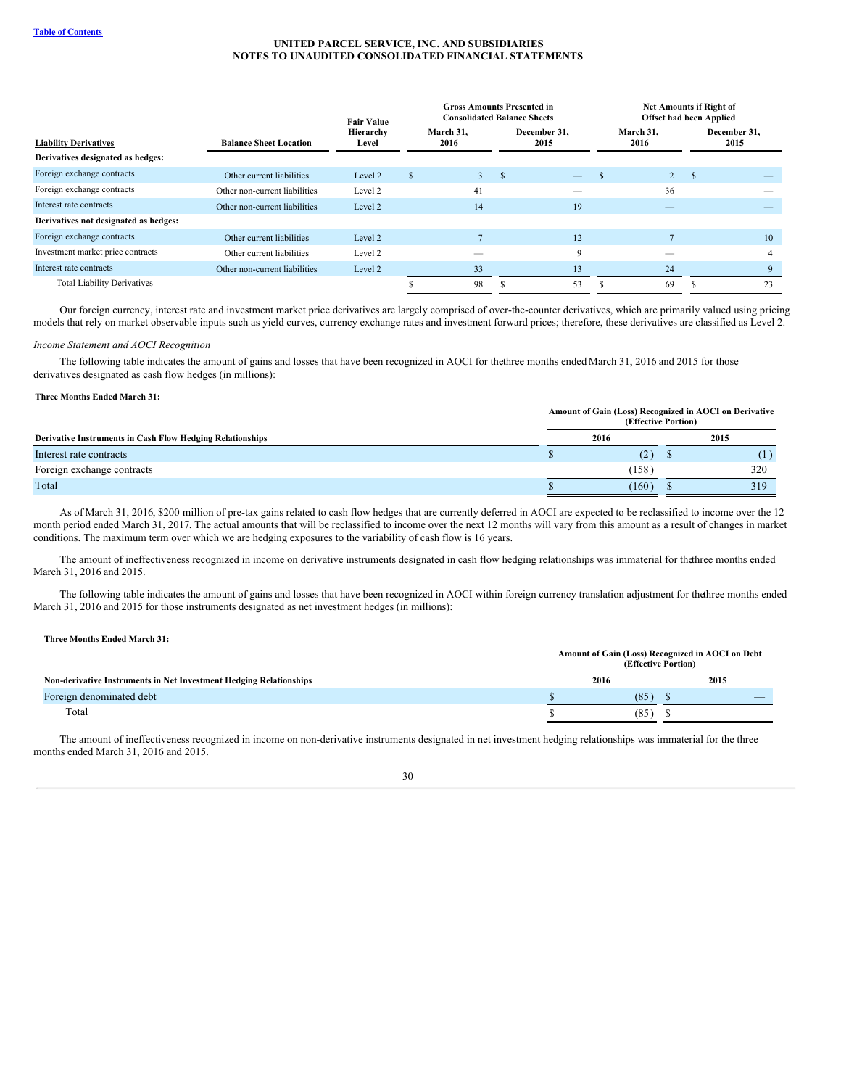|                                       |                               | <b>Fair Value</b>  |              | <b>Gross Amounts Presented in</b><br><b>Consolidated Balance Sheets</b> |               |                      |                   | <b>Net Amounts if Right of</b><br><b>Offset had been Applied</b> |    |                      |  |  |
|---------------------------------------|-------------------------------|--------------------|--------------|-------------------------------------------------------------------------|---------------|----------------------|-------------------|------------------------------------------------------------------|----|----------------------|--|--|
| <b>Liability Derivatives</b>          | <b>Balance Sheet Location</b> | Hierarchy<br>Level |              | March 31.<br>2016                                                       |               | December 31.<br>2015 | March 31.<br>2016 |                                                                  |    | December 31.<br>2015 |  |  |
| Derivatives designated as hedges:     |                               |                    |              |                                                                         |               |                      |                   |                                                                  |    |                      |  |  |
| Foreign exchange contracts            | Other current liabilities     | Level 2            | $\mathbf{s}$ | 3                                                                       | $\mathcal{S}$ | $\qquad \qquad -$    |                   | $\overline{2}$                                                   | -S |                      |  |  |
| Foreign exchange contracts            | Other non-current liabilities | Level 2            |              | 41                                                                      |               |                      |                   | 36                                                               |    |                      |  |  |
| Interest rate contracts               | Other non-current liabilities | Level 2            |              | 14                                                                      |               | 19                   |                   |                                                                  |    |                      |  |  |
| Derivatives not designated as hedges: |                               |                    |              |                                                                         |               |                      |                   |                                                                  |    |                      |  |  |
| Foreign exchange contracts            | Other current liabilities     | Level 2            |              |                                                                         |               | 12                   |                   |                                                                  |    | 10                   |  |  |
| Investment market price contracts     | Other current liabilities     | Level 2            |              |                                                                         |               | 9                    |                   |                                                                  |    | 4                    |  |  |
| Interest rate contracts               | Other non-current liabilities | Level 2            |              | 33                                                                      |               | 13                   |                   | 24                                                               |    | $\mathbf Q$          |  |  |
| <b>Total Liability Derivatives</b>    |                               |                    |              | 98                                                                      |               | 53                   |                   | 69                                                               |    | 23                   |  |  |

Our foreign currency, interest rate and investment market price derivatives are largely comprised of over-the-counter derivatives, which are primarily valued using pricing models that rely on market observable inputs such as yield curves, currency exchange rates and investment forward prices; therefore, these derivatives are classified as Level 2.

# *Income Statement and AOCI Recognition*

The following table indicates the amount of gains and losses that have been recognized in AOCI for thethree months ended March 31, 2016 and 2015 for those derivatives designated as cash flow hedges (in millions):

#### **Three Months Ended March 31:**

|                                                           | Amount of Gain (Loss) Recognized in AOCI on Derivative<br>(Effective Portion) |       |  |      |  |  |  |  |
|-----------------------------------------------------------|-------------------------------------------------------------------------------|-------|--|------|--|--|--|--|
| Derivative Instruments in Cash Flow Hedging Relationships |                                                                               | 2016  |  | 2015 |  |  |  |  |
| Interest rate contracts                                   |                                                                               | (2)   |  |      |  |  |  |  |
| Foreign exchange contracts                                |                                                                               | (158) |  | 320  |  |  |  |  |
| Total                                                     |                                                                               | (160) |  | 319  |  |  |  |  |

As of March 31, 2016, \$200 million of pre-tax gains related to cash flow hedges that are currently deferred in AOCI are expected to be reclassified to income over the 12 month period ended March 31, 2017. The actual amounts that will be reclassified to income over the next 12 months will vary from this amount as a result of changes in market conditions. The maximum term over which we are hedging exposures to the variability of cash flow is 16 years.

The amount of ineffectiveness recognized in income on derivative instruments designated in cash flow hedging relationships was immaterial for thethree months ended March 31, 2016 and 2015.

The following table indicates the amount of gains and losses that have been recognized in AOCI within foreign currency translation adjustment for thethree months ended March 31, 2016 and 2015 for those instruments designated as net investment hedges (in millions):

### **Three Months Ended March 31:**

|                                                                    |      | (Effective Portion) | Amount of Gain (Loss) Recognized in AOCI on Debt |
|--------------------------------------------------------------------|------|---------------------|--------------------------------------------------|
| Non-derivative Instruments in Net Investment Hedging Relationships | 2016 |                     | 2015                                             |
| Foreign denominated debt                                           | (85) |                     |                                                  |
| Total                                                              | (85) |                     |                                                  |

The amount of ineffectiveness recognized in income on non-derivative instruments designated in net investment hedging relationships was immaterial for the three months ended March 31, 2016 and 2015.

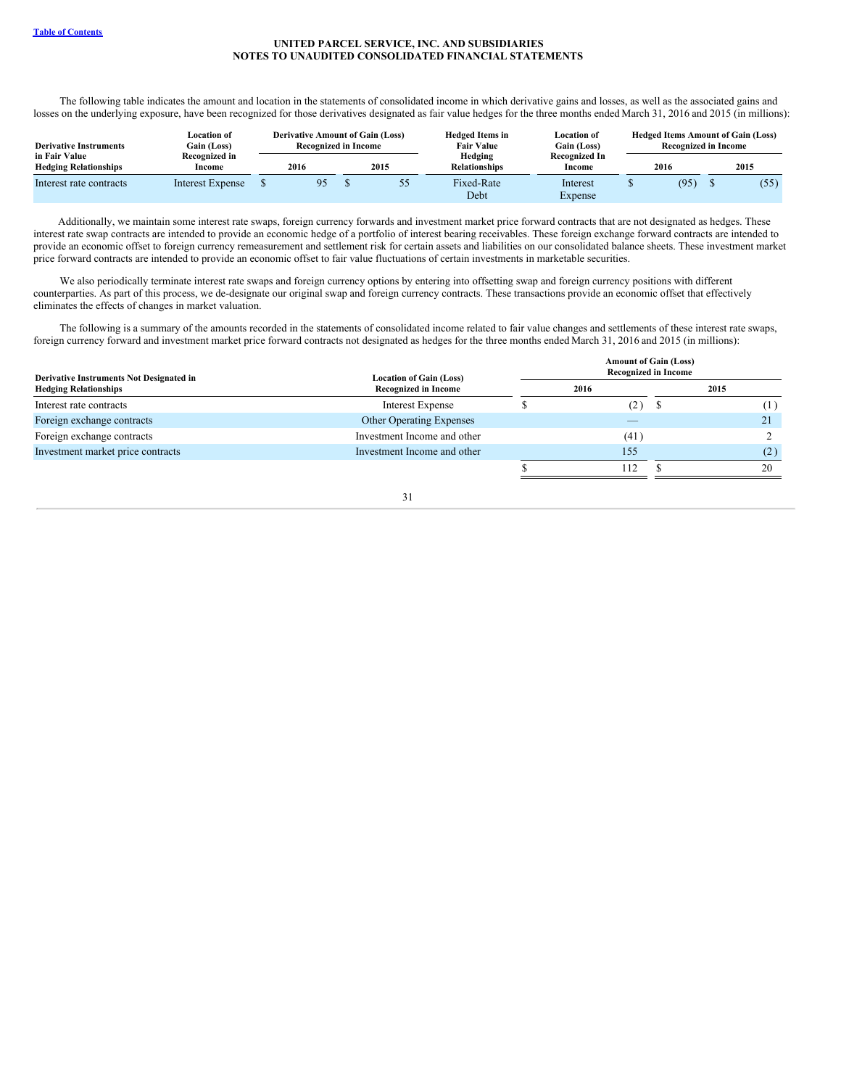The following table indicates the amount and location in the statements of consolidated income in which derivative gains and losses, as well as the associated gains and losses on the underlying exposure, have been recognized for those derivatives designated as fair value hedges for the three months ended March 31, 2016 and 2015 (in millions):

| <b>Derivative Instruments</b>                 | <b>Location of</b><br>Gain (Loss) | <b>Derivative Amount of Gain (Loss)</b><br><b>Recognized in Income</b> |      | <b>Hedged Items in</b><br><b>Fair Value</b> | <b>Location of</b><br>Gain (Loss) | <b>Hedged Items Amount of Gain (Loss)</b><br><b>Recognized in Income</b> |  |      |
|-----------------------------------------------|-----------------------------------|------------------------------------------------------------------------|------|---------------------------------------------|-----------------------------------|--------------------------------------------------------------------------|--|------|
| in Fair Value<br><b>Hedging Relationships</b> | Recognized in<br>Income           | 2016                                                                   | 2015 | Hedging<br><b>Relationships</b>             | Recognized In<br>Income           | 2016                                                                     |  | 2015 |
| Interest rate contracts                       | Interest Expense                  | o٢                                                                     |      | Fixed-Rate<br>Debt                          | Interest<br>Expense               | (95)                                                                     |  | (55) |

Additionally, we maintain some interest rate swaps, foreign currency forwards and investment market price forward contracts that are not designated as hedges. These interest rate swap contracts are intended to provide an economic hedge of a portfolio of interest bearing receivables. These foreign exchange forward contracts are intended to provide an economic offset to foreign currency remeasurement and settlement risk for certain assets and liabilities on our consolidated balance sheets. These investment market price forward contracts are intended to provide an economic offset to fair value fluctuations of certain investments in marketable securities.

We also periodically terminate interest rate swaps and foreign currency options by entering into offsetting swap and foreign currency positions with different counterparties. As part of this process, we de-designate our original swap and foreign currency contracts. These transactions provide an economic offset that effectively eliminates the effects of changes in market valuation.

The following is a summary of the amounts recorded in the statements of consolidated income related to fair value changes and settlements of these interest rate swaps, foreign currency forward and investment market price forward contracts not designated as hedges for the three months ended March 31, 2016 and 2015 (in millions):

| <b>Derivative Instruments Not Designated in</b> | <b>Location of Gain (Loss)</b> | <b>Amount of Gain (Loss)</b><br><b>Recognized in Income</b> |      |      |  |    |  |  |  |
|-------------------------------------------------|--------------------------------|-------------------------------------------------------------|------|------|--|----|--|--|--|
| <b>Hedging Relationships</b>                    | <b>Recognized in Income</b>    |                                                             | 2016 | 2015 |  |    |  |  |  |
| Interest rate contracts                         | <b>Interest Expense</b>        |                                                             | (2)  |      |  |    |  |  |  |
| Foreign exchange contracts                      | Other Operating Expenses       |                                                             |      |      |  |    |  |  |  |
| Foreign exchange contracts                      | Investment Income and other    |                                                             | (41) |      |  |    |  |  |  |
| Investment market price contracts               | Investment Income and other    |                                                             | 155  |      |  |    |  |  |  |
|                                                 |                                |                                                             | 112  |      |  | 20 |  |  |  |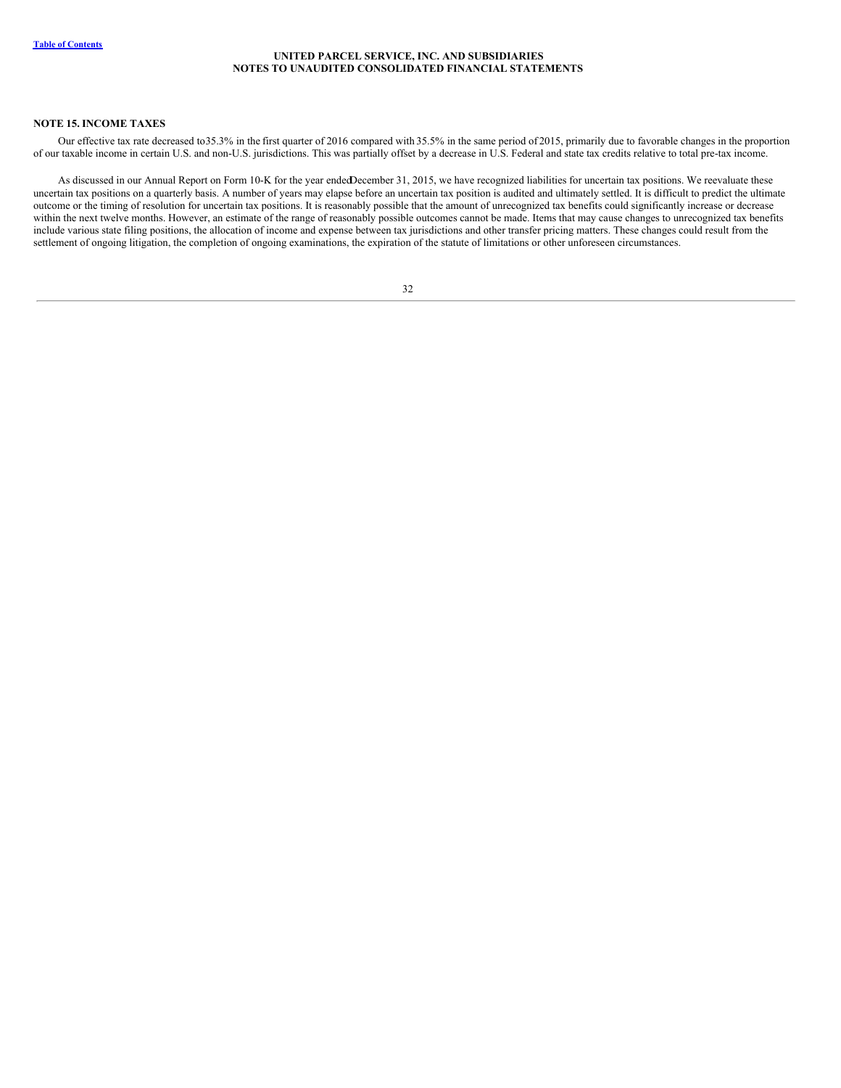# <span id="page-33-0"></span>**NOTE 15. INCOME TAXES**

Our effective tax rate decreased to35.3% in the first quarter of 2016 compared with 35.5% in the same period of 2015, primarily due to favorable changes in the proportion of our taxable income in certain U.S. and non-U.S. jurisdictions. This was partially offset by a decrease in U.S. Federal and state tax credits relative to total pre-tax income.

As discussed in our Annual Report on Form 10-K for the year endedDecember 31, 2015, we have recognized liabilities for uncertain tax positions. We reevaluate these uncertain tax positions on a quarterly basis. A number of years may elapse before an uncertain tax position is audited and ultimately settled. It is difficult to predict the ultimate outcome or the timing of resolution for uncertain tax positions. It is reasonably possible that the amount of unrecognized tax benefits could significantly increase or decrease within the next twelve months. However, an estimate of the range of reasonably possible outcomes cannot be made. Items that may cause changes to unrecognized tax benefits include various state filing positions, the allocation of income and expense between tax jurisdictions and other transfer pricing matters. These changes could result from the settlement of ongoing litigation, the completion of ongoing examinations, the expiration of the statute of limitations or other unforeseen circumstances.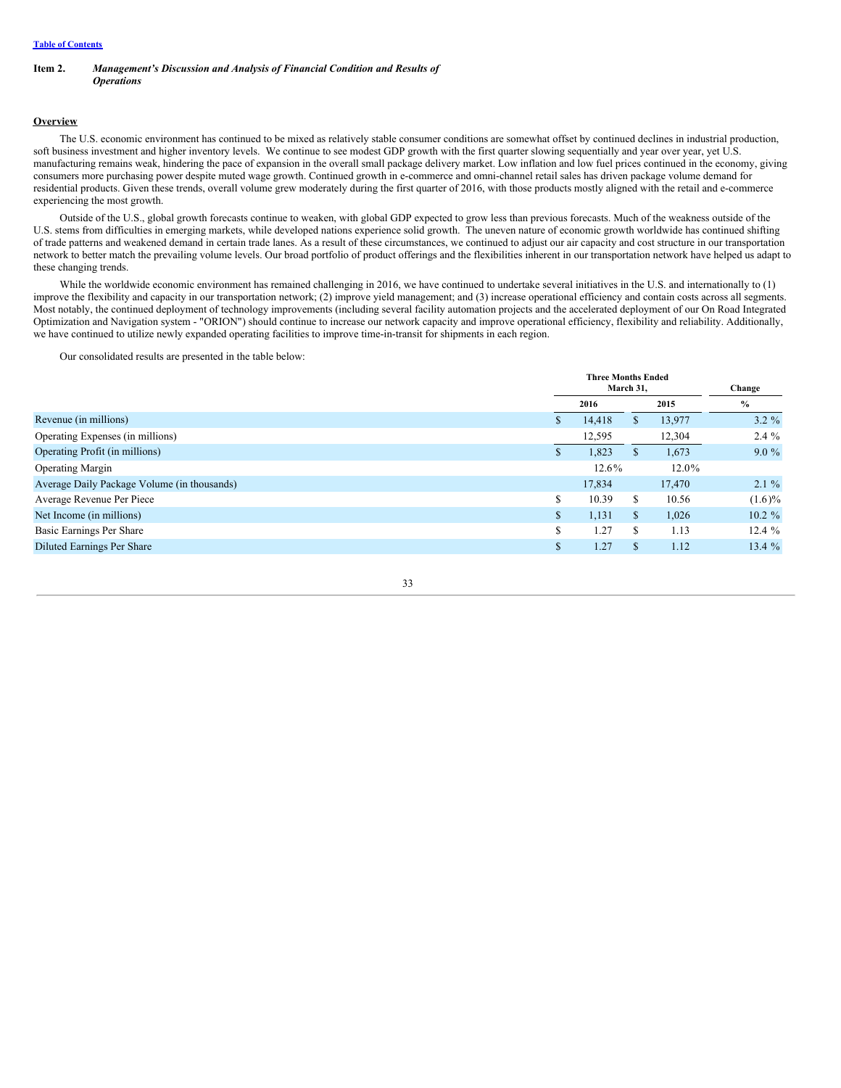<span id="page-34-0"></span>**Item 2.** *Management's Discussion and Analysis of Financial Condition and Results of Operations*

#### <span id="page-34-1"></span>**Overview**

The U.S. economic environment has continued to be mixed as relatively stable consumer conditions are somewhat offset by continued declines in industrial production, soft business investment and higher inventory levels. We continue to see modest GDP growth with the first quarter slowing sequentially and year over year, yet U.S. manufacturing remains weak, hindering the pace of expansion in the overall small package delivery market. Low inflation and low fuel prices continued in the economy, giving consumers more purchasing power despite muted wage growth. Continued growth in e-commerce and omni-channel retail sales has driven package volume demand for residential products. Given these trends, overall volume grew moderately during the first quarter of 2016, with those products mostly aligned with the retail and e-commerce experiencing the most growth.

Outside of the U.S., global growth forecasts continue to weaken, with global GDP expected to grow less than previous forecasts. Much of the weakness outside of the U.S. stems from difficulties in emerging markets, while developed nations experience solid growth. The uneven nature of economic growth worldwide has continued shifting of trade patterns and weakened demand in certain trade lanes. As a result of these circumstances, we continued to adjust our air capacity and cost structure in our transportation network to better match the prevailing volume levels. Our broad portfolio of product offerings and the flexibilities inherent in our transportation network have helped us adapt to these changing trends.

While the worldwide economic environment has remained challenging in 2016, we have continued to undertake several initiatives in the U.S. and internationally to (1) improve the flexibility and capacity in our transportation network; (2) improve yield management; and (3) increase operational efficiency and contain costs across all segments. Most notably, the continued deployment of technology improvements (including several facility automation projects and the accelerated deployment of our On Road Integrated Optimization and Navigation system - "ORION") should continue to increase our network capacity and improve operational efficiency, flexibility and reliability. Additionally, we have continued to utilize newly expanded operating facilities to improve time-in-transit for shipments in each region.

Our consolidated results are presented in the table below:

|                                             |             | <b>Three Months Ended</b><br>March 31, | Change       |          |               |
|---------------------------------------------|-------------|----------------------------------------|--------------|----------|---------------|
|                                             |             | 2016                                   |              | 2015     | $\frac{6}{9}$ |
| Revenue (in millions)                       | D.          | 14,418                                 | S            | 13,977   | $3.2\%$       |
| Operating Expenses (in millions)            |             | 12,595                                 |              | 12,304   | $2.4\%$       |
| Operating Profit (in millions)              | ЭĐ.         | 1,823                                  | \$           | 1,673    | $9.0\%$       |
| <b>Operating Margin</b>                     |             | $12.6\%$                               |              | $12.0\%$ |               |
| Average Daily Package Volume (in thousands) |             | 17,834                                 |              | 17,470   | $2.1\%$       |
| Average Revenue Per Piece                   | S           | 10.39                                  | S.           | 10.56    | $(1.6)\%$     |
| Net Income (in millions)                    | $\mathbf S$ | 1,131                                  | $\mathbb{S}$ | 1,026    | $10.2 \%$     |
| Basic Earnings Per Share                    | S           | 1.27                                   | S.           | 1.13     | 12.4%         |
| Diluted Earnings Per Share                  | $\mathbf S$ | 1.27                                   | \$           | 1.12     | 13.4 $%$      |
|                                             |             |                                        |              |          |               |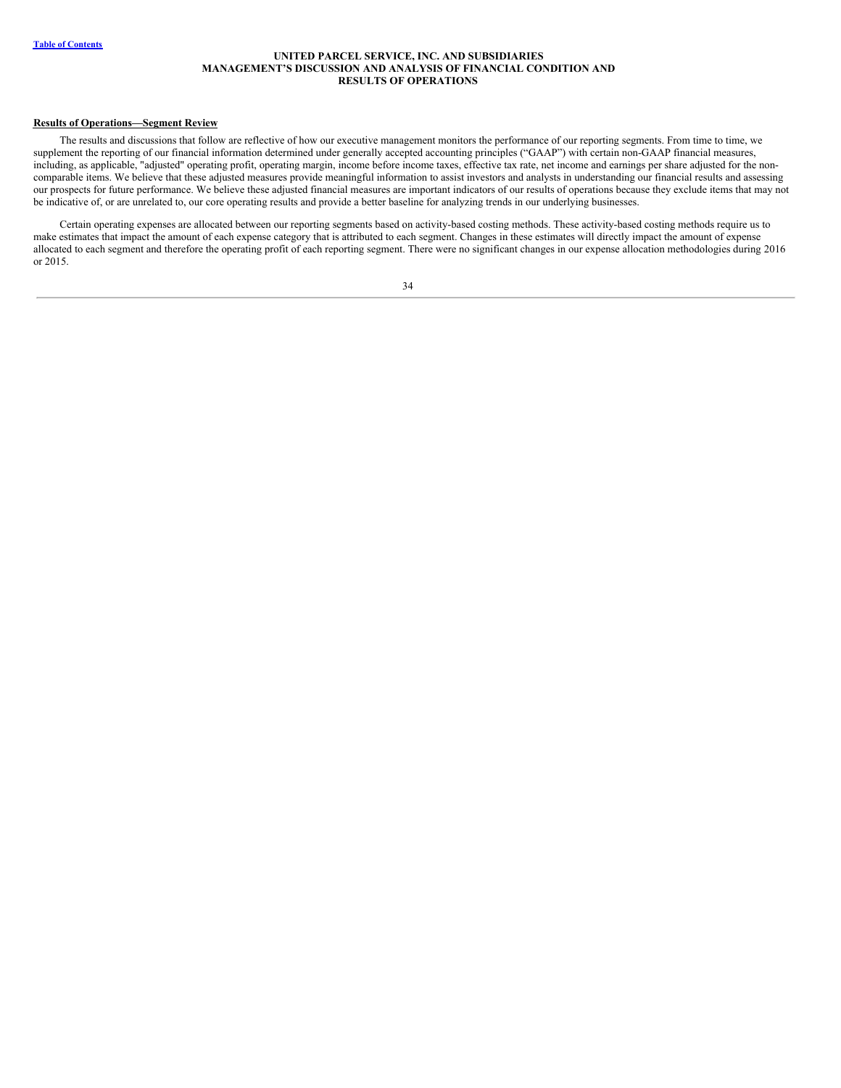# <span id="page-35-0"></span>**Results of Operations—Segment Review**

The results and discussions that follow are reflective of how our executive management monitors the performance of our reporting segments. From time to time, we supplement the reporting of our financial information determined under generally accepted accounting principles ("GAAP") with certain non-GAAP financial measures, including, as applicable, "adjusted" operating profit, operating margin, income before income taxes, effective tax rate, net income and earnings per share adjusted for the noncomparable items. We believe that these adjusted measures provide meaningful information to assist investors and analysts in understanding our financial results and assessing our prospects for future performance. We believe these adjusted financial measures are important indicators of our results of operations because they exclude items that may not be indicative of, or are unrelated to, our core operating results and provide a better baseline for analyzing trends in our underlying businesses.

Certain operating expenses are allocated between our reporting segments based on activity-based costing methods. These activity-based costing methods require us to make estimates that impact the amount of each expense category that is attributed to each segment. Changes in these estimates will directly impact the amount of expense allocated to each segment and therefore the operating profit of each reporting segment. There were no significant changes in our expense allocation methodologies during 2016 or 2015.

|                   | I |
|-------------------|---|
| ۰,<br>I<br>×<br>٧ |   |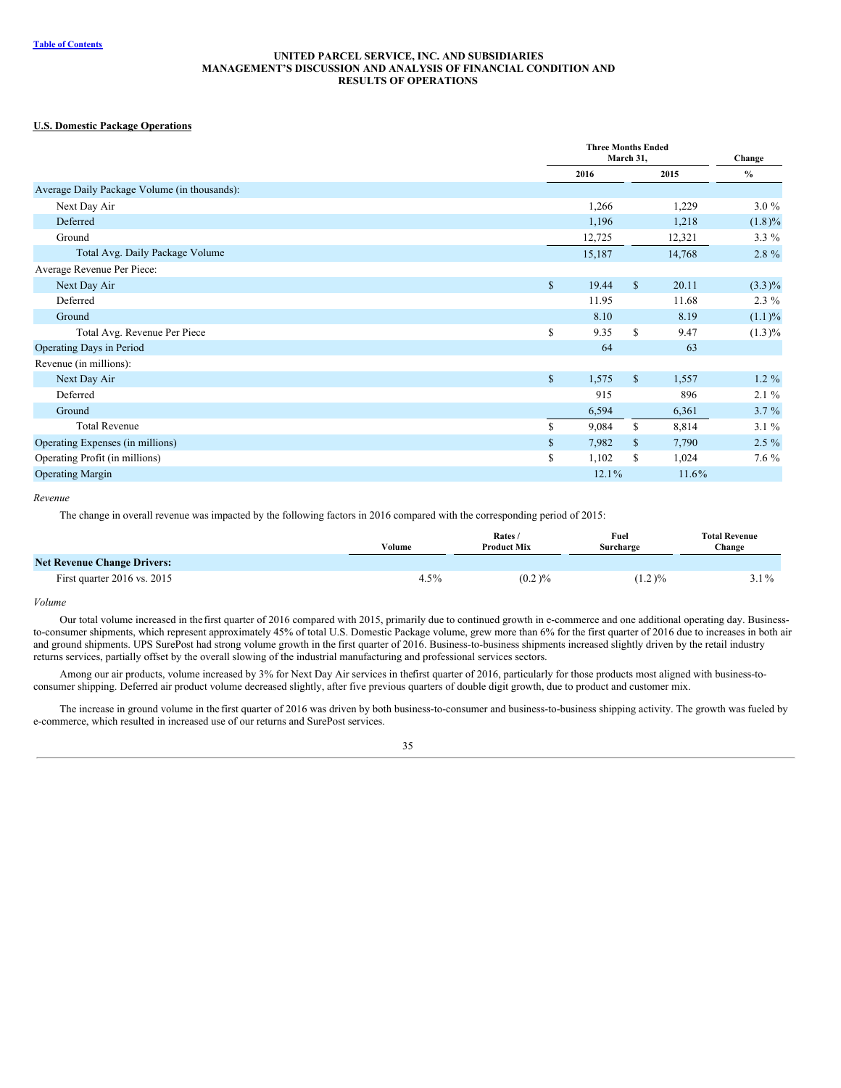# <span id="page-36-0"></span>**U.S. Domestic Package Operations**

|                                              |              | <b>Three Months Ended</b><br>March 31, |              |        | Change        |  |
|----------------------------------------------|--------------|----------------------------------------|--------------|--------|---------------|--|
|                                              |              | 2016                                   |              | 2015   | $\frac{0}{0}$ |  |
| Average Daily Package Volume (in thousands): |              |                                        |              |        |               |  |
| Next Day Air                                 |              | 1,266                                  |              | 1,229  | $3.0\%$       |  |
| Deferred                                     |              | 1,196                                  |              | 1,218  | $(1.8)\%$     |  |
| Ground                                       |              | 12,725                                 |              | 12,321 | $3.3\%$       |  |
| Total Avg. Daily Package Volume              |              | 15,187                                 |              | 14,768 | $2.8\%$       |  |
| Average Revenue Per Piece:                   |              |                                        |              |        |               |  |
| Next Day Air                                 | $\mathbb{S}$ | 19.44                                  | $\mathbb{S}$ | 20.11  | $(3.3)\%$     |  |
| Deferred                                     |              | 11.95                                  |              | 11.68  | $2.3\%$       |  |
| Ground                                       |              | 8.10                                   |              | 8.19   | $(1.1)\%$     |  |
| Total Avg. Revenue Per Piece                 | \$           | 9.35                                   | \$           | 9.47   | $(1.3)\%$     |  |
| Operating Days in Period                     |              | 64                                     |              | 63     |               |  |
| Revenue (in millions):                       |              |                                        |              |        |               |  |
| Next Day Air                                 | $\mathbb{S}$ | 1,575                                  | $\mathbb{S}$ | 1,557  | $1.2 \%$      |  |
| Deferred                                     |              | 915                                    |              | 896    | $2.1\%$       |  |
| Ground                                       |              | 6,594                                  |              | 6,361  | $3.7\%$       |  |
| <b>Total Revenue</b>                         | $\mathbf S$  | 9,084                                  | \$           | 8,814  | $3.1\%$       |  |
| Operating Expenses (in millions)             | $\mathbb{S}$ | 7,982                                  | \$           | 7,790  | $2.5\%$       |  |
| Operating Profit (in millions)               | \$           | 1,102                                  | \$           | 1,024  | $7.6\%$       |  |
| <b>Operating Margin</b>                      |              | 12.1%                                  |              | 11.6%  |               |  |

#### *Revenue*

The change in overall revenue was impacted by the following factors in 2016 compared with the corresponding period of 2015:

|                                    | Volume  | Rates<br><b>Product Mix</b> | Fuel<br>Surcharge | <b>Total Revenue</b><br>Change |
|------------------------------------|---------|-----------------------------|-------------------|--------------------------------|
| <b>Net Revenue Change Drivers:</b> |         |                             |                   |                                |
| First quarter $2016$ vs. $2015$    | $4.5\%$ | $(0.2)\%$                   | $(1.2) \%$        | $3.1\%$                        |

*Volume*

Our total volume increased in the first quarter of 2016 compared with 2015, primarily due to continued growth in e-commerce and one additional operating day. Businessto-consumer shipments, which represent approximately 45% of total U.S. Domestic Package volume, grew more than 6% for the first quarter of 2016 due to increases in both air and ground shipments. UPS SurePost had strong volume growth in the first quarter of 2016. Business-to-business shipments increased slightly driven by the retail industry returns services, partially offset by the overall slowing of the industrial manufacturing and professional services sectors.

Among our air products, volume increased by 3% for Next Day Air services in thefirst quarter of 2016, particularly for those products most aligned with business-toconsumer shipping. Deferred air product volume decreased slightly, after five previous quarters of double digit growth, due to product and customer mix.

The increase in ground volume in the first quarter of 2016 was driven by both business-to-consumer and business-to-business shipping activity. The growth was fueled by e-commerce, which resulted in increased use of our returns and SurePost services.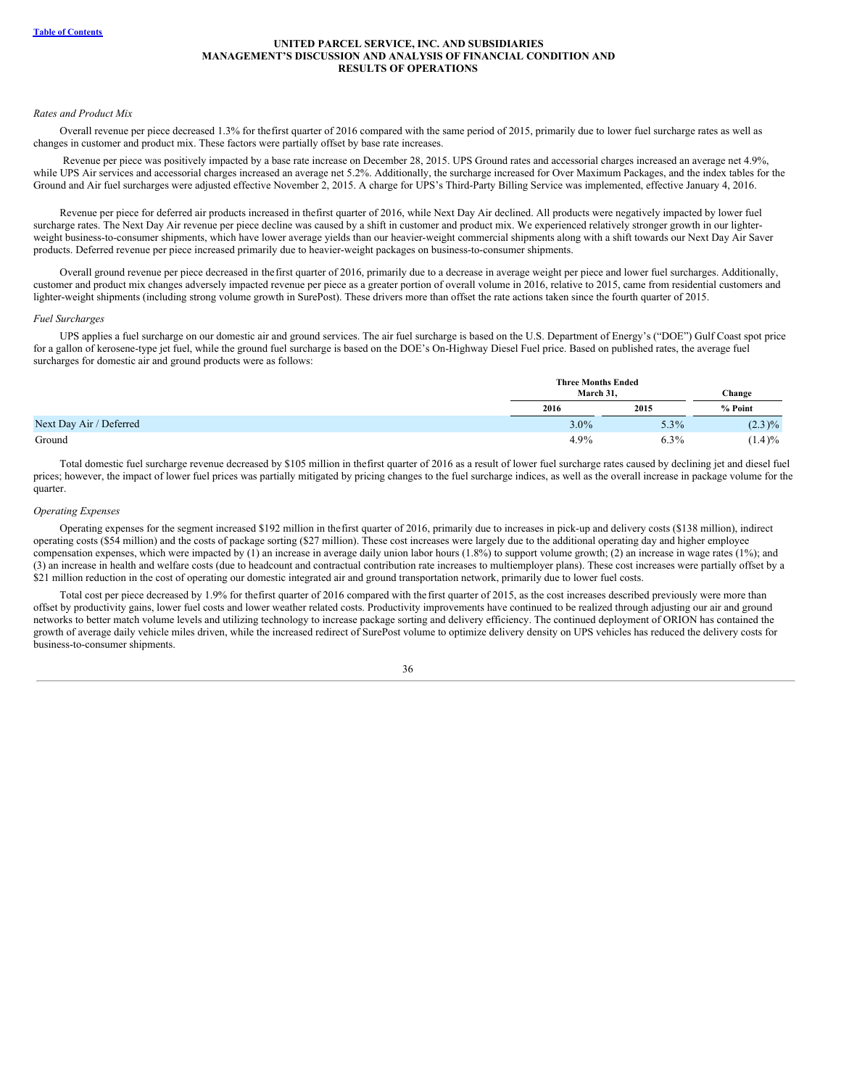# *Rates and Product Mix*

Overall revenue per piece decreased 1.3% for thefirst quarter of 2016 compared with the same period of 2015, primarily due to lower fuel surcharge rates as well as changes in customer and product mix. These factors were partially offset by base rate increases.

Revenue per piece was positively impacted by a base rate increase on December 28, 2015. UPS Ground rates and accessorial charges increased an average net 4.9%, while UPS Air services and accessorial charges increased an average net 5.2%. Additionally, the surcharge increased for Over Maximum Packages, and the index tables for the Ground and Air fuel surcharges were adjusted effective November 2, 2015. A charge for UPS's Third-Party Billing Service was implemented, effective January 4, 2016.

Revenue per piece for deferred air products increased in thefirst quarter of 2016, while Next Day Air declined. All products were negatively impacted by lower fuel surcharge rates. The Next Day Air revenue per piece decline was caused by a shift in customer and product mix. We experienced relatively stronger growth in our lighterweight business-to-consumer shipments, which have lower average yields than our heavier-weight commercial shipments along with a shift towards our Next Day Air Saver products. Deferred revenue per piece increased primarily due to heavier-weight packages on business-to-consumer shipments.

Overall ground revenue per piece decreased in thefirst quarter of 2016, primarily due to a decrease in average weight per piece and lower fuel surcharges. Additionally, customer and product mix changes adversely impacted revenue per piece as a greater portion of overall volume in 2016, relative to 2015, came from residential customers and lighter-weight shipments (including strong volume growth in SurePost). These drivers more than offset the rate actions taken since the fourth quarter of 2015.

#### *Fuel Surcharges*

UPS applies a fuel surcharge on our domestic air and ground services. The air fuel surcharge is based on the U.S. Department of Energy's ("DOE") Gulf Coast spot price for a gallon of kerosene-type jet fuel, while the ground fuel surcharge is based on the DOE's On-Highway Diesel Fuel price. Based on published rates, the average fuel surcharges for domestic air and ground products were as follows:

|                         | <b>Three Months Ended</b><br>March 31,<br>Change |      |           |  |  |
|-------------------------|--------------------------------------------------|------|-----------|--|--|
|                         | 2016                                             | 2015 | % Point   |  |  |
| Next Day Air / Deferred | 3.0%                                             | 5.3% | $(2.3)\%$ |  |  |
| Ground                  | 4.9%                                             | 6.3% | $(1.4)\%$ |  |  |

Total domestic fuel surcharge revenue decreased by \$105 million in thefirst quarter of 2016 as a result of lower fuel surcharge rates caused by declining jet and diesel fuel prices; however, the impact of lower fuel prices was partially mitigated by pricing changes to the fuel surcharge indices, as well as the overall increase in package volume for the quarter.

### *Operating Expenses*

Operating expenses for the segment increased \$192 million in thefirst quarter of 2016, primarily due to increases in pick-up and delivery costs (\$138 million), indirect operating costs (\$54 million) and the costs of package sorting (\$27 million). These cost increases were largely due to the additional operating day and higher employee compensation expenses, which were impacted by  $(1)$  an increase in average daily union labor hours  $(1.8%)$  to support volume growth;  $(2)$  an increase in wage rates  $(1%)$ ; and (3) an increase in health and welfare costs (due to headcount and contractual contribution rate increases to multiemployer plans). These cost increases were partially offset by a \$21 million reduction in the cost of operating our domestic integrated air and ground transportation network, primarily due to lower fuel costs.

Total cost per piece decreased by 1.9% for thefirst quarter of 2016 compared with the first quarter of 2015, as the cost increases described previously were more than offset by productivity gains, lower fuel costs and lower weather related costs. Productivity improvements have continued to be realized through adjusting our air and ground networks to better match volume levels and utilizing technology to increase package sorting and delivery efficiency. The continued deployment of ORION has contained the growth of average daily vehicle miles driven, while the increased redirect of SurePost volume to optimize delivery density on UPS vehicles has reduced the delivery costs for business-to-consumer shipments.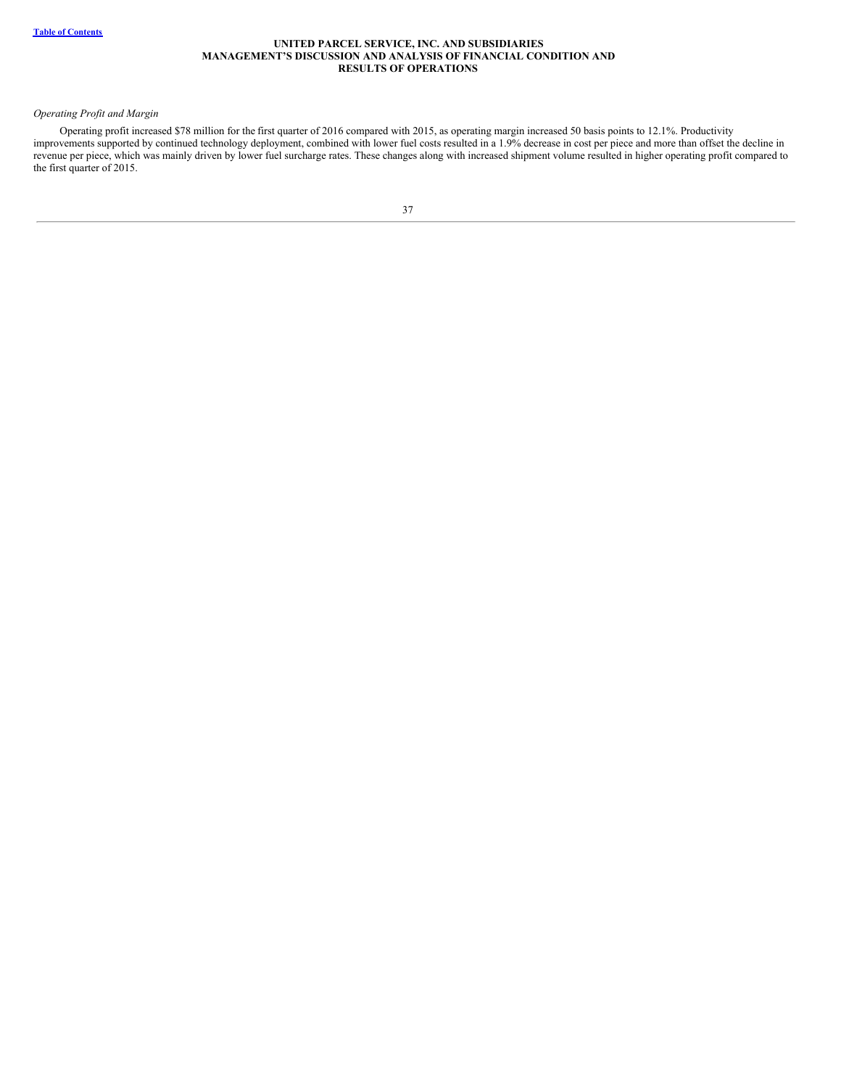# *Operating Profit and Margin*

Operating profit increased \$78 million for the first quarter of 2016 compared with 2015, as operating margin increased 50 basis points to 12.1%. Productivity improvements supported by continued technology deployment, combined with lower fuel costs resulted in a 1.9% decrease in cost per piece and more than offset the decline in revenue per piece, which was mainly driven by lower fuel surcharge rates. These changes along with increased shipment volume resulted in higher operating profit compared to the first quarter of 2015.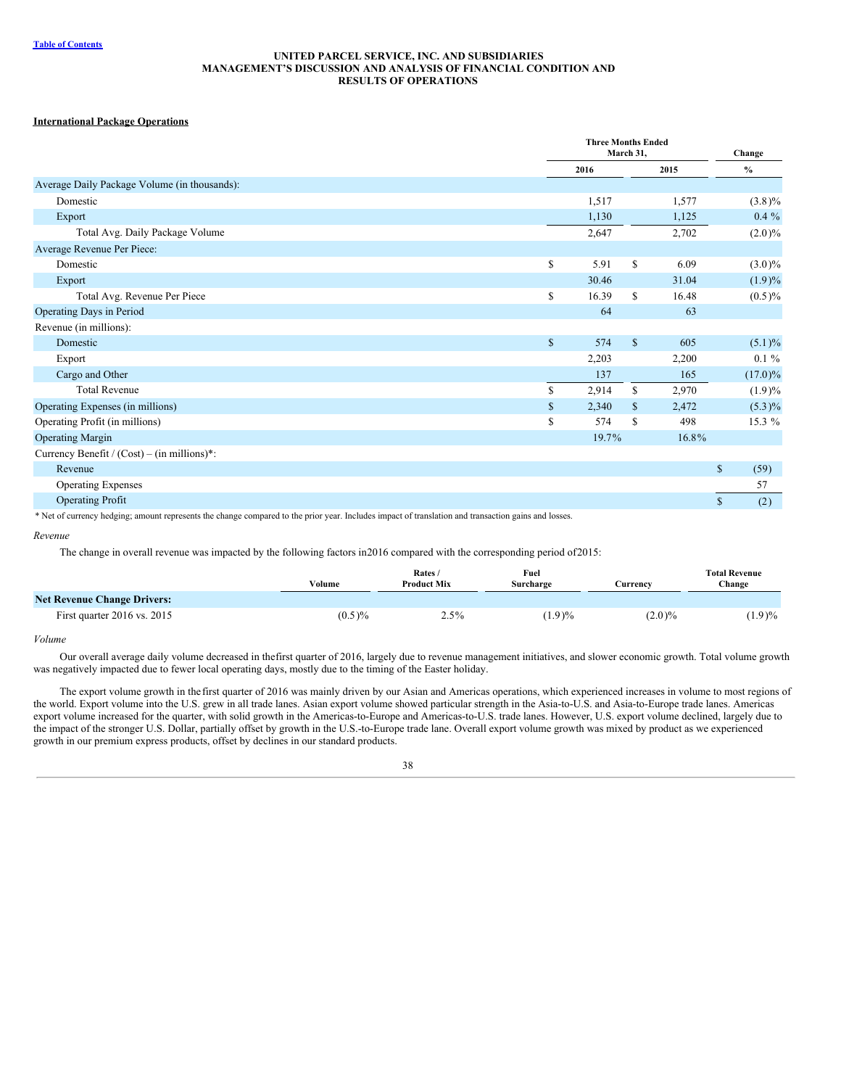# <span id="page-39-0"></span>**International Package Operations**

|                                              |              | <b>Three Months Ended</b><br>March 31, |              |       |              | Change     |  |
|----------------------------------------------|--------------|----------------------------------------|--------------|-------|--------------|------------|--|
|                                              |              | 2016                                   |              | 2015  |              | $\%$       |  |
| Average Daily Package Volume (in thousands): |              |                                        |              |       |              |            |  |
| Domestic                                     |              | 1,517                                  |              | 1,577 |              | $(3.8)\%$  |  |
| Export                                       |              | 1,130                                  |              | 1,125 |              | $0.4\%$    |  |
| Total Avg. Daily Package Volume              |              | 2,647                                  |              | 2,702 |              | $(2.0)\%$  |  |
| Average Revenue Per Piece:                   |              |                                        |              |       |              |            |  |
| Domestic                                     | \$           | 5.91                                   | \$           | 6.09  |              | $(3.0)\%$  |  |
| Export                                       |              | 30.46                                  |              | 31.04 |              | $(1.9)\%$  |  |
| Total Avg. Revenue Per Piece                 | \$           | 16.39                                  | $\mathbb{S}$ | 16.48 |              | $(0.5)\%$  |  |
| Operating Days in Period                     |              | 64                                     |              | 63    |              |            |  |
| Revenue (in millions):                       |              |                                        |              |       |              |            |  |
| Domestic                                     | $\mathbb{S}$ | 574                                    | $\mathbb{S}$ | 605   |              | $(5.1)\%$  |  |
| Export                                       |              | 2,203                                  |              | 2,200 |              | $0.1\%$    |  |
| Cargo and Other                              |              | 137                                    |              | 165   |              | $(17.0)\%$ |  |
| <b>Total Revenue</b>                         | \$           | 2,914                                  | $\mathbb{S}$ | 2,970 |              | $(1.9)\%$  |  |
| Operating Expenses (in millions)             | $\mathbf S$  | 2,340                                  | $\mathbb{S}$ | 2,472 |              | $(5.3)\%$  |  |
| Operating Profit (in millions)               | \$           | 574                                    | $\mathbb{S}$ | 498   |              | 15.3 %     |  |
| <b>Operating Margin</b>                      |              | 19.7%                                  |              | 16.8% |              |            |  |
| Currency Benefit / (Cost) – (in millions)*:  |              |                                        |              |       |              |            |  |
| Revenue                                      |              |                                        |              |       | $\mathbb{S}$ | (59)       |  |
| <b>Operating Expenses</b>                    |              |                                        |              |       |              | 57         |  |
| <b>Operating Profit</b>                      |              |                                        |              |       | $\mathbb{S}$ | (2)        |  |

\* Net of currency hedging; amount represents the change compared to the prior year. Includes impact of translation and transaction gains and losses.

### *Revenue*

The change in overall revenue was impacted by the following factors in2016 compared with the corresponding period of2015:

|                                    | Volume    | Rates<br><b>Product Mix</b> | Fuel<br>Surcharge | <b>Currency</b> | <b>Total Revenue</b><br>Change |
|------------------------------------|-----------|-----------------------------|-------------------|-----------------|--------------------------------|
| <b>Net Revenue Change Drivers:</b> |           |                             |                   |                 |                                |
| First quarter $2016$ vs. $2015$    | $(0.5)\%$ | $2.5\%$                     | $(1.9)\%$         | $(2.0)\%$       | (1.9)%                         |

#### *Volume*

Our overall average daily volume decreased in thefirst quarter of 2016, largely due to revenue management initiatives, and slower economic growth. Total volume growth was negatively impacted due to fewer local operating days, mostly due to the timing of the Easter holiday.

The export volume growth in the first quarter of 2016 was mainly driven by our Asian and Americas operations, which experienced increases in volume to most regions of the world. Export volume into the U.S. grew in all trade lanes. Asian export volume showed particular strength in the Asia-to-U.S. and Asia-to-Europe trade lanes. Americas export volume increased for the quarter, with solid growth in the Americas-to-Europe and Americas-to-U.S. trade lanes. However, U.S. export volume declined, largely due to the impact of the stronger U.S. Dollar, partially offset by growth in the U.S.-to-Europe trade lane. Overall export volume growth was mixed by product as we experienced growth in our premium express products, offset by declines in our standard products.

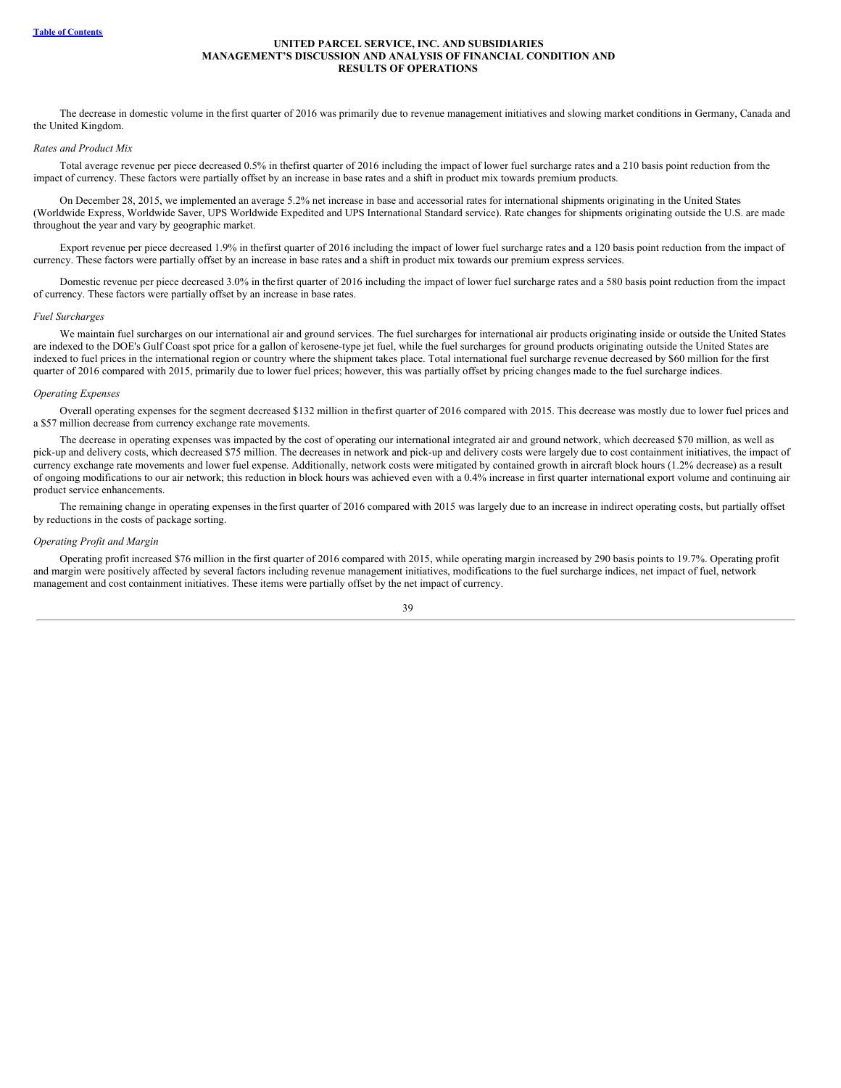The decrease in domestic volume in the first quarter of 2016 was primarily due to revenue management initiatives and slowing market conditions in Germany, Canada and the United Kingdom.

### *Rates and Product Mix*

Total average revenue per piece decreased 0.5% in thefirst quarter of 2016 including the impact of lower fuel surcharge rates and a 210 basis point reduction from the impact of currency. These factors were partially offset by an increase in base rates and a shift in product mix towards premium products.

On December 28, 2015, we implemented an average 5.2% net increase in base and accessorial rates for international shipments originating in the United States (Worldwide Express, Worldwide Saver, UPS Worldwide Expedited and UPS International Standard service). Rate changes for shipments originating outside the U.S. are made throughout the year and vary by geographic market.

Export revenue per piece decreased 1.9% in thefirst quarter of 2016 including the impact of lower fuel surcharge rates and a 120 basis point reduction from the impact of currency. These factors were partially offset by an increase in base rates and a shift in product mix towards our premium express services.

Domestic revenue per piece decreased 3.0% in thefirst quarter of 2016 including the impact of lower fuel surcharge rates and a 580 basis point reduction from the impact of currency. These factors were partially offset by an increase in base rates.

#### *Fuel Surcharges*

We maintain fuel surcharges on our international air and ground services. The fuel surcharges for international air products originating inside or outside the United States are indexed to the DOE's Gulf Coast spot price for a gallon of kerosene-type jet fuel, while the fuel surcharges for ground products originating outside the United States are indexed to fuel prices in the international region or country where the shipment takes place. Total international fuel surcharge revenue decreased by \$60 million for the first quarter of 2016 compared with 2015, primarily due to lower fuel prices; however, this was partially offset by pricing changes made to the fuel surcharge indices.

#### *Operating Expenses*

Overall operating expenses for the segment decreased \$132 million in thefirst quarter of 2016 compared with 2015. This decrease was mostly due to lower fuel prices and a \$57 million decrease from currency exchange rate movements.

The decrease in operating expenses was impacted by the cost of operating our international integrated air and ground network, which decreased \$70 million, as well as pick-up and delivery costs, which decreased \$75 million. The decreases in network and pick-up and delivery costs were largely due to cost containment initiatives, the impact of currency exchange rate movements and lower fuel expense. Additionally, network costs were mitigated by contained growth in aircraft block hours (1.2% decrease) as a result of ongoing modifications to our air network; this reduction in block hours was achieved even with a 0.4% increase in first quarter international export volume and continuing air product service enhancements.

The remaining change in operating expenses in the first quarter of 2016 compared with 2015 was largely due to an increase in indirect operating costs, but partially offset by reductions in the costs of package sorting.

#### *Operating Profit and Margin*

Operating profit increased \$76 million in the first quarter of 2016 compared with 2015, while operating margin increased by 290 basis points to 19.7%. Operating profit and margin were positively affected by several factors including revenue management initiatives, modifications to the fuel surcharge indices, net impact of fuel, network management and cost containment initiatives. These items were partially offset by the net impact of currency.

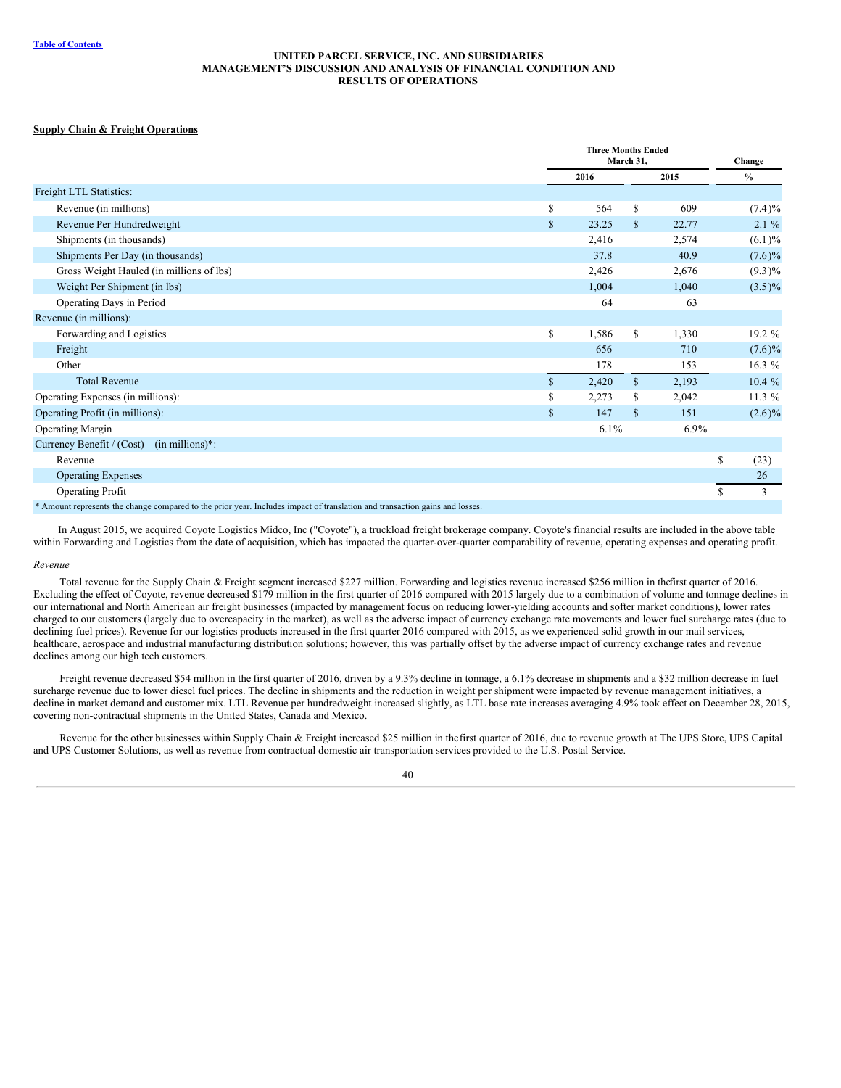# <span id="page-41-0"></span>**Supply Chain & Freight Operations**

|                                                                                                                             |               | Change  |               |         |            |
|-----------------------------------------------------------------------------------------------------------------------------|---------------|---------|---------------|---------|------------|
|                                                                                                                             |               | 2016    |               | 2015    | $\%$       |
| Freight LTL Statistics:                                                                                                     |               |         |               |         |            |
| Revenue (in millions)                                                                                                       | $\mathbf S$   | 564     | $\mathbb{S}$  | 609     | $(7.4)\%$  |
| Revenue Per Hundredweight                                                                                                   | $\mathcal{S}$ | 23.25   | $\mathbb{S}$  | 22.77   | $2.1\%$    |
| Shipments (in thousands)                                                                                                    |               | 2,416   |               | 2,574   | $(6.1)\%$  |
| Shipments Per Day (in thousands)                                                                                            |               | 37.8    |               | 40.9    | $(7.6)\%$  |
| Gross Weight Hauled (in millions of lbs)                                                                                    |               | 2,426   |               | 2,676   | $(9.3)\%$  |
| Weight Per Shipment (in lbs)                                                                                                |               | 1,004   |               | 1,040   | $(3.5)\%$  |
| Operating Days in Period                                                                                                    |               | 64      |               | 63      |            |
| Revenue (in millions):                                                                                                      |               |         |               |         |            |
| Forwarding and Logistics                                                                                                    | \$            | 1,586   | \$            | 1,330   | $19.2 \%$  |
| Freight                                                                                                                     |               | 656     |               | 710     | $(7.6)\%$  |
| Other                                                                                                                       |               | 178     |               | 153     | $16.3 \%$  |
| <b>Total Revenue</b>                                                                                                        | $\mathbb{S}$  | 2,420   | $\mathbb{S}$  | 2,193   | $10.4 \%$  |
| Operating Expenses (in millions):                                                                                           | \$            | 2,273   | \$            | 2,042   | $11.3\%$   |
| Operating Profit (in millions):                                                                                             | $\mathcal{S}$ | 147     | $\mathsf{\$}$ | 151     | $(2.6)\%$  |
| <b>Operating Margin</b>                                                                                                     |               | $6.1\%$ |               | $6.9\%$ |            |
| Currency Benefit / $(Cost) - (in$ millions)*:                                                                               |               |         |               |         |            |
| Revenue                                                                                                                     |               |         |               |         | \$<br>(23) |
| <b>Operating Expenses</b>                                                                                                   |               |         |               |         | 26         |
| <b>Operating Profit</b>                                                                                                     |               |         |               |         | \$<br>3    |
| * Amount represents the change compared to the prior year. Includes impact of translation and transaction gains and losses. |               |         |               |         |            |

In August 2015, we acquired Coyote Logistics Midco, Inc ("Coyote"), a truckload freight brokerage company. Coyote's financial results are included in the above table within Forwarding and Logistics from the date of acquisition, which has impacted the quarter-over-quarter comparability of revenue, operating expenses and operating profit.

*Revenue*

Total revenue for the Supply Chain & Freight segment increased \$227 million. Forwarding and logistics revenue increased \$256 million in thefirst quarter of 2016. Excluding the effect of Coyote, revenue decreased \$179 million in the first quarter of 2016 compared with 2015 largely due to a combination of volume and tonnage declines in our international and North American air freight businesses (impacted by management focus on reducing lower-yielding accounts and softer market conditions), lower rates charged to our customers (largely due to overcapacity in the market), as well as the adverse impact of currency exchange rate movements and lower fuel surcharge rates (due to declining fuel prices). Revenue for our logistics products increased in the first quarter 2016 compared with 2015, as we experienced solid growth in our mail services, healthcare, aerospace and industrial manufacturing distribution solutions; however, this was partially offset by the adverse impact of currency exchange rates and revenue declines among our high tech customers.

Freight revenue decreased \$54 million in the first quarter of 2016, driven by a 9.3% decline in tonnage, a 6.1% decrease in shipments and a \$32 million decrease in fuel surcharge revenue due to lower diesel fuel prices. The decline in shipments and the reduction in weight per shipment were impacted by revenue management initiatives, a decline in market demand and customer mix. LTL Revenue per hundredweight increased slightly, as LTL base rate increases averaging 4.9% took effect on December 28, 2015, covering non-contractual shipments in the United States, Canada and Mexico.

Revenue for the other businesses within Supply Chain & Freight increased \$25 million in thefirst quarter of 2016, due to revenue growth at The UPS Store, UPS Capital and UPS Customer Solutions, as well as revenue from contractual domestic air transportation services provided to the U.S. Postal Service.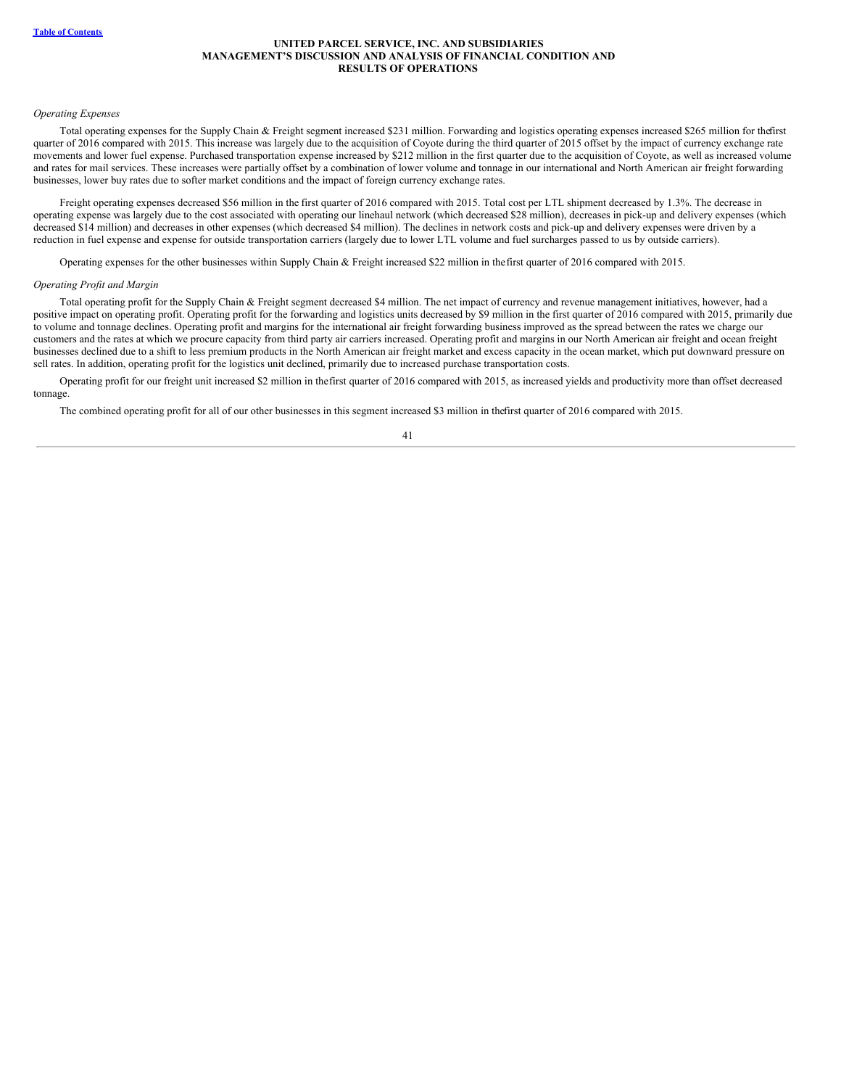#### *Operating Expenses*

Total operating expenses for the Supply Chain & Freight segment increased \$231 million. Forwarding and logistics operating expenses increased \$265 million for thefirst quarter of 2016 compared with 2015. This increase was largely due to the acquisition of Coyote during the third quarter of 2015 offset by the impact of currency exchange rate movements and lower fuel expense. Purchased transportation expense increased by \$212 million in the first quarter due to the acquisition of Coyote, as well as increased volume and rates for mail services. These increases were partially offset by a combination of lower volume and tonnage in our international and North American air freight forwarding businesses, lower buy rates due to softer market conditions and the impact of foreign currency exchange rates.

Freight operating expenses decreased \$56 million in the first quarter of 2016 compared with 2015. Total cost per LTL shipment decreased by 1.3%. The decrease in operating expense was largely due to the cost associated with operating our linehaul network (which decreased \$28 million), decreases in pick-up and delivery expenses (which decreased \$14 million) and decreases in other expenses (which decreased \$4 million). The declines in network costs and pick-up and delivery expenses were driven by a reduction in fuel expense and expense for outside transportation carriers (largely due to lower LTL volume and fuel surcharges passed to us by outside carriers).

Operating expenses for the other businesses within Supply Chain & Freight increased \$22 million in thefirst quarter of 2016 compared with 2015.

#### *Operating Profit and Margin*

Total operating profit for the Supply Chain & Freight segment decreased \$4 million. The net impact of currency and revenue management initiatives, however, had a positive impact on operating profit. Operating profit for the forwarding and logistics units decreased by \$9 million in the first quarter of 2016 compared with 2015, primarily due to volume and tonnage declines. Operating profit and margins for the international air freight forwarding business improved as the spread between the rates we charge our customers and the rates at which we procure capacity from third party air carriers increased. Operating profit and margins in our North American air freight and ocean freight businesses declined due to a shift to less premium products in the North American air freight market and excess capacity in the ocean market, which put downward pressure on sell rates. In addition, operating profit for the logistics unit declined, primarily due to increased purchase transportation costs.

Operating profit for our freight unit increased \$2 million in thefirst quarter of 2016 compared with 2015, as increased yields and productivity more than offset decreased tonnage.

The combined operating profit for all of our other businesses in this segment increased \$3 million in thefirst quarter of 2016 compared with 2015.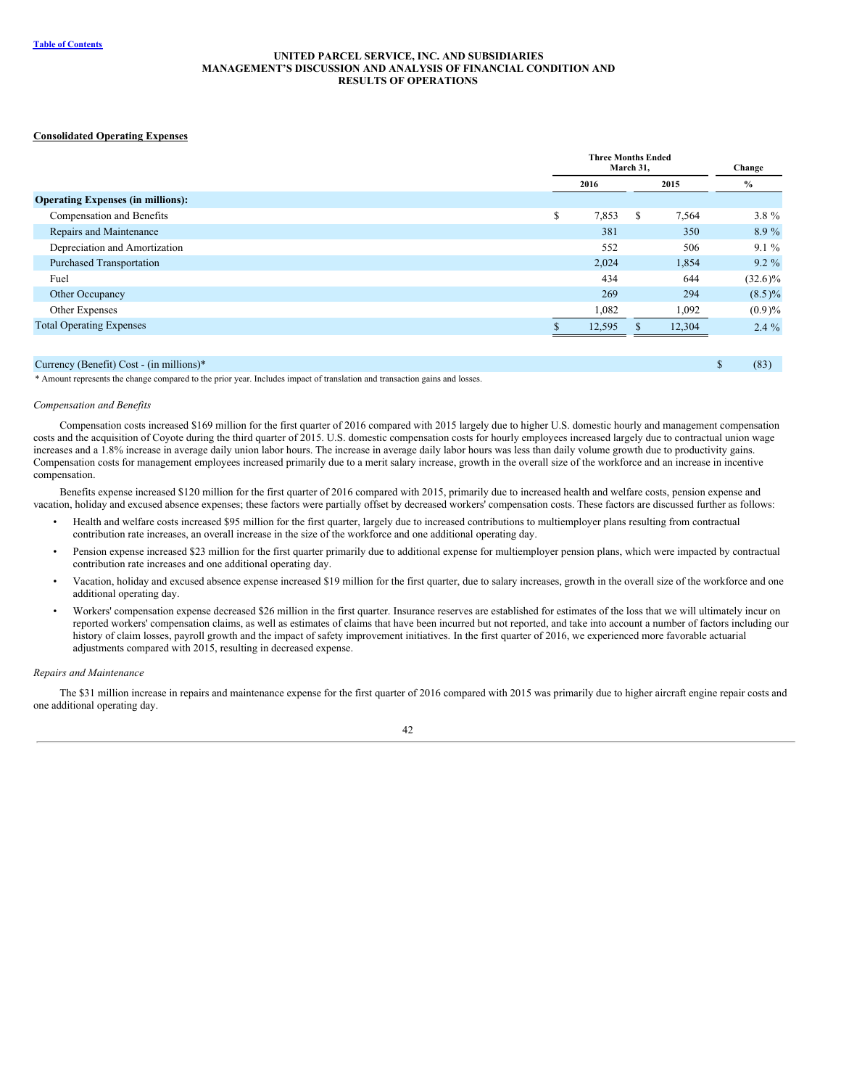### <span id="page-43-0"></span>**Consolidated Operating Expenses**

|                                          |   | <b>Three Months Ended</b><br>March 31, |   |        |            |  |
|------------------------------------------|---|----------------------------------------|---|--------|------------|--|
|                                          |   | 2016                                   |   | 2015   | $\%$       |  |
| <b>Operating Expenses (in millions):</b> |   |                                        |   |        |            |  |
| Compensation and Benefits                | S | 7,853                                  | S | 7,564  | $3.8\%$    |  |
| Repairs and Maintenance                  |   | 381                                    |   | 350    | 8.9 %      |  |
| Depreciation and Amortization            |   | 552                                    |   | 506    | $9.1\%$    |  |
| <b>Purchased Transportation</b>          |   | 2,024                                  |   | 1,854  | $9.2\%$    |  |
| Fuel                                     |   | 434                                    |   | 644    | $(32.6)\%$ |  |
| Other Occupancy                          |   | 269                                    |   | 294    | $(8.5)\%$  |  |
| Other Expenses                           |   | 1,082                                  |   | 1,092  | $(0.9)\%$  |  |
| <b>Total Operating Expenses</b>          |   | 12,595                                 |   | 12,304 | $2.4\%$    |  |
|                                          |   |                                        |   |        |            |  |

# Currency (Benefit) Cost - (in millions)\* (83)

\* Amount represents the change compared to the prior year. Includes impact of translation and transaction gains and losses.

#### *Compensation and Benefits*

Compensation costs increased \$169 million for the first quarter of 2016 compared with 2015 largely due to higher U.S. domestic hourly and management compensation costs and the acquisition of Coyote during the third quarter of 2015. U.S. domestic compensation costs for hourly employees increased largely due to contractual union wage increases and a 1.8% increase in average daily union labor hours. The increase in average daily labor hours was less than daily volume growth due to productivity gains. Compensation costs for management employees increased primarily due to a merit salary increase, growth in the overall size of the workforce and an increase in incentive compensation.

Benefits expense increased \$120 million for the first quarter of 2016 compared with 2015, primarily due to increased health and welfare costs, pension expense and vacation, holiday and excused absence expenses; these factors were partially offset by decreased workers' compensation costs. These factors are discussed further as follows:

- Health and welfare costs increased \$95 million for the first quarter, largely due to increased contributions to multiemployer plans resulting from contractual contribution rate increases, an overall increase in the size of the workforce and one additional operating day.
- Pension expense increased \$23 million for the first quarter primarily due to additional expense for multiemployer pension plans, which were impacted by contractual contribution rate increases and one additional operating day.
- Vacation, holiday and excused absence expense increased \$19 million for the first quarter, due to salary increases, growth in the overall size of the workforce and one additional operating day.
- Workers' compensation expense decreased \$26 million in the first quarter. Insurance reserves are established for estimates of the loss that we will ultimately incur on reported workers' compensation claims, as well as estimates of claims that have been incurred but not reported, and take into account a number of factors including our history of claim losses, payroll growth and the impact of safety improvement initiatives. In the first quarter of 2016, we experienced more favorable actuarial adjustments compared with 2015, resulting in decreased expense.

#### *Repairs and Maintenance*

The \$31 million increase in repairs and maintenance expense for the first quarter of 2016 compared with 2015 was primarily due to higher aircraft engine repair costs and one additional operating day.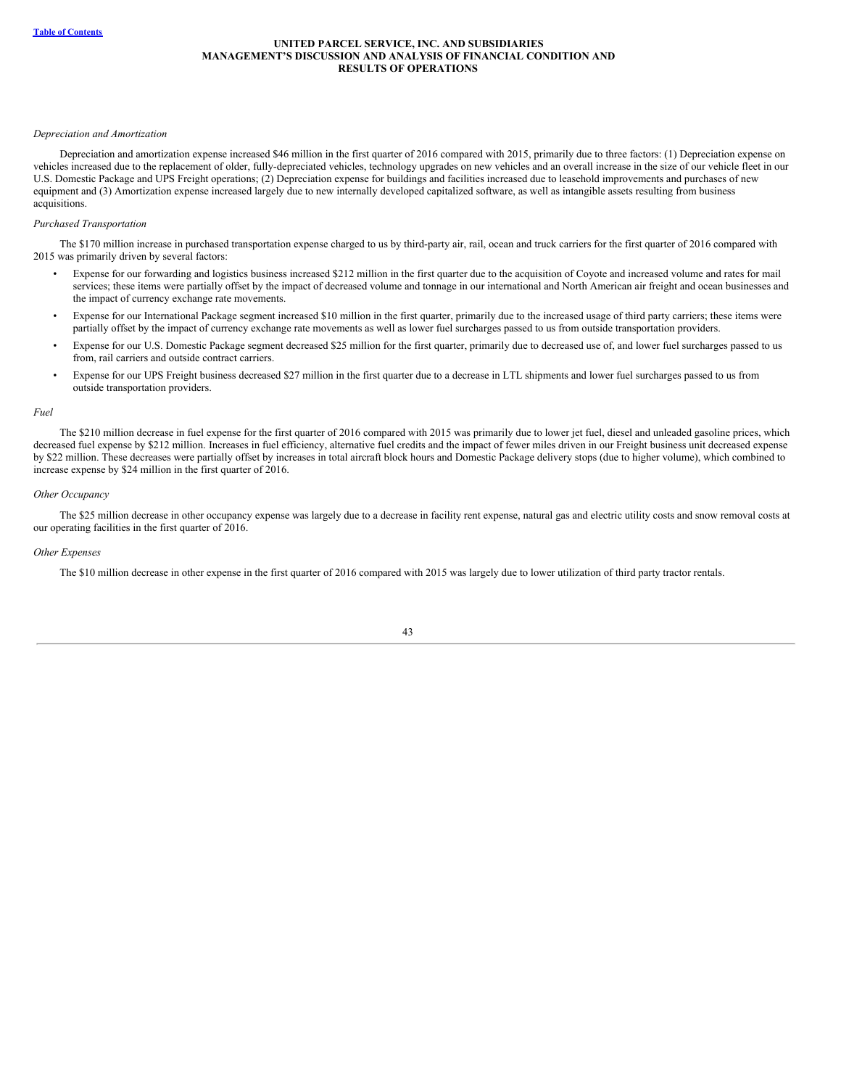### *Depreciation and Amortization*

Depreciation and amortization expense increased \$46 million in the first quarter of 2016 compared with 2015, primarily due to three factors: (1) Depreciation expense on vehicles increased due to the replacement of older, fully-depreciated vehicles, technology upgrades on new vehicles and an overall increase in the size of our vehicle fleet in our U.S. Domestic Package and UPS Freight operations; (2) Depreciation expense for buildings and facilities increased due to leasehold improvements and purchases of new equipment and (3) Amortization expense increased largely due to new internally developed capitalized software, as well as intangible assets resulting from business acquisitions.

#### *Purchased Transportation*

The \$170 million increase in purchased transportation expense charged to us by third-party air, rail, ocean and truck carriers for the first quarter of 2016 compared with 2015 was primarily driven by several factors:

- Expense for our forwarding and logistics business increased \$212 million in the first quarter due to the acquisition of Coyote and increased volume and rates for mail services; these items were partially offset by the impact of decreased volume and tonnage in our international and North American air freight and ocean businesses and the impact of currency exchange rate movements.
- Expense for our International Package segment increased \$10 million in the first quarter, primarily due to the increased usage of third party carriers; these items were partially offset by the impact of currency exchange rate movements as well as lower fuel surcharges passed to us from outside transportation providers.
- Expense for our U.S. Domestic Package segment decreased \$25 million for the first quarter, primarily due to decreased use of, and lower fuel surcharges passed to us from, rail carriers and outside contract carriers.
- Expense for our UPS Freight business decreased \$27 million in the first quarter due to a decrease in LTL shipments and lower fuel surcharges passed to us from outside transportation providers.

#### *Fuel*

The \$210 million decrease in fuel expense for the first quarter of 2016 compared with 2015 was primarily due to lower jet fuel, diesel and unleaded gasoline prices, which decreased fuel expense by \$212 million. Increases in fuel efficiency, alternative fuel credits and the impact of fewer miles driven in our Freight business unit decreased expense by \$22 million. These decreases were partially offset by increases in total aircraft block hours and Domestic Package delivery stops (due to higher volume), which combined to increase expense by \$24 million in the first quarter of 2016.

#### *Other Occupancy*

The \$25 million decrease in other occupancy expense was largely due to a decrease in facility rent expense, natural gas and electric utility costs and snow removal costs at our operating facilities in the first quarter of 2016.

#### *Other Expenses*

The \$10 million decrease in other expense in the first quarter of 2016 compared with 2015 was largely due to lower utilization of third party tractor rentals.

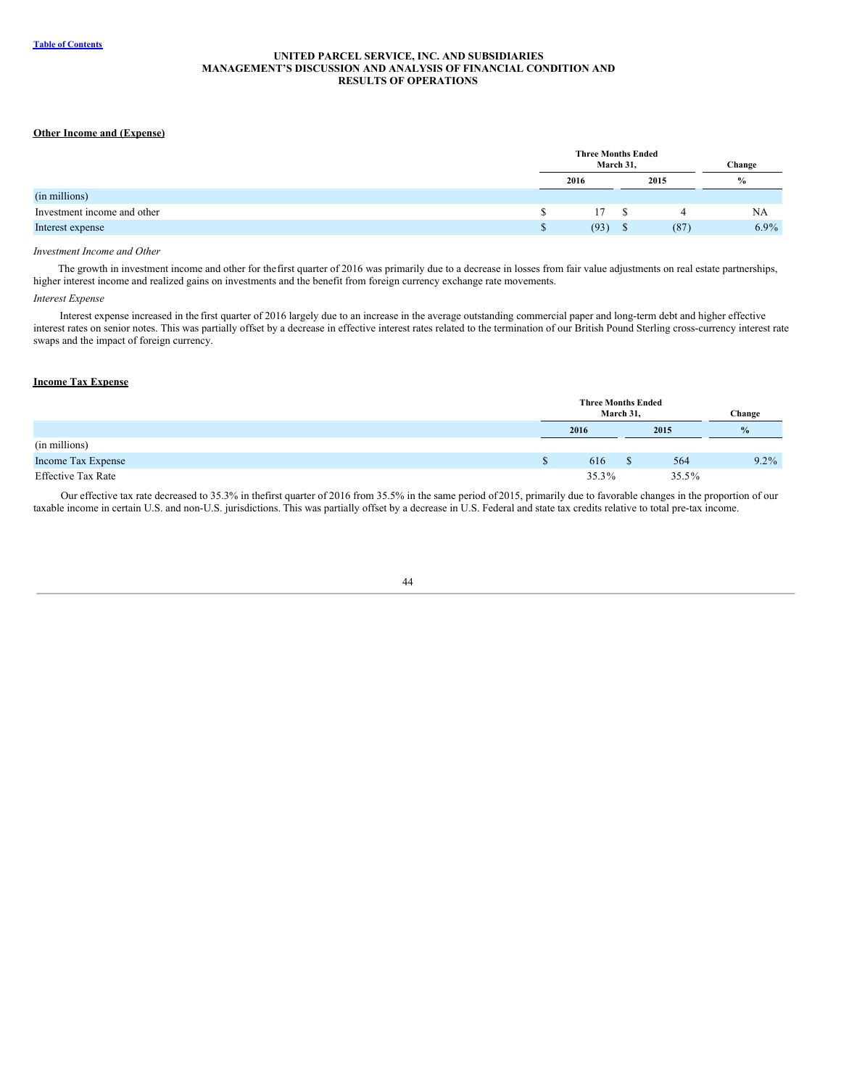### <span id="page-45-0"></span>**Other Income and (Expense)**

|                             | <b>Three Months Ended</b><br>March 31, | Change |      |      |               |
|-----------------------------|----------------------------------------|--------|------|------|---------------|
|                             | 2016                                   |        | 2015 |      | $\frac{0}{0}$ |
| (in millions)               |                                        |        |      |      |               |
| Investment income and other |                                        | 17     |      |      | NA            |
| Interest expense            |                                        | (93)   |      | (87) | $6.9\%$       |

#### *Investment Income and Other*

The growth in investment income and other for the first quarter of 2016 was primarily due to a decrease in losses from fair value adjustments on real estate partnerships, higher interest income and realized gains on investments and the benefit from foreign currency exchange rate movements.

### *Interest Expense*

Interest expense increased in the first quarter of 2016 largely due to an increase in the average outstanding commercial paper and long-term debt and higher effective interest rates on senior notes. This was partially offset by a decrease in effective interest rates related to the termination of our British Pound Sterling cross-currency interest rate swaps and the impact of foreign currency.

# <span id="page-45-1"></span>**Income Tax Expense**

|                           | <b>Three Months Ended</b><br>March 31, | Change |       |               |
|---------------------------|----------------------------------------|--------|-------|---------------|
|                           | 2016                                   |        | 2015  | $\frac{0}{2}$ |
| (in millions)             |                                        |        |       |               |
| Income Tax Expense        | 616                                    |        | 564   | $9.2\%$       |
| <b>Effective Tax Rate</b> | 35.3%                                  |        | 35.5% |               |

Our effective tax rate decreased to 35.3% in thefirst quarter of 2016 from 35.5% in the same period of 2015, primarily due to favorable changes in the proportion of our taxable income in certain U.S. and non-U.S. jurisdictions. This was partially offset by a decrease in U.S. Federal and state tax credits relative to total pre-tax income.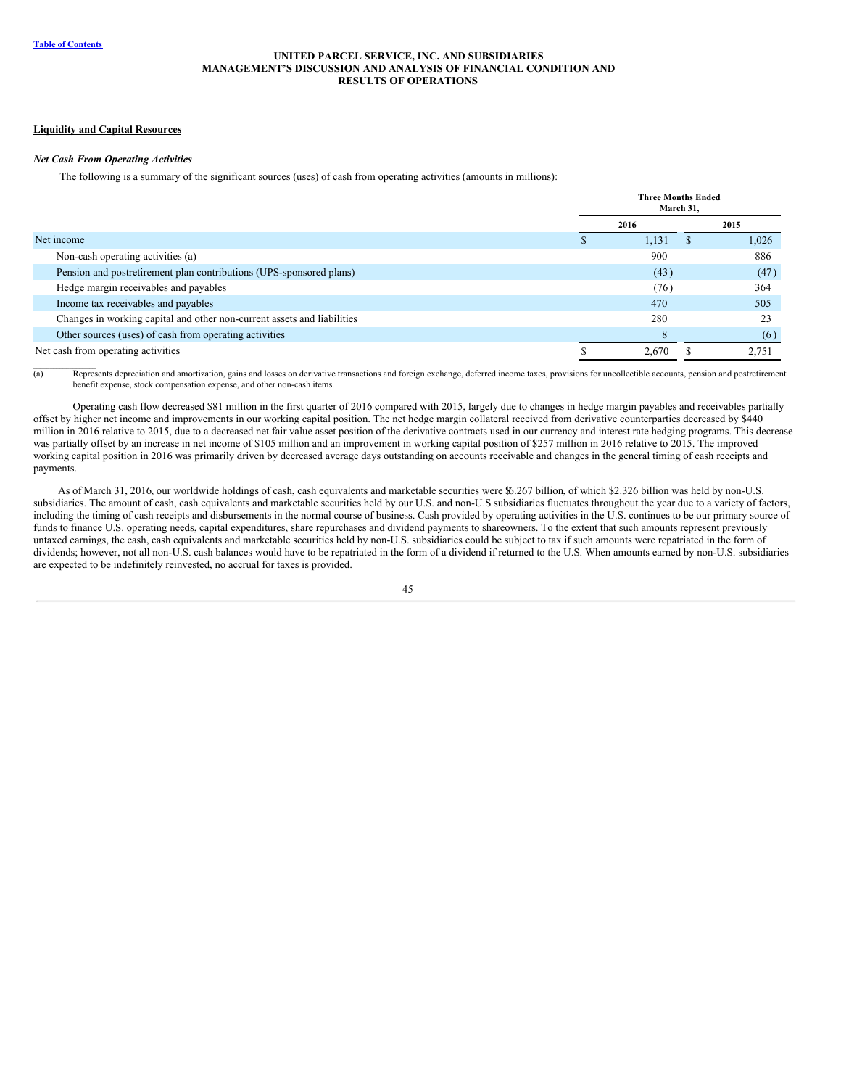# <span id="page-46-1"></span><span id="page-46-0"></span>**Liquidity and Capital Resources**

### *Net Cash From Operating Activities*

The following is a summary of the significant sources (uses) of cash from operating activities (amounts in millions):

|                                                                         | <b>Three Months Ended</b><br>March 31, |       |              |       |  |  |
|-------------------------------------------------------------------------|----------------------------------------|-------|--------------|-------|--|--|
|                                                                         |                                        | 2016  |              | 2015  |  |  |
| Net income                                                              |                                        | 1,131 | <sup>S</sup> | 1,026 |  |  |
| Non-cash operating activities (a)                                       |                                        | 900   |              | 886   |  |  |
| Pension and postretirement plan contributions (UPS-sponsored plans)     |                                        | (43)  |              | (47)  |  |  |
| Hedge margin receivables and payables                                   |                                        | (76)  |              | 364   |  |  |
| Income tax receivables and payables                                     |                                        | 470   |              | 505   |  |  |
| Changes in working capital and other non-current assets and liabilities |                                        | 280   |              | 23    |  |  |
| Other sources (uses) of cash from operating activities                  |                                        | 8     |              | (6)   |  |  |
| Net cash from operating activities                                      |                                        | 2.670 |              | 2.751 |  |  |

(a) Represents depreciation and amortization, gains and losses on derivative transactions and foreign exchange, deferred income taxes, provisions for uncollectible accounts, pension and postretirement benefit expense, stock compensation expense, and other non-cash items.

Operating cash flow decreased \$81 million in the first quarter of 2016 compared with 2015, largely due to changes in hedge margin payables and receivables partially offset by higher net income and improvements in our working capital position. The net hedge margin collateral received from derivative counterparties decreased by \$440 million in 2016 relative to 2015, due to a decreased net fair value asset position of the derivative contracts used in our currency and interest rate hedging programs. This decrease was partially offset by an increase in net income of \$105 million and an improvement in working capital position of \$257 million in 2016 relative to 2015. The improved working capital position in 2016 was primarily driven by decreased average days outstanding on accounts receivable and changes in the general timing of cash receipts and payments.

As of March 31, 2016, our worldwide holdings of cash, cash equivalents and marketable securities were \$6.267 billion, of which \$2.326 billion was held by non-U.S. subsidiaries. The amount of cash, cash equivalents and marketable securities held by our U.S. and non-U.S subsidiaries fluctuates throughout the year due to a variety of factors, including the timing of cash receipts and disbursements in the normal course of business. Cash provided by operating activities in the U.S. continues to be our primary source of funds to finance U.S. operating needs, capital expenditures, share repurchases and dividend payments to shareowners. To the extent that such amounts represent previously untaxed earnings, the cash, cash equivalents and marketable securities held by non-U.S. subsidiaries could be subject to tax if such amounts were repatriated in the form of dividends; however, not all non-U.S. cash balances would have to be repatriated in the form of a dividend if returned to the U.S. When amounts earned by non-U.S. subsidiaries are expected to be indefinitely reinvested, no accrual for taxes is provided.

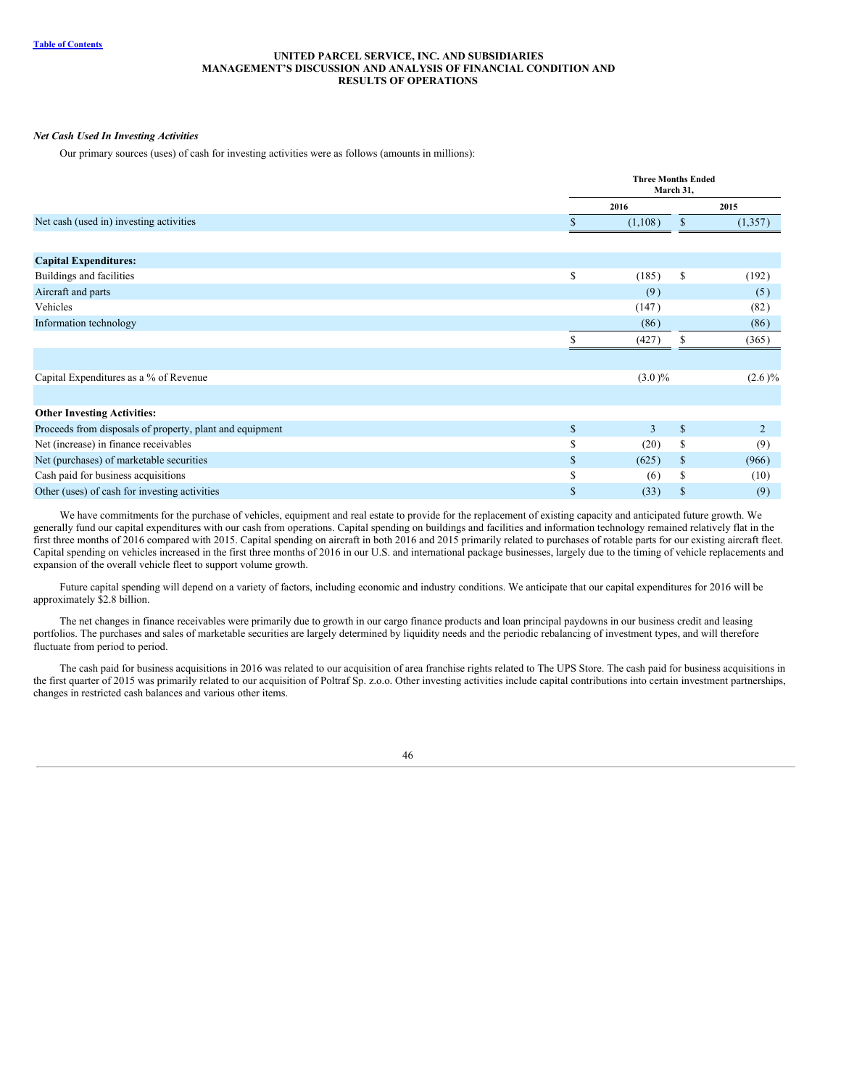### <span id="page-47-0"></span>*Net Cash Used In Investing Activities*

Our primary sources (uses) of cash for investing activities were as follows (amounts in millions):

|                                                          |              | <b>Three Months Ended</b><br>March 31, |                |  |  |  |  |  |  |
|----------------------------------------------------------|--------------|----------------------------------------|----------------|--|--|--|--|--|--|
|                                                          |              | 2016                                   | 2015           |  |  |  |  |  |  |
| Net cash (used in) investing activities                  |              | (1,108)<br>\$                          | (1,357)        |  |  |  |  |  |  |
|                                                          |              |                                        |                |  |  |  |  |  |  |
| <b>Capital Expenditures:</b>                             |              |                                        |                |  |  |  |  |  |  |
| Buildings and facilities                                 | \$           | \$<br>(185)                            | (192)          |  |  |  |  |  |  |
| Aircraft and parts                                       |              | (9)                                    | (5)            |  |  |  |  |  |  |
| Vehicles                                                 |              | (147)                                  | (82)           |  |  |  |  |  |  |
| Information technology                                   |              | (86)                                   | (86)           |  |  |  |  |  |  |
|                                                          |              | (427)<br>S                             | (365)          |  |  |  |  |  |  |
|                                                          |              |                                        |                |  |  |  |  |  |  |
| Capital Expenditures as a % of Revenue                   |              | $(3.0)\%$                              | $(2.6)\%$      |  |  |  |  |  |  |
|                                                          |              |                                        |                |  |  |  |  |  |  |
| <b>Other Investing Activities:</b>                       |              |                                        |                |  |  |  |  |  |  |
| Proceeds from disposals of property, plant and equipment | $\mathbb{S}$ | $\mathbb{S}$<br>3                      | $\overline{2}$ |  |  |  |  |  |  |
| Net (increase) in finance receivables                    | S            | \$<br>(20)                             | (9)            |  |  |  |  |  |  |
| Net (purchases) of marketable securities                 | $\mathbb{S}$ | (625)<br><sup>\$</sup>                 | (966)          |  |  |  |  |  |  |
| Cash paid for business acquisitions                      | S            | \$<br>(6)                              | (10)           |  |  |  |  |  |  |
| Other (uses) of cash for investing activities            | \$           | (33)<br>\$                             | (9)            |  |  |  |  |  |  |

We have commitments for the purchase of vehicles, equipment and real estate to provide for the replacement of existing capacity and anticipated future growth. We generally fund our capital expenditures with our cash from operations. Capital spending on buildings and facilities and information technology remained relatively flat in the first three months of 2016 compared with 2015. Capital spending on aircraft in both 2016 and 2015 primarily related to purchases of rotable parts for our existing aircraft fleet. Capital spending on vehicles increased in the first three months of 2016 in our U.S. and international package businesses, largely due to the timing of vehicle replacements and expansion of the overall vehicle fleet to support volume growth.

Future capital spending will depend on a variety of factors, including economic and industry conditions. We anticipate that our capital expenditures for 2016 will be approximately \$2.8 billion.

The net changes in finance receivables were primarily due to growth in our cargo finance products and loan principal paydowns in our business credit and leasing portfolios. The purchases and sales of marketable securities are largely determined by liquidity needs and the periodic rebalancing of investment types, and will therefore fluctuate from period to period.

The cash paid for business acquisitions in 2016 was related to our acquisition of area franchise rights related to The UPS Store. The cash paid for business acquisitions in the first quarter of 2015 was primarily related to our acquisition of Poltraf Sp. z.o.o. Other investing activities include capital contributions into certain investment partnerships, changes in restricted cash balances and various other items.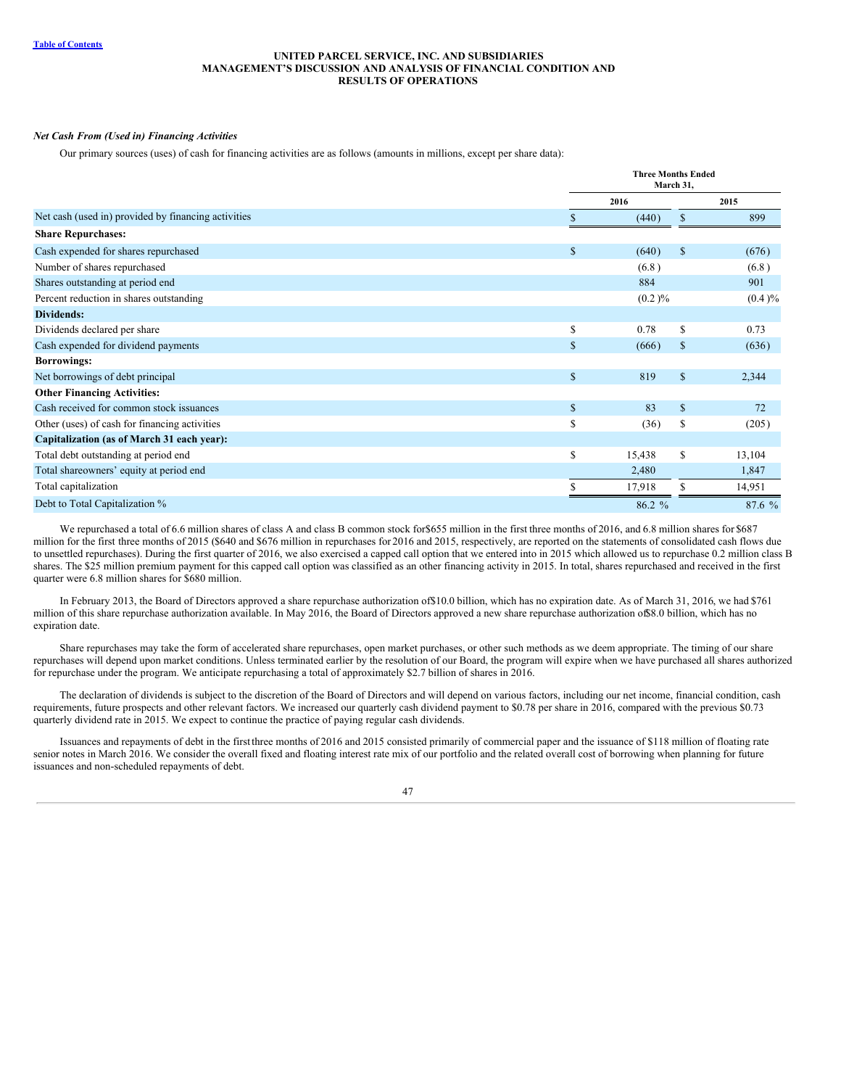# <span id="page-48-0"></span>*Net Cash From (Used in) Financing Activities*

Our primary sources (uses) of cash for financing activities are as follows (amounts in millions, except per share data):

|                                                     |              | <b>Three Months Ended</b> | March 31,     |        |
|-----------------------------------------------------|--------------|---------------------------|---------------|--------|
|                                                     |              | 2016                      |               | 2015   |
| Net cash (used in) provided by financing activities |              | (440)                     | <sup>\$</sup> | 899    |
| <b>Share Repurchases:</b>                           |              |                           |               |        |
| Cash expended for shares repurchased                | $\mathbf S$  | (640)                     | \$            | (676)  |
| Number of shares repurchased                        |              | (6.8)                     |               | (6.8)  |
| Shares outstanding at period end                    |              | 884                       |               | 901    |
| Percent reduction in shares outstanding             |              | $(0.2) \%$                |               | (0.4)% |
| <b>Dividends:</b>                                   |              |                           |               |        |
| Dividends declared per share                        | S            | 0.78                      | <sup>\$</sup> | 0.73   |
| Cash expended for dividend payments                 | $\mathbb{S}$ | (666)                     | \$            | (636)  |
| <b>Borrowings:</b>                                  |              |                           |               |        |
| Net borrowings of debt principal                    | $\mathbf S$  | 819                       | \$            | 2,344  |
| <b>Other Financing Activities:</b>                  |              |                           |               |        |
| Cash received for common stock issuances            | $\mathbb{S}$ | 83                        | $\mathbb{S}$  | 72     |
| Other (uses) of cash for financing activities       | \$           | (36)                      | S             | (205)  |
| Capitalization (as of March 31 each year):          |              |                           |               |        |
| Total debt outstanding at period end                | S            | 15,438                    | <sup>\$</sup> | 13,104 |
| Total shareowners' equity at period end             |              | 2,480                     |               | 1,847  |
| Total capitalization                                |              | 17,918                    | S             | 14,951 |
| Debt to Total Capitalization %                      |              | 86.2 %                    |               | 87.6 % |

We repurchased a total of 6.6 million shares of class A and class B common stock for \$655 million in the first three months of 2016, and 6.8 million shares for \$687 million for the first three months of 2015 (\$640 and \$676 million in repurchases for 2016 and 2015, respectively, are reported on the statements of consolidated cash flows due to unsettled repurchases). During the first quarter of 2016, we also exercised a capped call option that we entered into in 2015 which allowed us to repurchase 0.2 million class B shares. The \$25 million premium payment for this capped call option was classified as an other financing activity in 2015. In total, shares repurchased and received in the first quarter were 6.8 million shares for \$680 million.

In February 2013, the Board of Directors approved a share repurchase authorization of\$10.0 billion, which has no expiration date. As of March 31, 2016, we had \$761 million of this share repurchase authorization available. In May 2016, the Board of Directors approved a new share repurchase authorization of\$8.0 billion, which has no expiration date.

Share repurchases may take the form of accelerated share repurchases, open market purchases, or other such methods as we deem appropriate. The timing of our share repurchases will depend upon market conditions. Unless terminated earlier by the resolution of our Board, the program will expire when we have purchased all shares authorized for repurchase under the program. We anticipate repurchasing a total of approximately \$2.7 billion of shares in 2016.

The declaration of dividends is subject to the discretion of the Board of Directors and will depend on various factors, including our net income, financial condition, cash requirements, future prospects and other relevant factors. We increased our quarterly cash dividend payment to \$0.78 per share in 2016, compared with the previous \$0.73 quarterly dividend rate in 2015. We expect to continue the practice of paying regular cash dividends.

Issuances and repayments of debt in the firstthree months of 2016 and 2015 consisted primarily of commercial paper and the issuance of \$118 million of floating rate senior notes in March 2016. We consider the overall fixed and floating interest rate mix of our portfolio and the related overall cost of borrowing when planning for future issuances and non-scheduled repayments of debt.

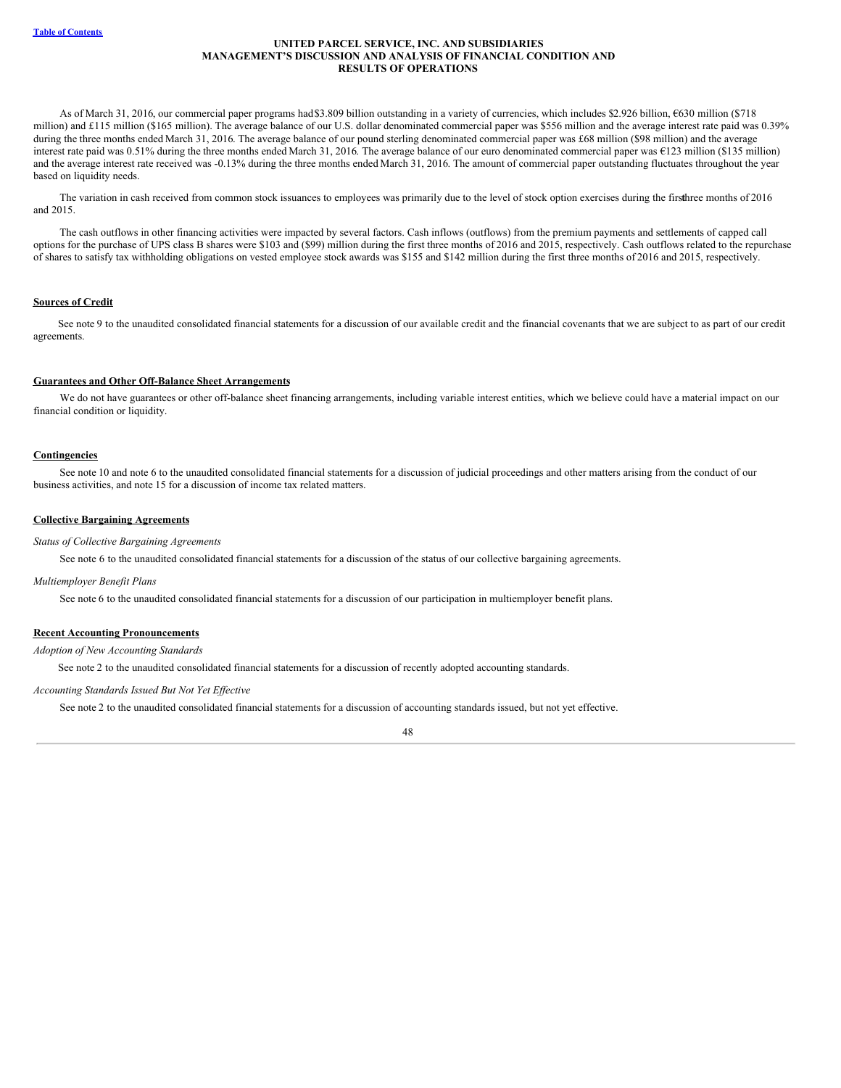As of March 31, 2016, our commercial paper programs had\$3.809 billion outstanding in a variety of currencies, which includes \$2.926 billion, €630 million (\$718 million) and £115 million (\$165 million). The average balance of our U.S. dollar denominated commercial paper was \$556 million and the average interest rate paid was 0.39% during the three months ended March 31, 2016. The average balance of our pound sterling denominated commercial paper was £68 million (\$98 million) and the average interest rate paid was 0.51% during the three months ended March 31, 2016. The average balance of our euro denominated commercial paper was €123 million (\$135 million) and the average interest rate received was -0.13% during the three months ended March 31, 2016. The amount of commercial paper outstanding fluctuates throughout the year based on liquidity needs.

The variation in cash received from common stock issuances to employees was primarily due to the level of stock option exercises during the firsthree months of 2016 and 2015.

The cash outflows in other financing activities were impacted by several factors. Cash inflows (outflows) from the premium payments and settlements of capped call options for the purchase of UPS class B shares were \$103 and (\$99) million during the first three months of 2016 and 2015, respectively. Cash outflows related to the repurchase of shares to satisfy tax withholding obligations on vested employee stock awards was \$155 and \$142 million during the first three months of 2016 and 2015, respectively.

# <span id="page-49-0"></span>**Sources of Credit**

<span id="page-49-1"></span>See note 9 to the unaudited consolidated financial statements for a discussion of our available credit and the financial covenants that we are subject to as part of our credit agreements.

### **Guarantees and Other Off-Balance Sheet Arrangements**

<span id="page-49-2"></span>We do not have guarantees or other off-balance sheet financing arrangements, including variable interest entities, which we believe could have a material impact on our financial condition or liquidity.

# **Contingencies**

<span id="page-49-3"></span>See note 10 and note 6 to the unaudited consolidated financial statements for a discussion of judicial proceedings and other matters arising from the conduct of our business activities, and note 15 for a discussion of income tax related matters.

### **Collective Bargaining Agreements**

*Status of Collective Bargaining Agreements*

See note 6 to the unaudited consolidated financial statements for a discussion of the status of our collective bargaining agreements.

### *Multiemployer Benefit Plans*

<span id="page-49-4"></span>See note 6 to the unaudited consolidated financial statements for a discussion of our participation in multiemployer benefit plans.

# **Recent Accounting Pronouncements**

*Adoption of New Accounting Standards*

See note 2 to the unaudited consolidated financial statements for a discussion of recently adopted accounting standards.

### *Accounting Standards Issued But Not Yet Ef ective*

See note 2 to the unaudited consolidated financial statements for a discussion of accounting standards issued, but not yet effective.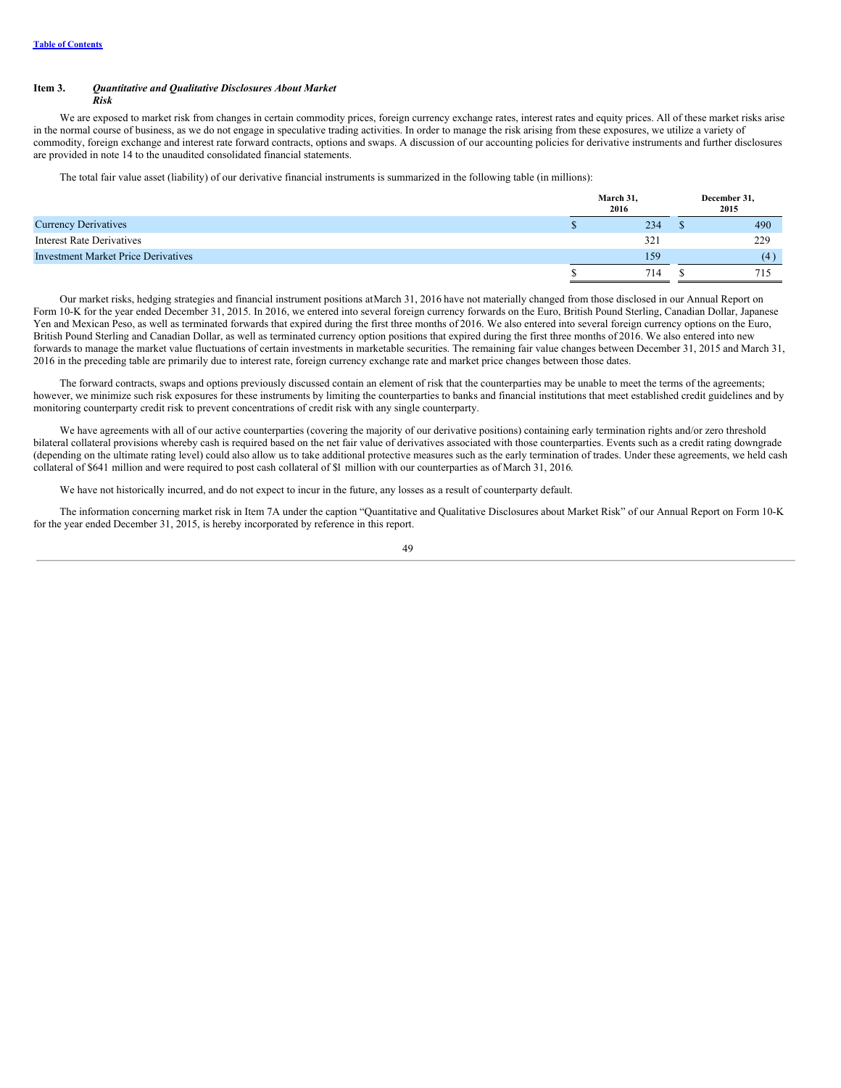#### <span id="page-50-0"></span>**Item 3.** *Quantitative and Qualitative Disclosures About Market Risk*

We are exposed to market risk from changes in certain commodity prices, foreign currency exchange rates, interest rates and equity prices. All of these market risks arise in the normal course of business, as we do not engage in speculative trading activities. In order to manage the risk arising from these exposures, we utilize a variety of commodity, foreign exchange and interest rate forward contracts, options and swaps. A discussion of our accounting policies for derivative instruments and further disclosures are provided in note 14 to the unaudited consolidated financial statements.

The total fair value asset (liability) of our derivative financial instruments is summarized in the following table (in millions):

|                                            |  | March 31,<br>2016 | December 31,<br>2015 |
|--------------------------------------------|--|-------------------|----------------------|
| <b>Currency Derivatives</b>                |  | 234               | 490                  |
| Interest Rate Derivatives                  |  | 321               | 229                  |
| <b>Investment Market Price Derivatives</b> |  | 159               | (4)                  |
|                                            |  | 714               |                      |

Our market risks, hedging strategies and financial instrument positions atMarch 31, 2016 have not materially changed from those disclosed in our Annual Report on Form 10-K for the year ended December 31, 2015. In 2016, we entered into several foreign currency forwards on the Euro, British Pound Sterling, Canadian Dollar, Japanese Yen and Mexican Peso, as well as terminated forwards that expired during the first three months of 2016. We also entered into several foreign currency options on the Euro, British Pound Sterling and Canadian Dollar, as well as terminated currency option positions that expired during the first three months of 2016. We also entered into new forwards to manage the market value fluctuations of certain investments in marketable securities. The remaining fair value changes between December 31, 2015 and March 31, 2016 in the preceding table are primarily due to interest rate, foreign currency exchange rate and market price changes between those dates.

The forward contracts, swaps and options previously discussed contain an element of risk that the counterparties may be unable to meet the terms of the agreements; however, we minimize such risk exposures for these instruments by limiting the counterparties to banks and financial institutions that meet established credit guidelines and by monitoring counterparty credit risk to prevent concentrations of credit risk with any single counterparty.

We have agreements with all of our active counterparties (covering the majority of our derivative positions) containing early termination rights and/or zero threshold bilateral collateral provisions whereby cash is required based on the net fair value of derivatives associated with those counterparties. Events such as a credit rating downgrade (depending on the ultimate rating level) could also allow us to take additional protective measures such as the early termination of trades. Under these agreements, we held cash collateral of \$641 million and were required to post cash collateral of \$1 million with our counterparties as of March 31, 2016.

We have not historically incurred, and do not expect to incur in the future, any losses as a result of counterparty default.

The information concerning market risk in Item 7A under the caption "Quantitative and Qualitative Disclosures about Market Risk" of our Annual Report on Form 10-K for the year ended December 31, 2015, is hereby incorporated by reference in this report.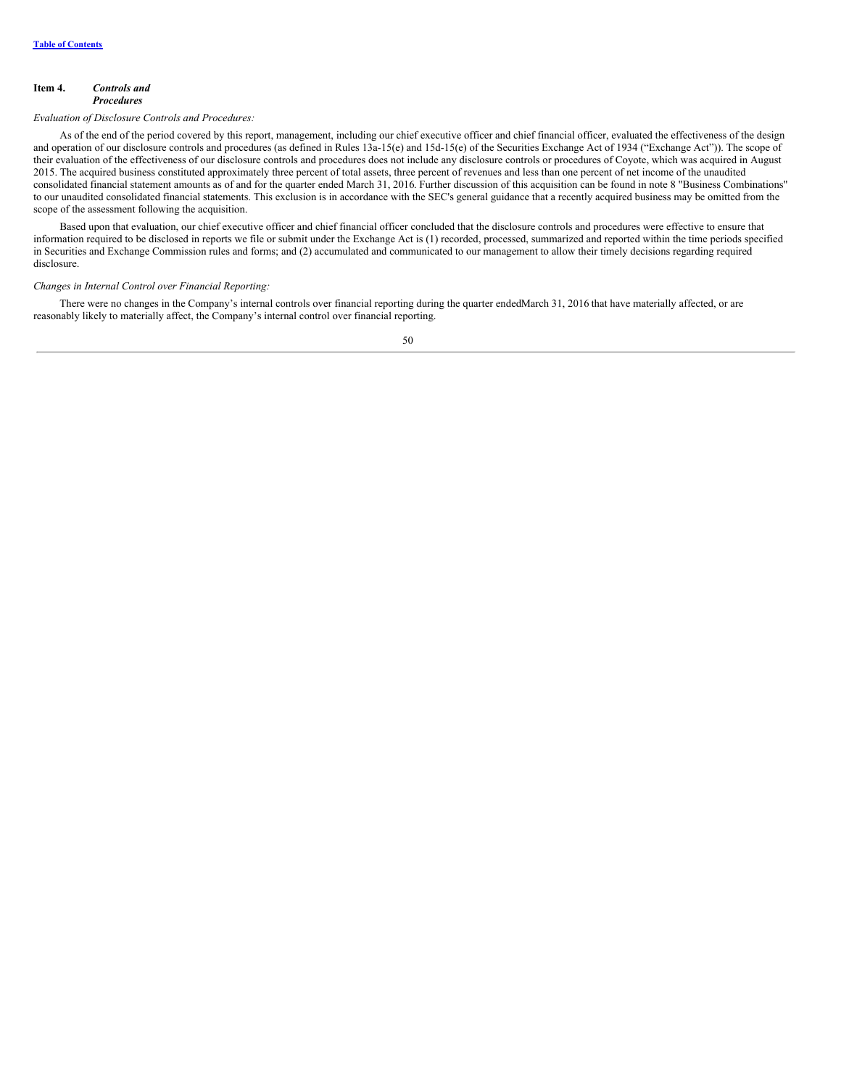#### <span id="page-51-0"></span>**Item 4.** *Controls and Procedures*

#### *Evaluation of Disclosure Controls and Procedures:*

As of the end of the period covered by this report, management, including our chief executive officer and chief financial officer, evaluated the effectiveness of the design and operation of our disclosure controls and procedures (as defined in Rules 13a-15(e) and 15d-15(e) of the Securities Exchange Act of 1934 ("Exchange Act")). The scope of their evaluation of the effectiveness of our disclosure controls and procedures does not include any disclosure controls or procedures of Coyote, which was acquired in August 2015. The acquired business constituted approximately three percent of total assets, three percent of revenues and less than one percent of net income of the unaudited consolidated financial statement amounts as of and for the quarter ended March 31, 2016. Further discussion of this acquisition can be found in note 8 "Business Combinations" to our unaudited consolidated financial statements. This exclusion is in accordance with the SEC's general guidance that a recently acquired business may be omitted from the scope of the assessment following the acquisition.

Based upon that evaluation, our chief executive officer and chief financial officer concluded that the disclosure controls and procedures were effective to ensure that information required to be disclosed in reports we file or submit under the Exchange Act is (1) recorded, processed, summarized and reported within the time periods specified in Securities and Exchange Commission rules and forms; and (2) accumulated and communicated to our management to allow their timely decisions regarding required disclosure.

# *Changes in Internal Control over Financial Reporting:*

There were no changes in the Company's internal controls over financial reporting during the quarter endedMarch 31, 2016 that have materially affected, or are reasonably likely to materially affect, the Company's internal control over financial reporting.

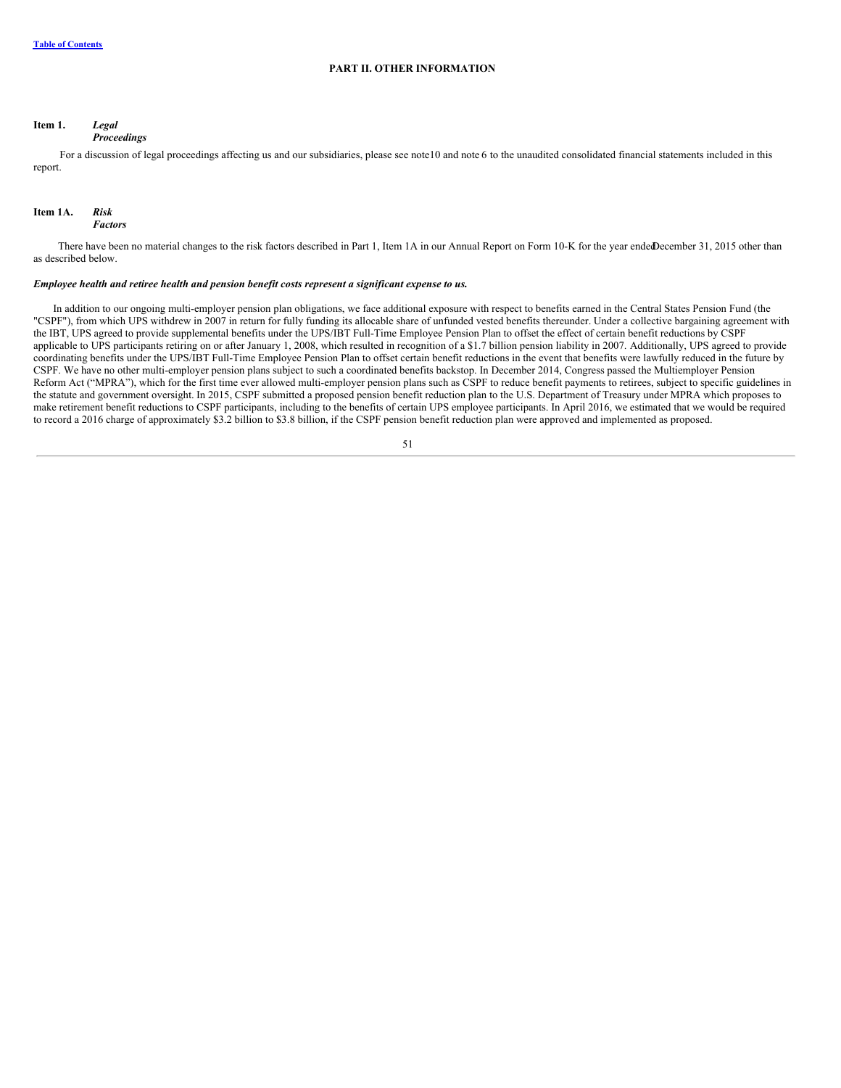### **PART II. OTHER INFORMATION**

#### <span id="page-52-0"></span>**Item 1.** *Legal*

# *Proceedings*

<span id="page-52-1"></span>For a discussion of legal proceedings affecting us and our subsidiaries, please see note10 and note 6 to the unaudited consolidated financial statements included in this report.

# **Item 1A.** *Risk*

*Factors*

There have been no material changes to the risk factors described in Part 1, Item 1A in our Annual Report on Form 10-K for the year endedDecember 31, 2015 other than as described below.

### *Employee health and retiree health and pension benefit costs represent a significant expense to us.*

In addition to our ongoing multi-employer pension plan obligations, we face additional exposure with respect to benefits earned in the Central States Pension Fund (the "CSPF"), from which UPS withdrew in 2007 in return for fully funding its allocable share of unfunded vested benefits thereunder. Under a collective bargaining agreement with the IBT, UPS agreed to provide supplemental benefits under the UPS/IBT Full-Time Employee Pension Plan to offset the effect of certain benefit reductions by CSPF applicable to UPS participants retiring on or after January 1, 2008, which resulted in recognition of a \$1.7 billion pension liability in 2007. Additionally, UPS agreed to provide coordinating benefits under the UPS/IBT Full-Time Employee Pension Plan to offset certain benefit reductions in the event that benefits were lawfully reduced in the future by CSPF. We have no other multi-employer pension plans subject to such a coordinated benefits backstop. In December 2014, Congress passed the Multiemployer Pension Reform Act ("MPRA"), which for the first time ever allowed multi-employer pension plans such as CSPF to reduce benefit payments to retirees, subject to specific guidelines in the statute and government oversight. In 2015, CSPF submitted a proposed pension benefit reduction plan to the U.S. Department of Treasury under MPRA which proposes to make retirement benefit reductions to CSPF participants, including to the benefits of certain UPS employee participants. In April 2016, we estimated that we would be required to record a 2016 charge of approximately \$3.2 billion to \$3.8 billion, if the CSPF pension benefit reduction plan were approved and implemented as proposed.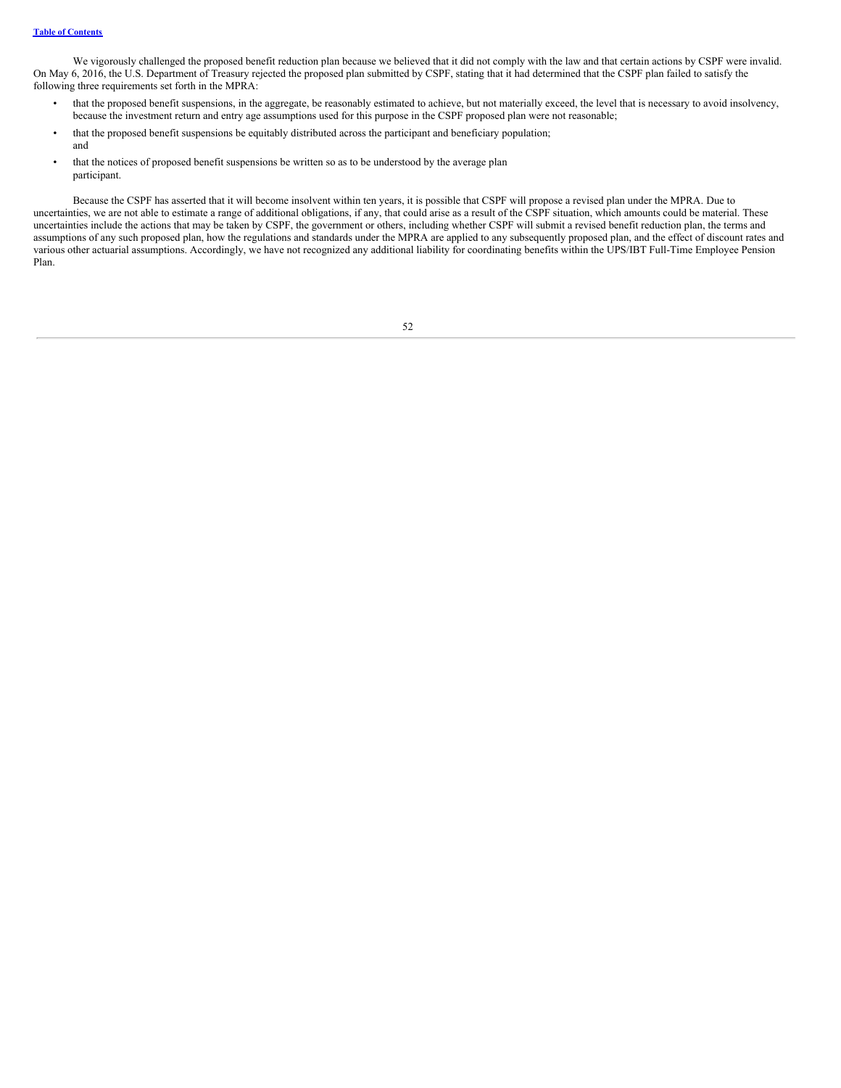We vigorously challenged the proposed benefit reduction plan because we believed that it did not comply with the law and that certain actions by CSPF were invalid. On May 6, 2016, the U.S. Department of Treasury rejected the proposed plan submitted by CSPF, stating that it had determined that the CSPF plan failed to satisfy the following three requirements set forth in the MPRA:

- that the proposed benefit suspensions, in the aggregate, be reasonably estimated to achieve, but not materially exceed, the level that is necessary to avoid insolvency, because the investment return and entry age assumptions used for this purpose in the CSPF proposed plan were not reasonable;
- that the proposed benefit suspensions be equitably distributed across the participant and beneficiary population; and
- that the notices of proposed benefit suspensions be written so as to be understood by the average plan participant.

Because the CSPF has asserted that it will become insolvent within ten years, it is possible that CSPF will propose a revised plan under the MPRA. Due to uncertainties, we are not able to estimate a range of additional obligations, if any, that could arise as a result of the CSPF situation, which amounts could be material. These uncertainties include the actions that may be taken by CSPF, the government or others, including whether CSPF will submit a revised benefit reduction plan, the terms and assumptions of any such proposed plan, how the regulations and standards under the MPRA are applied to any subsequently proposed plan, and the effect of discount rates and various other actuarial assumptions. Accordingly, we have not recognized any additional liability for coordinating benefits within the UPS/IBT Full-Time Employee Pension Plan.

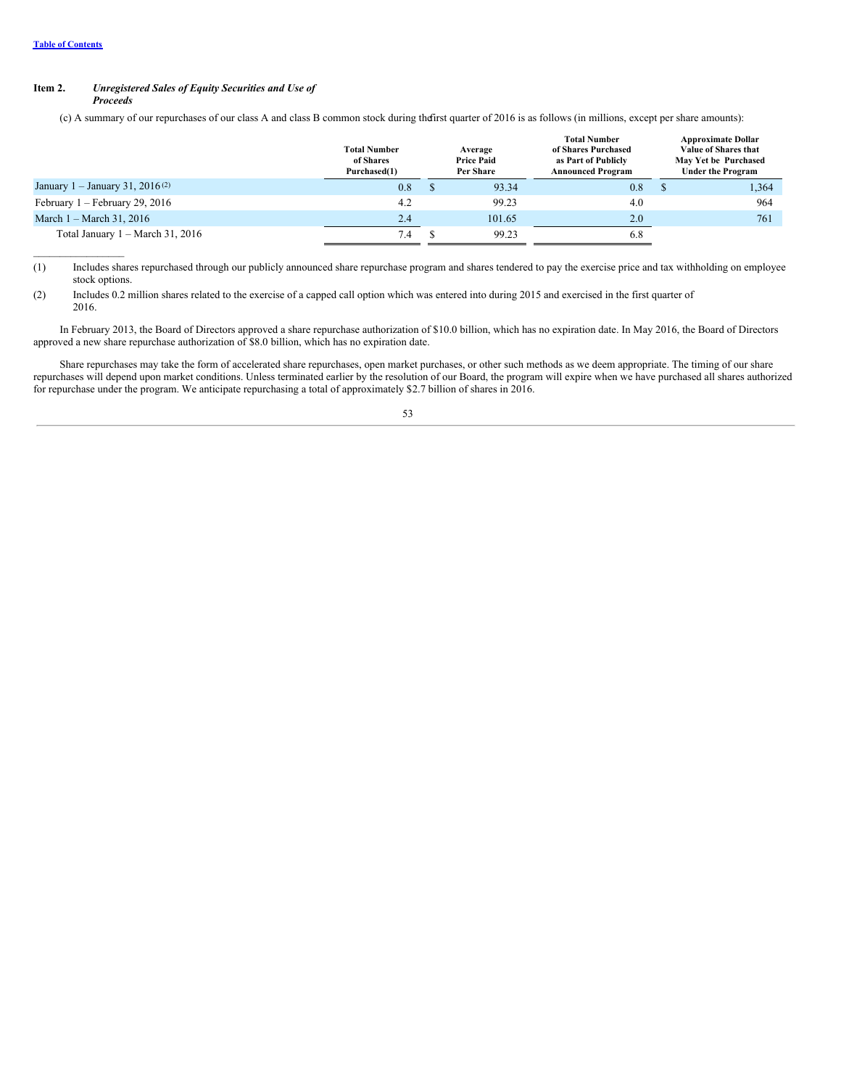# <span id="page-54-0"></span>**Item 2.** *Unregistered Sales of Equity Securities and Use of*

*Proceeds*

 $\mathcal{L}=\mathcal{L}^{\mathcal{L}}$  , where  $\mathcal{L}^{\mathcal{L}}$ 

(c) A summary of our repurchases of our class A and class B common stock during thefirst quarter of 2016 is as follows (in millions, except per share amounts):

| <b>Total Number</b><br>of Shares<br>Purchased(1) |  | Average<br><b>Price Paid</b><br>Per Share | <b>Total Number</b><br>of Shares Purchased<br>as Part of Publicly<br><b>Announced Program</b> | <b>Approximate Dollar</b><br>Value of Shares that<br>May Yet be Purchased<br><b>Under the Program</b> |
|--------------------------------------------------|--|-------------------------------------------|-----------------------------------------------------------------------------------------------|-------------------------------------------------------------------------------------------------------|
| 0.8                                              |  | 93.34                                     | 0.8                                                                                           | 1,364                                                                                                 |
| 4.2                                              |  | 99.23                                     | 4.0                                                                                           | 964                                                                                                   |
| 2.4                                              |  | 101.65                                    | 2.0                                                                                           | 761                                                                                                   |
| 7.4                                              |  | 99.23                                     | 6.8                                                                                           |                                                                                                       |
|                                                  |  |                                           |                                                                                               |                                                                                                       |

(1) Includes shares repurchased through our publicly announced share repurchase program and shares tendered to pay the exercise price and tax withholding on employee stock options.

(2) Includes 0.2 million shares related to the exercise of a capped call option which was entered into during 2015 and exercised in the first quarter of 2016.

In February 2013, the Board of Directors approved a share repurchase authorization of \$10.0 billion, which has no expiration date. In May 2016, the Board of Directors approved a new share repurchase authorization of \$8.0 billion, which has no expiration date.

Share repurchases may take the form of accelerated share repurchases, open market purchases, or other such methods as we deem appropriate. The timing of our share repurchases will depend upon market conditions. Unless terminated earlier by the resolution of our Board, the program will expire when we have purchased all shares authorized for repurchase under the program. We anticipate repurchasing a total of approximately \$2.7 billion of shares in 2016.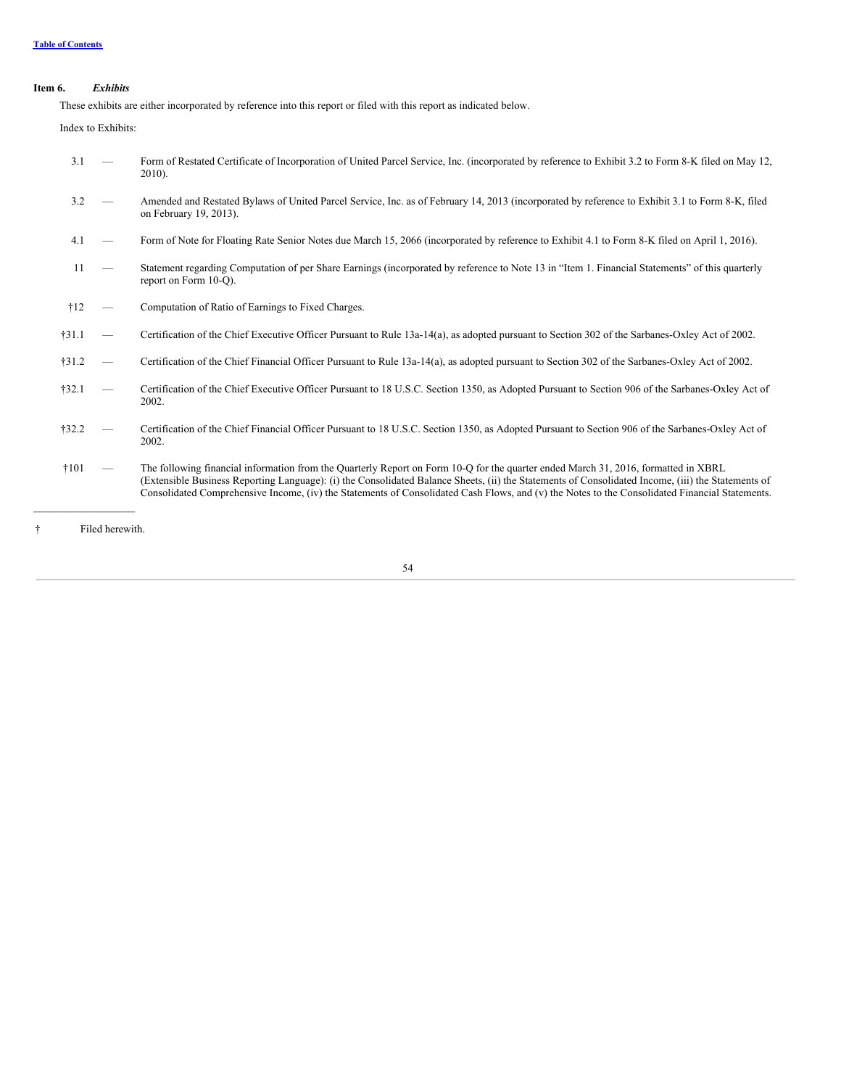# <span id="page-55-0"></span>**Item 6.** *Exhibits*

These exhibits are either incorporated by reference into this report or filed with this report as indicated below.

Index to Exhibits:

| 3.1            |                          | Form of Restated Certificate of Incorporation of United Parcel Service, Inc. (incorporated by reference to Exhibit 3.2 to Form 8-K filed on May 12,<br>2010).                                                                                                                                                                                                                                                                              |
|----------------|--------------------------|--------------------------------------------------------------------------------------------------------------------------------------------------------------------------------------------------------------------------------------------------------------------------------------------------------------------------------------------------------------------------------------------------------------------------------------------|
| 3.2            |                          | Amended and Restated Bylaws of United Parcel Service, Inc. as of February 14, 2013 (incorporated by reference to Exhibit 3.1 to Form 8-K, filed<br>on February 19, 2013).                                                                                                                                                                                                                                                                  |
| 4.1            |                          | Form of Note for Floating Rate Senior Notes due March 15, 2066 (incorporated by reference to Exhibit 4.1 to Form 8-K filed on April 1, 2016).                                                                                                                                                                                                                                                                                              |
| 11             |                          | Statement regarding Computation of per Share Earnings (incorporated by reference to Note 13 in "Item 1. Financial Statements" of this quarterly<br>report on Form 10-O).                                                                                                                                                                                                                                                                   |
| †12            |                          | Computation of Ratio of Earnings to Fixed Charges.                                                                                                                                                                                                                                                                                                                                                                                         |
| †31.1          |                          | Certification of the Chief Executive Officer Pursuant to Rule 13a-14(a), as adopted pursuant to Section 302 of the Sarbanes-Oxley Act of 2002.                                                                                                                                                                                                                                                                                             |
| $\dagger$ 31.2 | $\overline{\phantom{0}}$ | Certification of the Chief Financial Officer Pursuant to Rule 13a-14(a), as adopted pursuant to Section 302 of the Sarbanes-Oxley Act of 2002.                                                                                                                                                                                                                                                                                             |
| †32.1          |                          | Certification of the Chief Executive Officer Pursuant to 18 U.S.C. Section 1350, as Adopted Pursuant to Section 906 of the Sarbanes-Oxley Act of<br>2002.                                                                                                                                                                                                                                                                                  |
| †32.2          |                          | Certification of the Chief Financial Officer Pursuant to 18 U.S.C. Section 1350, as Adopted Pursuant to Section 906 of the Sarbanes-Oxley Act of<br>2002.                                                                                                                                                                                                                                                                                  |
| $\dagger$ 101  |                          | The following financial information from the Quarterly Report on Form 10-Q for the quarter ended March 31, 2016, formatted in XBRL<br>(Extensible Business Reporting Language): (i) the Consolidated Balance Sheets, (ii) the Statements of Consolidated Income, (iii) the Statements of<br>Consolidated Comprehensive Income, (iv) the Statements of Consolidated Cash Flows, and (v) the Notes to the Consolidated Financial Statements. |

† Filed herewith.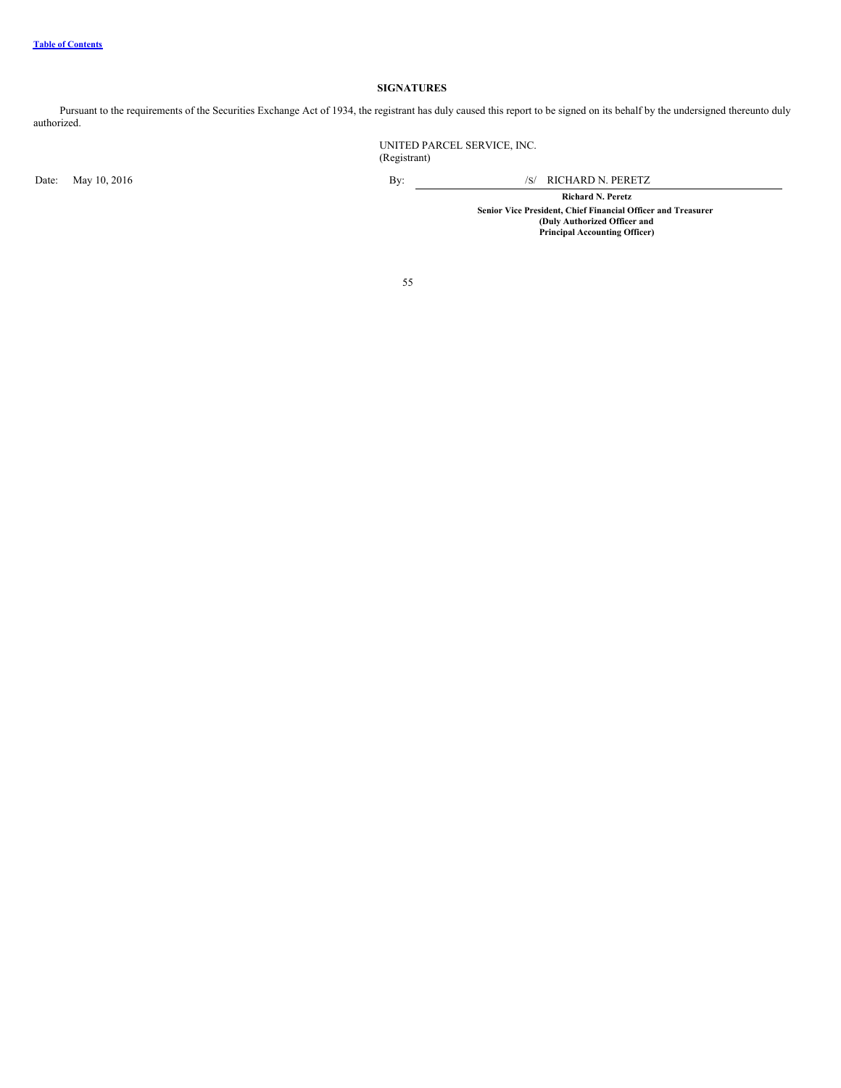# **SIGNATURES**

Pursuant to the requirements of the Securities Exchange Act of 1934, the registrant has duly caused this report to be signed on its behalf by the undersigned thereunto duly authorized.

> UNITED PARCEL SERVICE, INC. (Registrant)

Date: May 10, 2016 **By:** /S/ RICHARD N. PERETZ

**Richard N. Peretz**

**Senior Vice President, Chief Financial Officer and Treasurer (Duly Authorized Officer and Principal Accounting Officer)**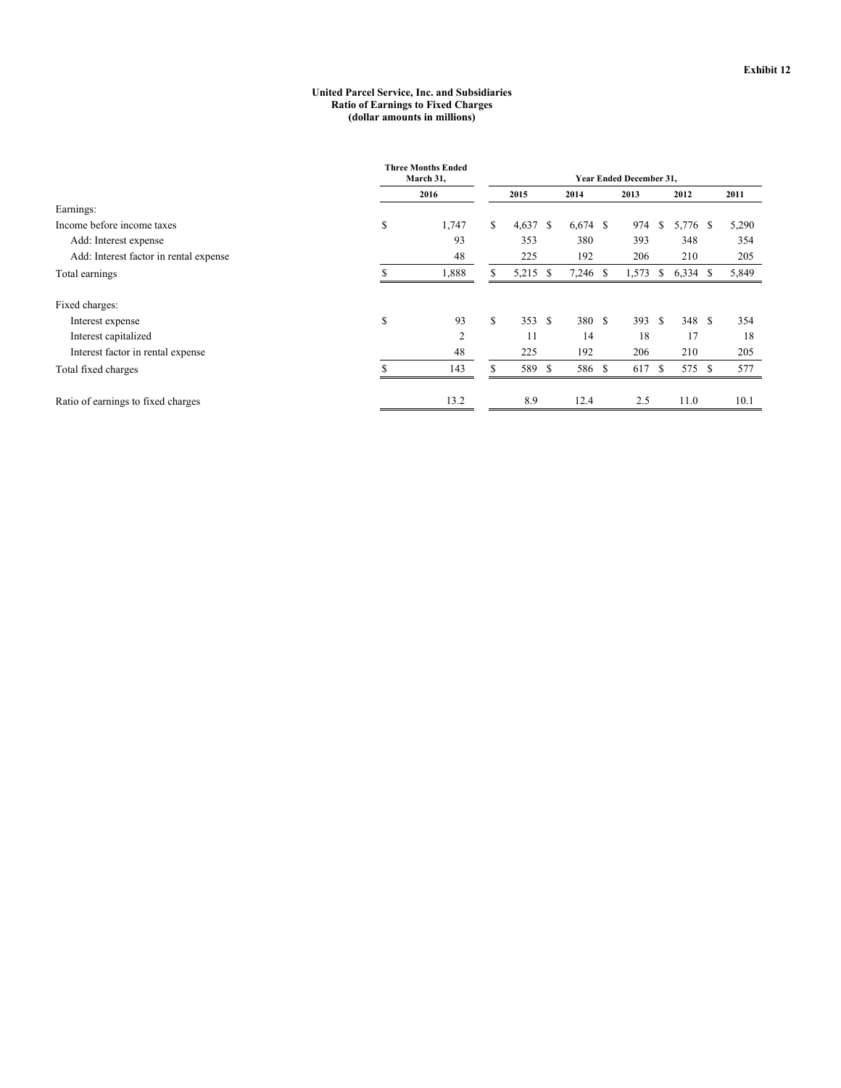### **United Parcel Service, Inc. and Subsidiaries Ratio of Earnings to Fixed Charges (dollar amounts in millions)**

|                                        | <b>Three Months Ended</b><br>March 31, | 2015 |          |               | Year Ended December 31, |               |        |      |            |    |       |
|----------------------------------------|----------------------------------------|------|----------|---------------|-------------------------|---------------|--------|------|------------|----|-------|
|                                        | 2016                                   |      |          |               | 2014<br>2013            |               |        | 2012 |            |    | 2011  |
| Earnings:                              |                                        |      |          |               |                         |               |        |      |            |    |       |
| Income before income taxes             | \$<br>1,747                            | \$   | 4,637    | -S            | $6,674$ \$              |               | 974    | S    | 5,776 \$   |    | 5,290 |
| Add: Interest expense                  | 93                                     |      | 353      |               | 380                     |               | 393    |      | 348        |    | 354   |
| Add: Interest factor in rental expense | 48                                     |      | 225      |               | 192                     |               | 206    |      | 210        |    | 205   |
| Total earnings                         | 1,888                                  | \$.  | 5,215 \$ |               | 7,246 \$                |               | 1,573  | S    | $6,334$ \$ |    | 5,849 |
| Fixed charges:                         |                                        |      |          |               |                         |               |        |      |            |    |       |
| Interest expense                       | \$<br>93                               | \$   | 353      | <sup>\$</sup> | 380 \$                  |               | 393S   |      | 348        | -S | 354   |
| Interest capitalized                   | 2                                      |      | 11       |               | 14                      |               | 18     |      | 17         |    | 18    |
| Interest factor in rental expense      | 48                                     |      | 225      |               | 192                     |               | 206    |      | 210        |    | 205   |
| Total fixed charges                    | 143                                    | S    | 589      | <sup>\$</sup> | 586                     | <sup>\$</sup> | 617 \$ |      | 575 \$     |    | 577   |
| Ratio of earnings to fixed charges     | 13.2                                   |      | 8.9      |               | 12.4                    |               | 2.5    |      | 11.0       |    | 10.1  |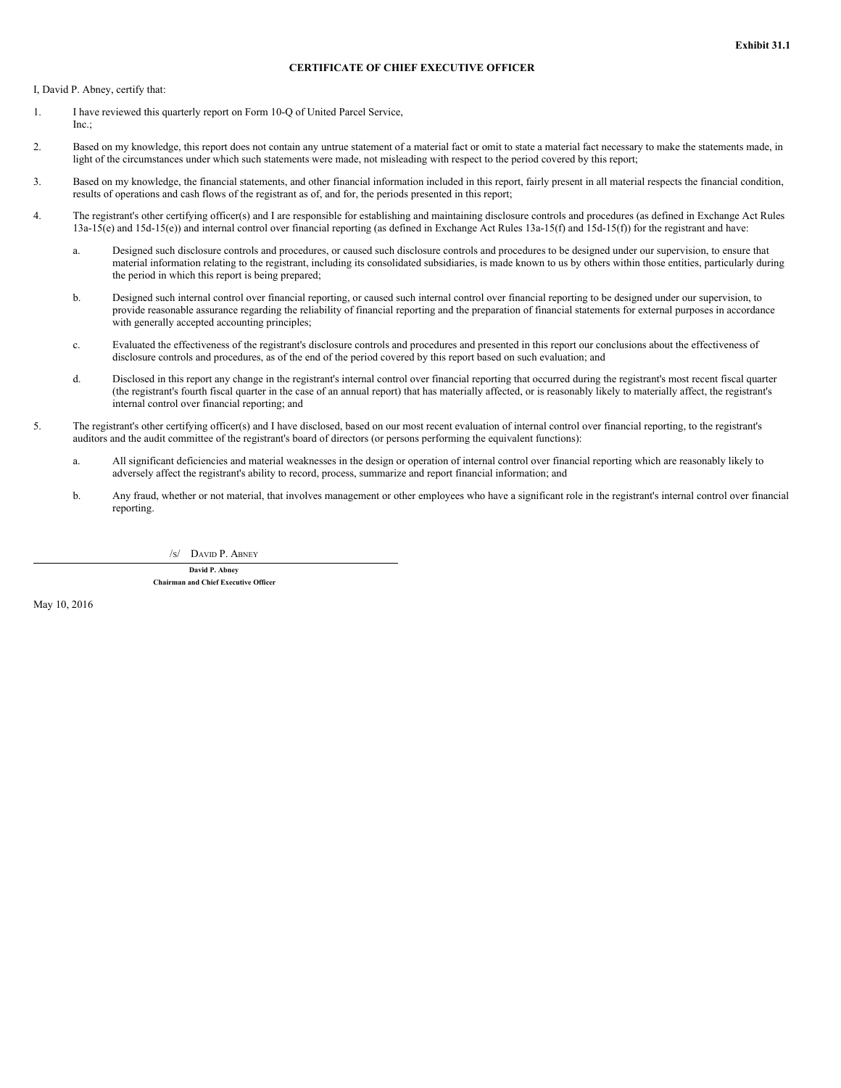# **CERTIFICATE OF CHIEF EXECUTIVE OFFICER**

### I, David P. Abney, certify that:

- 1. I have reviewed this quarterly report on Form 10-Q of United Parcel Service, Inc.;
- 2. Based on my knowledge, this report does not contain any untrue statement of a material fact or omit to state a material fact necessary to make the statements made, in light of the circumstances under which such statements were made, not misleading with respect to the period covered by this report;
- 3. Based on my knowledge, the financial statements, and other financial information included in this report, fairly present in all material respects the financial condition, results of operations and cash flows of the registrant as of, and for, the periods presented in this report;
- 4. The registrant's other certifying officer(s) and I are responsible for establishing and maintaining disclosure controls and procedures (as defined in Exchange Act Rules 13a-15(e) and 15d-15(e)) and internal control over financial reporting (as defined in Exchange Act Rules 13a-15(f) and 15d-15(f)) for the registrant and have:
	- a. Designed such disclosure controls and procedures, or caused such disclosure controls and procedures to be designed under our supervision, to ensure that material information relating to the registrant, including its consolidated subsidiaries, is made known to us by others within those entities, particularly during the period in which this report is being prepared;
	- b. Designed such internal control over financial reporting, or caused such internal control over financial reporting to be designed under our supervision, to provide reasonable assurance regarding the reliability of financial reporting and the preparation of financial statements for external purposes in accordance with generally accepted accounting principles;
	- c. Evaluated the effectiveness of the registrant's disclosure controls and procedures and presented in this report our conclusions about the effectiveness of disclosure controls and procedures, as of the end of the period covered by this report based on such evaluation; and
	- d. Disclosed in this report any change in the registrant's internal control over financial reporting that occurred during the registrant's most recent fiscal quarter (the registrant's fourth fiscal quarter in the case of an annual report) that has materially affected, or is reasonably likely to materially affect, the registrant's internal control over financial reporting; and
- 5. The registrant's other certifying officer(s) and I have disclosed, based on our most recent evaluation of internal control over financial reporting, to the registrant's auditors and the audit committee of the registrant's board of directors (or persons performing the equivalent functions):
	- a. All significant deficiencies and material weaknesses in the design or operation of internal control over financial reporting which are reasonably likely to adversely affect the registrant's ability to record, process, summarize and report financial information; and
	- b. Any fraud, whether or not material, that involves management or other employees who have a significant role in the registrant's internal control over financial reporting.

/S/ DAVID P. ABNEY

**David P. Abney Chairman and Chief Executive Officer**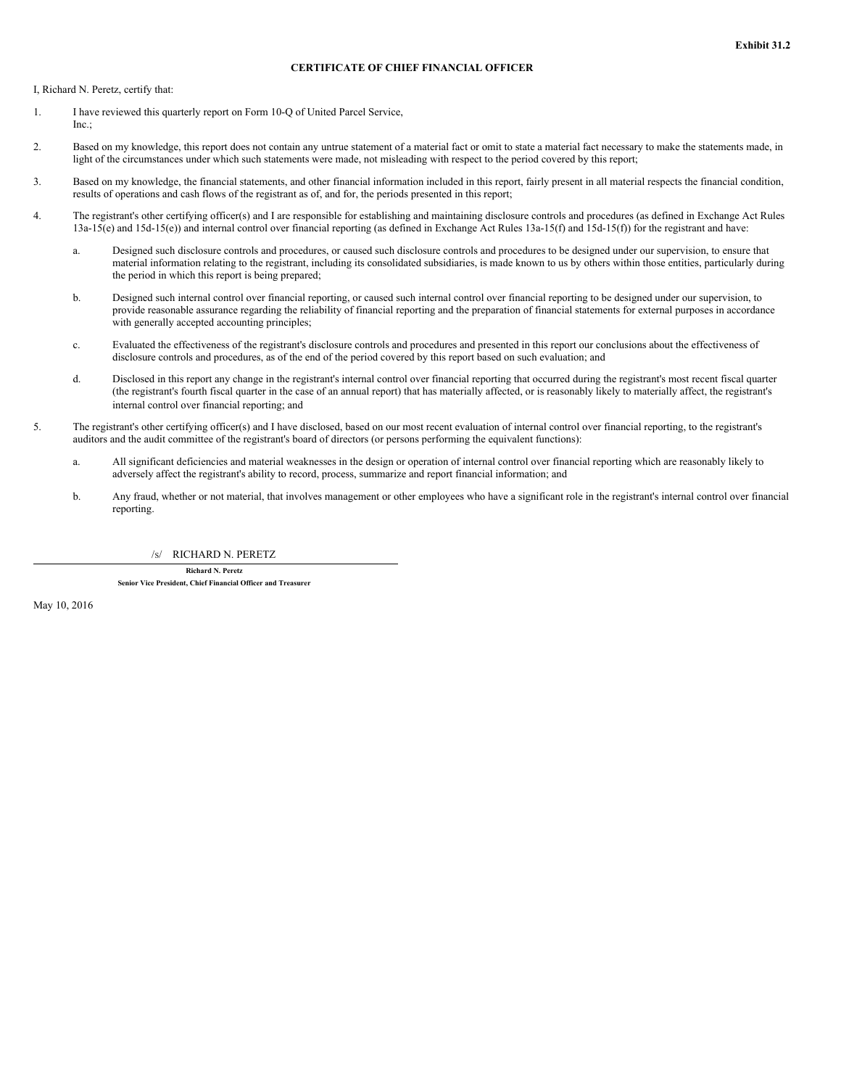# **CERTIFICATE OF CHIEF FINANCIAL OFFICER**

I, Richard N. Peretz, certify that:

- 1. I have reviewed this quarterly report on Form 10-Q of United Parcel Service, Inc.;
- 2. Based on my knowledge, this report does not contain any untrue statement of a material fact or omit to state a material fact necessary to make the statements made, in light of the circumstances under which such statements were made, not misleading with respect to the period covered by this report;
- 3. Based on my knowledge, the financial statements, and other financial information included in this report, fairly present in all material respects the financial condition, results of operations and cash flows of the registrant as of, and for, the periods presented in this report;
- 4. The registrant's other certifying officer(s) and I are responsible for establishing and maintaining disclosure controls and procedures (as defined in Exchange Act Rules 13a-15(e) and 15d-15(e)) and internal control over financial reporting (as defined in Exchange Act Rules 13a-15(f) and 15d-15(f)) for the registrant and have:
	- a. Designed such disclosure controls and procedures, or caused such disclosure controls and procedures to be designed under our supervision, to ensure that material information relating to the registrant, including its consolidated subsidiaries, is made known to us by others within those entities, particularly during the period in which this report is being prepared;
	- b. Designed such internal control over financial reporting, or caused such internal control over financial reporting to be designed under our supervision, to provide reasonable assurance regarding the reliability of financial reporting and the preparation of financial statements for external purposes in accordance with generally accepted accounting principles;
	- c. Evaluated the effectiveness of the registrant's disclosure controls and procedures and presented in this report our conclusions about the effectiveness of disclosure controls and procedures, as of the end of the period covered by this report based on such evaluation; and
	- d. Disclosed in this report any change in the registrant's internal control over financial reporting that occurred during the registrant's most recent fiscal quarter (the registrant's fourth fiscal quarter in the case of an annual report) that has materially affected, or is reasonably likely to materially affect, the registrant's internal control over financial reporting; and
- 5. The registrant's other certifying officer(s) and I have disclosed, based on our most recent evaluation of internal control over financial reporting, to the registrant's auditors and the audit committee of the registrant's board of directors (or persons performing the equivalent functions):
	- a. All significant deficiencies and material weaknesses in the design or operation of internal control over financial reporting which are reasonably likely to adversely affect the registrant's ability to record, process, summarize and report financial information; and
	- b. Any fraud, whether or not material, that involves management or other employees who have a significant role in the registrant's internal control over financial reporting.

/S/ RICHARD N. PERETZ

**Richard N. Peretz Senior Vice President, Chief Financial Officer and Treasurer**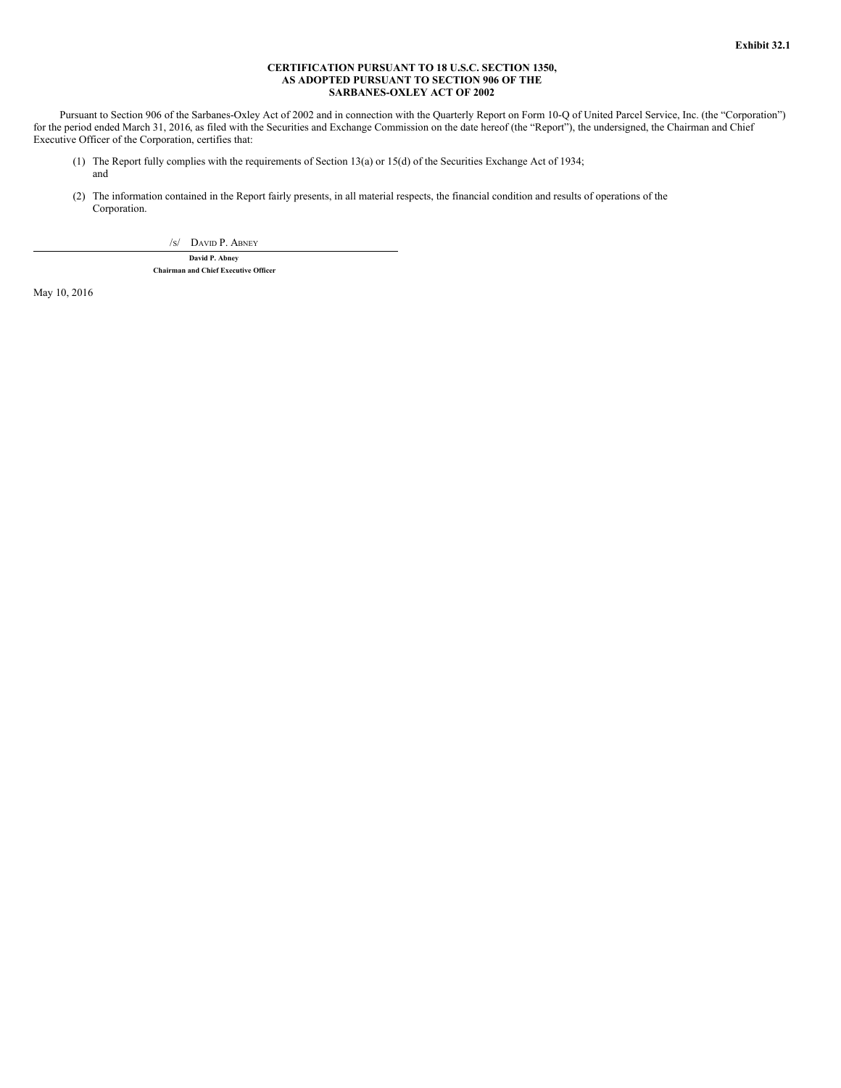# **CERTIFICATION PURSUANT TO 18 U.S.C. SECTION 1350, AS ADOPTED PURSUANT TO SECTION 906 OF THE SARBANES-OXLEY ACT OF 2002**

Pursuant to Section 906 of the Sarbanes-Oxley Act of 2002 and in connection with the Quarterly Report on Form 10-Q of United Parcel Service, Inc. (the "Corporation") for the period ended March 31, 2016, as filed with the Securities and Exchange Commission on the date hereof (the "Report"), the undersigned, the Chairman and Chief Executive Officer of the Corporation, certifies that:

- (1) The Report fully complies with the requirements of Section 13(a) or 15(d) of the Securities Exchange Act of 1934; and
- (2) The information contained in the Report fairly presents, in all material respects, the financial condition and results of operations of the Corporation.

/S/ DAVID P. ABNEY

**David P. Abney Chairman and Chief Executive Officer**